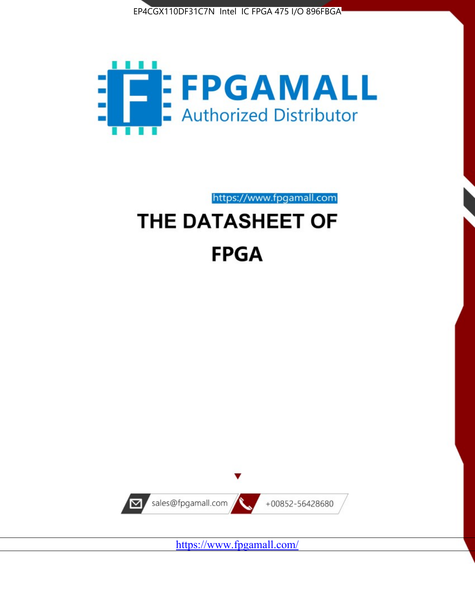



# https://www.fpgamall.com THE DATASHEET OF **FPGA**



<https://www.fpgamall.com/>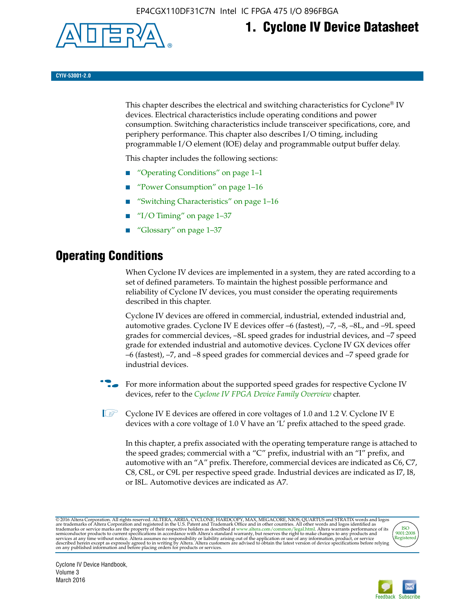

## **1. Cyclone IV Device Datasheet**

**CYIV-53001-2.0**

This chapter describes the electrical and switching characteristics for Cyclone<sup>®</sup> IV devices. Electrical characteristics include operating conditions and power consumption. Switching characteristics include transceiver specifications, core, and periphery performance. This chapter also describes I/O timing, including programmable I/O element (IOE) delay and programmable output buffer delay.

This chapter includes the following sections:

- "Operating Conditions" on page 1–1
- "Power Consumption" on page 1–16
- "Switching Characteristics" on page 1–16
- " $I/O$  Timing" on page  $1-37$
- "Glossary" on page 1–37

## **Operating Conditions**

When Cyclone IV devices are implemented in a system, they are rated according to a set of defined parameters. To maintain the highest possible performance and reliability of Cyclone IV devices, you must consider the operating requirements described in this chapter.

Cyclone IV devices are offered in commercial, industrial, extended industrial and, automotive grades. Cyclone IV E devices offer –6 (fastest), –7, –8, –8L, and –9L speed grades for commercial devices, –8L speed grades for industrial devices, and –7 speed grade for extended industrial and automotive devices. Cyclone IV GX devices offer –6 (fastest), –7, and –8 speed grades for commercial devices and –7 speed grade for industrial devices.

**For more information about the supported speed grades for respective Cyclone IV** devices, refer to the *[Cyclone IV FPGA Device Family Overview](http://www.altera.com/literature/hb/cyclone-iv/cyiv-51001.pdf)* chapter.

**1** Cyclone IV E devices are offered in core voltages of 1.0 and 1.2 V. Cyclone IV E devices with a core voltage of 1.0 V have an 'L' prefix attached to the speed grade.

In this chapter, a prefix associated with the operating temperature range is attached to the speed grades; commercial with a "C" prefix, industrial with an "I" prefix, and automotive with an "A" prefix. Therefore, commercial devices are indicated as C6, C7, C8, C8L, or C9L per respective speed grade. Industrial devices are indicated as I7, I8, or I8L. Automotive devices are indicated as A7.

@2016 Altera Corporation. All rights reserved. ALTERA, ARRIA, CYCLONE, HARDCOPY, MAX, MEGACORE, NIOS, QUARTUS and STRATIX words and logos are trademarks of Altera Corporation and registered in the U.S. Patent and Trademark



Cyclone IV Device Handbook, Volume 3 March 2016

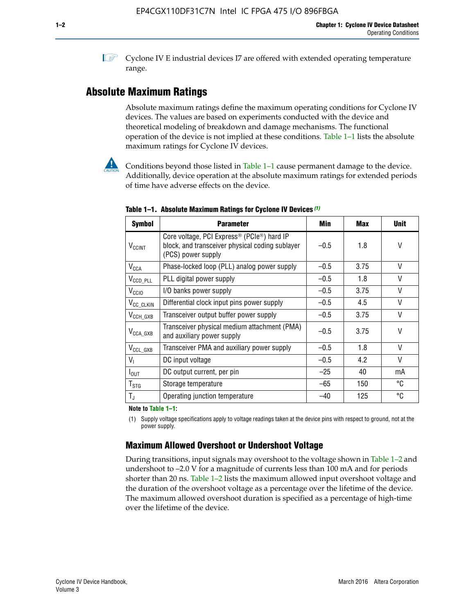**1 Cyclone IV E industrial devices I7 are offered with extended operating temperature** range.

## **Absolute Maximum Ratings**

Absolute maximum ratings define the maximum operating conditions for Cyclone IV devices. The values are based on experiments conducted with the device and theoretical modeling of breakdown and damage mechanisms. The functional operation of the device is not implied at these conditions. Table 1–1 lists the absolute maximum ratings for Cyclone IV devices.



**Conditions beyond those listed in Table 1–1 cause permanent damage to the device.** Additionally, device operation at the absolute maximum ratings for extended periods of time have adverse effects on the device.

| <b>Symbol</b>            | <b>Parameter</b>                                                                                                                             | Min    | <b>Max</b> | <b>Unit</b> |
|--------------------------|----------------------------------------------------------------------------------------------------------------------------------------------|--------|------------|-------------|
| <b>V<sub>CCINT</sub></b> | Core voltage, PCI Express <sup>®</sup> (PCIe <sup>®</sup> ) hard IP<br>block, and transceiver physical coding sublayer<br>(PCS) power supply | $-0.5$ | 1.8        | V           |
| $V_{CCA}$                | Phase-locked loop (PLL) analog power supply                                                                                                  | $-0.5$ | 3.75       | V           |
| $V_{CCD\_PLL}$           | PLL digital power supply                                                                                                                     | $-0.5$ | 1.8        | V           |
| V <sub>CCIO</sub>        | I/O banks power supply                                                                                                                       | $-0.5$ | 3.75       | V           |
| V <sub>CC_CLKIN</sub>    | Differential clock input pins power supply                                                                                                   | $-0.5$ | 4.5        | V           |
| $V_{\text{CCH_GXB}}$     | Transceiver output buffer power supply                                                                                                       | $-0.5$ | 3.75       | V           |
| $V_{\text{CCA\_GXB}}$    | Transceiver physical medium attachment (PMA)<br>and auxiliary power supply                                                                   | $-0.5$ | 3.75       | V           |
| $V_{CCL_GXB}$            | Transceiver PMA and auxiliary power supply                                                                                                   | $-0.5$ | 1.8        | V           |
| $V_{1}$                  | DC input voltage                                                                                                                             | $-0.5$ | 4.2        | V           |
| $I_{\text{OUT}}$         | DC output current, per pin                                                                                                                   | $-25$  | 40         | mA          |
| $T_{\mathtt{STG}}$       | Storage temperature                                                                                                                          | -65    | 150        | °C          |
| $T_{\rm J}$              | Operating junction temperature                                                                                                               | $-40$  | 125        | °C          |

**Table 1–1. Absolute Maximum Ratings for Cyclone IV Devices** *(1)*

**Note to Table 1–1:**

(1) Supply voltage specifications apply to voltage readings taken at the device pins with respect to ground, not at the power supply.

## **Maximum Allowed Overshoot or Undershoot Voltage**

During transitions, input signals may overshoot to the voltage shown in Table 1–2 and undershoot to –2.0 V for a magnitude of currents less than 100 mA and for periods shorter than 20 ns. Table 1–2 lists the maximum allowed input overshoot voltage and the duration of the overshoot voltage as a percentage over the lifetime of the device. The maximum allowed overshoot duration is specified as a percentage of high-time over the lifetime of the device.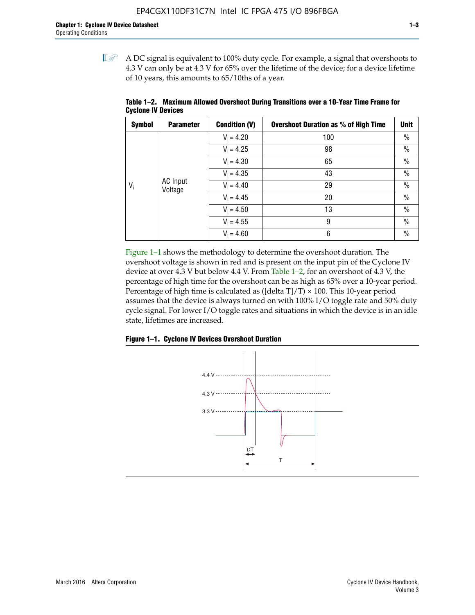$\mathbb{I}$  A DC signal is equivalent to 100% duty cycle. For example, a signal that overshoots to 4.3 V can only be at 4.3 V for 65% over the lifetime of the device; for a device lifetime of 10 years, this amounts to 65/10ths of a year.

| <b>Symbol</b> | <b>Parameter</b>    | <b>Condition (V)</b> | <b>Overshoot Duration as % of High Time</b> | Unit          |    |      |  |  |  |  |              |    |
|---------------|---------------------|----------------------|---------------------------------------------|---------------|----|------|--|--|--|--|--------------|----|
|               |                     | $V_1 = 4.20$         | 100                                         | $\%$          |    |      |  |  |  |  |              |    |
|               |                     | $V_1 = 4.25$         | 98                                          | $\frac{0}{0}$ |    |      |  |  |  |  |              |    |
|               | AC Input<br>Voltage |                      |                                             | $V_1 = 4.30$  | 65 | $\%$ |  |  |  |  |              |    |
| $V_i$         |                     | $V_1 = 4.35$         | 43                                          | $\%$          |    |      |  |  |  |  |              |    |
|               |                     |                      |                                             |               |    |      |  |  |  |  | $V_1 = 4.40$ | 29 |
|               |                     | $V_1 = 4.45$         | 20                                          | $\%$          |    |      |  |  |  |  |              |    |
|               |                     | $V_1 = 4.50$         | 13                                          | $\%$          |    |      |  |  |  |  |              |    |
|               |                     | $V_1 = 4.55$         | 9                                           | $\%$          |    |      |  |  |  |  |              |    |
|               |                     | $V_1 = 4.60$         | 6                                           | $\%$          |    |      |  |  |  |  |              |    |

**Table 1–2. Maximum Allowed Overshoot During Transitions over a 10**-**Year Time Frame for Cyclone IV Devices**

Figure 1–1 shows the methodology to determine the overshoot duration. The overshoot voltage is shown in red and is present on the input pin of the Cyclone IV device at over 4.3 V but below 4.4 V. From Table 1–2, for an overshoot of 4.3 V, the percentage of high time for the overshoot can be as high as 65% over a 10-year period. Percentage of high time is calculated as ([delta  $T$ ]/T)  $\times$  100. This 10-year period assumes that the device is always turned on with 100% I/O toggle rate and 50% duty cycle signal. For lower I/O toggle rates and situations in which the device is in an idle state, lifetimes are increased.



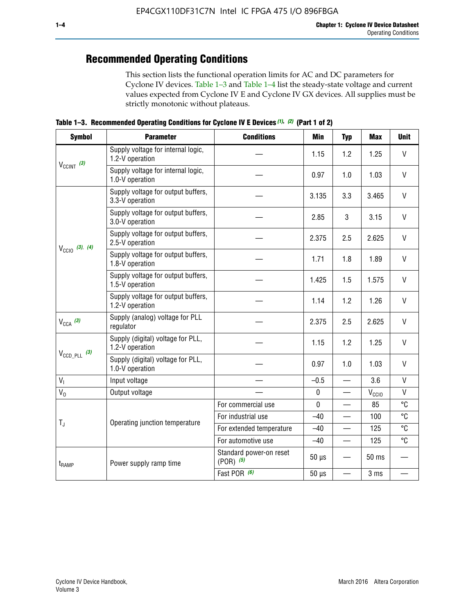## **Recommended Operating Conditions**

This section lists the functional operation limits for AC and DC parameters for Cyclone IV devices. Table 1–3 and Table 1–4 list the steady-state voltage and current values expected from Cyclone IV E and Cyclone IV GX devices. All supplies must be strictly monotonic without plateaus.

**Table 1–3. Recommended Operating Conditions for Cyclone IV E Devices** *(1)***,** *(2)* **(Part 1 of 2)**

| <b>Symbol</b>              | <b>Parameter</b>                                      | <b>Conditions</b>                        | Min         | <b>Typ</b>               | <b>Max</b>     | <b>Unit</b>  |
|----------------------------|-------------------------------------------------------|------------------------------------------|-------------|--------------------------|----------------|--------------|
|                            | Supply voltage for internal logic,<br>1.2-V operation |                                          | 1.15        | 1.2                      | 1.25           | V            |
| $V_{CClNT}$ (3)            | Supply voltage for internal logic,<br>1.0-V operation | 0.97                                     | 1.0         | 1.03                     | $\mathsf{V}$   |              |
|                            | Supply voltage for output buffers,<br>3.3-V operation |                                          | 3.135       | 3.3                      | 3.465          | $\vee$       |
| $V_{\text{CCIO}}$ (3), (4) | Supply voltage for output buffers,<br>3.0-V operation |                                          | 2.85        | 3                        | 3.15           | V            |
|                            | Supply voltage for output buffers,<br>2.5-V operation |                                          | 2.375       | 2.5                      | 2.625          | $\vee$       |
|                            | Supply voltage for output buffers,<br>1.8-V operation |                                          | 1.71        | 1.8                      | 1.89           | $\mathsf{V}$ |
|                            | Supply voltage for output buffers,<br>1.5-V operation |                                          | 1.425       | 1.5                      | 1.575          | V            |
|                            | Supply voltage for output buffers,<br>1.2-V operation |                                          | 1.14        | 1.2                      | 1.26           | V            |
| $V_{CCA}$ (3)              | Supply (analog) voltage for PLL<br>regulator          |                                          | 2.375       | 2.5                      | 2.625          | $\vee$       |
|                            | Supply (digital) voltage for PLL,<br>1.2-V operation  |                                          | 1.15        | 1.2                      | 1.25           | V            |
| $V_{\text{CCD\_PLL}}$ (3)  | Supply (digital) voltage for PLL,<br>1.0-V operation  |                                          | 0.97        | 1.0                      | 1.03           | $\vee$       |
| $V_{I}$                    | Input voltage                                         |                                          | $-0.5$      | $\equiv$                 | 3.6            | $\mathsf{V}$ |
| $V_0$                      | Output voltage                                        |                                          | $\pmb{0}$   |                          | $V_{\rm CClO}$ | V            |
|                            |                                                       | For commercial use                       | $\mathbf 0$ |                          | 85             | °C           |
|                            | Operating junction temperature                        | For industrial use                       | $-40$       |                          | 100            | °C           |
| $T_{\rm J}$                |                                                       | For extended temperature                 | $-40$       |                          | 125            | °C           |
|                            |                                                       | For automotive use                       | $-40$       | $\qquad \qquad$          | 125            | °C           |
| t <sub>RAMP</sub>          | Power supply ramp time                                | Standard power-on reset<br>$(POR)$ $(5)$ | $50 \mu s$  |                          | 50 ms          |              |
|                            |                                                       | Fast POR (6)                             | $50 \mu s$  | $\overline{\phantom{0}}$ | 3 ms           |              |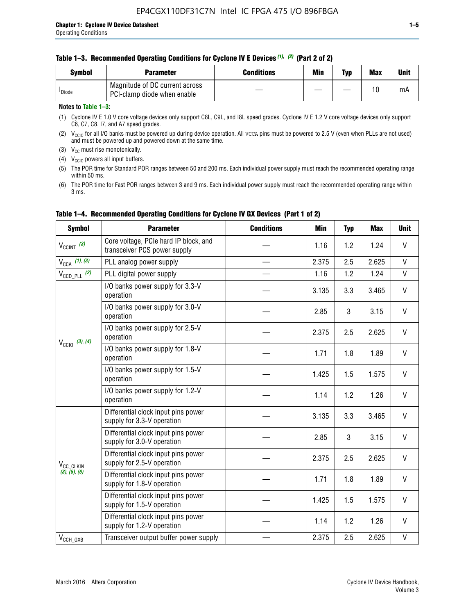| Svmbol             | <b>Parameter</b>                                              | <b>Conditions</b> | Min | Typ | <b>Max</b> | Unit |
|--------------------|---------------------------------------------------------------|-------------------|-----|-----|------------|------|
| <sup>I</sup> Diode | Magnitude of DC current across<br>PCI-clamp diode when enable |                   |     |     | 10         | mA   |

#### **Notes to Table 1–3:**

(1) Cyclone IV E 1.0 V core voltage devices only support C8L, C9L, and I8L speed grades. Cyclone IV E 1.2 V core voltage devices only support C6, C7, C8, I7, and A7 speed grades.

(2)  $V_{CCIO}$  for all I/O banks must be powered up during device operation. All vcca pins must be powered to 2.5 V (even when PLLs are not used) and must be powered up and powered down at the same time.

(3)  $V_{CC}$  must rise monotonically.

(4)  $V_{\text{CCIO}}$  powers all input buffers.

(5) The POR time for Standard POR ranges between 50 and 200 ms. Each individual power supply must reach the recommended operating range within 50 ms.

(6) The POR time for Fast POR ranges between 3 and 9 ms. Each individual power supply must reach the recommended operating range within 3 ms.

| <b>Symbol</b>              | <b>Parameter</b>                                                      | <b>Conditions</b> | Min   | <b>Typ</b> | <b>Max</b> | <b>Unit</b>  |
|----------------------------|-----------------------------------------------------------------------|-------------------|-------|------------|------------|--------------|
| $V_{CClNT}$ (3)            | Core voltage, PCIe hard IP block, and<br>transceiver PCS power supply |                   | 1.16  | 1.2        | 1.24       | V            |
| $V_{CCA}$ (1), (3)         | PLL analog power supply                                               |                   | 2.375 | 2.5        | 2.625      | $\mathsf{V}$ |
| $V_{\text{CCD\_PLL}}$ (2)  | PLL digital power supply                                              |                   | 1.16  | 1.2        | 1.24       | $\mathsf{V}$ |
| $V_{\text{CC10}}$ (3), (4) | I/O banks power supply for 3.3-V<br>operation                         |                   | 3.135 | 3.3        | 3.465      | V            |
|                            | I/O banks power supply for 3.0-V<br>operation                         |                   | 2.85  | 3          | 3.15       | V            |
|                            | I/O banks power supply for 2.5-V<br>operation                         |                   | 2.375 | 2.5        | 2.625      | V            |
|                            | I/O banks power supply for 1.8-V<br>operation                         |                   | 1.71  | 1.8        | 1.89       | V            |
|                            | I/O banks power supply for 1.5-V<br>operation                         |                   | 1.425 | 1.5        | 1.575      | V            |
|                            | I/O banks power supply for 1.2-V<br>operation                         |                   | 1.14  | 1.2        | 1.26       | $\mathsf{V}$ |
|                            | Differential clock input pins power<br>supply for 3.3-V operation     |                   | 3.135 | 3.3        | 3.465      | V            |
|                            | Differential clock input pins power<br>supply for 3.0-V operation     |                   | 2.85  | 3          | 3.15       | $\mathsf{V}$ |
| V <sub>CC_CLKIN</sub>      | Differential clock input pins power<br>supply for 2.5-V operation     |                   | 2.375 | 2.5        | 2.625      | $\mathsf{V}$ |
| (3), (5), (6)              | Differential clock input pins power<br>supply for 1.8-V operation     |                   | 1.71  | 1.8        | 1.89       | V            |
|                            | Differential clock input pins power<br>supply for 1.5-V operation     |                   | 1.425 | 1.5        | 1.575      | V            |
|                            | Differential clock input pins power<br>supply for 1.2-V operation     |                   | 1.14  | 1.2        | 1.26       | V            |
| $V_{CCH_GXB}$              | Transceiver output buffer power supply                                |                   | 2.375 | 2.5        | 2.625      | $\mathsf{V}$ |

#### **Table 1–4. Recommended Operating Conditions for Cyclone IV GX Devices (Part 1 of 2)**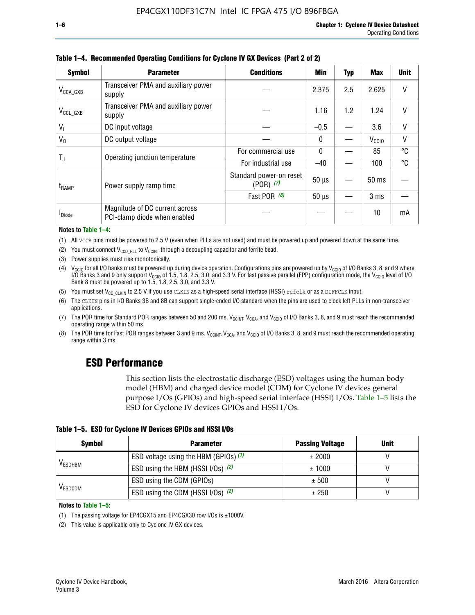| <b>Symbol</b>         | <b>Parameter</b>                                               | <b>Conditions</b>                        |            |     |                   |        |
|-----------------------|----------------------------------------------------------------|------------------------------------------|------------|-----|-------------------|--------|
| $V_{\text{CCA\_GXB}}$ | Transceiver PMA and auxiliary power<br>supply                  |                                          | 2.375      | 2.5 | 2.625             |        |
| $V_{CCL_GXB}$         | Transceiver PMA and auxiliary power<br>supply                  |                                          | 1.16       | 1.2 | 1.24              | V      |
| $V_{1}$               | DC input voltage                                               |                                          | $-0.5$     |     | 3.6               | $\vee$ |
| $V_0$                 | DC output voltage                                              |                                          | 0          |     | V <sub>CCIO</sub> | V      |
|                       | Operating junction temperature                                 | For commercial use                       | 0          |     | 85                | °C     |
| T,                    |                                                                | For industrial use                       | $-40$      |     | 100               | °C     |
| $t_{\sf{RAMP}}$       | Power supply ramp time                                         | Standard power-on reset<br>$(POR)$ $(7)$ | $50 \mu s$ |     | $50 \text{ ms}$   |        |
|                       |                                                                | Fast POR (8)                             | $50 \mu s$ |     | 3 <sub>ms</sub>   |        |
| <b>I</b> Diode        | Magnitude of DC current across<br>PCI-clamp diode when enabled |                                          |            |     | 10                | mA     |

**Table 1–4. Recommended Operating Conditions for Cyclone IV GX Devices (Part 2 of 2)**

#### **Notes to Table 1–4:**

- (1) All VCCA pins must be powered to 2.5 V (even when PLLs are not used) and must be powered up and powered down at the same time.
- (2) You must connect  $V_{CCD-PLL}$  to  $V_{CCINT}$  through a decoupling capacitor and ferrite bead.
- (3) Power supplies must rise monotonically.
- (4)  $V_{\text{CCIO}}$  for all I/O banks must be powered up during device operation. Configurations pins are powered up by V<sub>CCIO</sub> of I/O Banks 3, 8, and 9 where I/O Banks 3 and 9 only support V<sub>CCIO</sub> of 1.5, 1.8, 2.5, 3.0, and 3.3 V. For fast passive parallel (FPP) configuration mode, the V<sub>CCIO</sub> level of I/O<br>Bank 8 must be powered up to 1.5, 1.8, 2.5, 3.0, and 3.3 V.
- (5) You must set  $V_{CC_CCLKIN}$  to 2.5 V if you use CLKIN as a high-speed serial interface (HSSI) refclk or as a DIFFCLK input.
- (6) The CLKIN pins in I/O Banks 3B and 8B can support single-ended I/O standard when the pins are used to clock left PLLs in non-transceiver applications.
- (7) The POR time for Standard POR ranges between 50 and 200 ms.  $V_{\text{CCIA}}$ ,  $V_{\text{CCIA}}$ , and  $V_{\text{CCIO}}$  of I/O Banks 3, 8, and 9 must reach the recommended operating range within 50 ms.
- (8) The POR time for Fast POR ranges between 3 and 9 ms.  $V_{\text{CCH},T}$ ,  $V_{\text{CCA}}$ , and  $V_{\text{CCI}}$  of I/O Banks 3, 8, and 9 must reach the recommended operating range within 3 ms.

## **ESD Performance**

This section lists the electrostatic discharge (ESD) voltages using the human body model (HBM) and charged device model (CDM) for Cyclone IV devices general purpose I/Os (GPIOs) and high-speed serial interface (HSSI) I/Os. Table 1–5 lists the ESD for Cyclone IV devices GPIOs and HSSI I/Os.

|  | Table 1–5. ESD for Cyclone IV Devices GPIOs and HSSI I/Os |  |
|--|-----------------------------------------------------------|--|
|--|-----------------------------------------------------------|--|

| <b>Symbol</b>  | <b>Parameter</b>                      | <b>Passing Voltage</b> | <b>Unit</b> |
|----------------|---------------------------------------|------------------------|-------------|
|                | ESD voltage using the HBM (GPIOs) (1) | ± 2000                 |             |
| <b>VESDHBM</b> | ESD using the HBM (HSSI I/Os) (2)     | ± 1000                 |             |
|                | ESD using the CDM (GPIOs)             | ± 500                  |             |
| <b>VESDCDM</b> | ESD using the CDM (HSSI I/Os) (2)     | ± 250                  |             |

#### **Notes to Table 1–5:**

(1) The passing voltage for EP4CGX15 and EP4CGX30 row I/Os is ±1000V.

(2) This value is applicable only to Cyclone IV GX devices.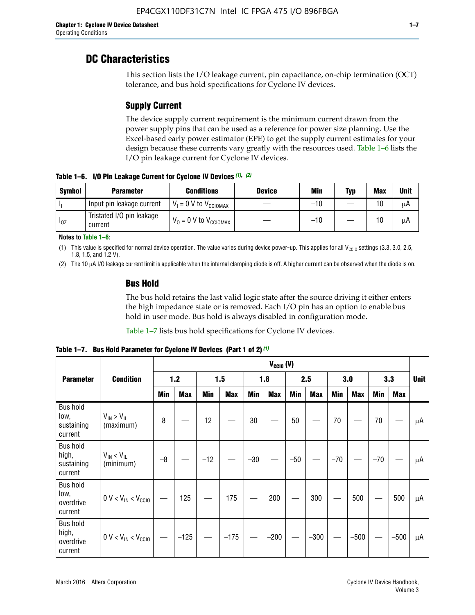## **DC Characteristics**

This section lists the I/O leakage current, pin capacitance, on-chip termination (OCT) tolerance, and bus hold specifications for Cyclone IV devices.

## **Supply Current**

The device supply current requirement is the minimum current drawn from the power supply pins that can be used as a reference for power size planning. Use the Excel-based early power estimator (EPE) to get the supply current estimates for your design because these currents vary greatly with the resources used. Table 1–6 lists the I/O pin leakage current for Cyclone IV devices.

**Table 1–6. I/O Pin Leakage Current for Cyclone IV Devices** *(1)***,** *(2)*

| <b>Symbol</b> | <b>Parameter</b>                     | <b>Conditions</b>                     | <b>Device</b> | Min   | Typ | <b>Max</b> | <b>Unit</b> |
|---------------|--------------------------------------|---------------------------------------|---------------|-------|-----|------------|-------------|
| -lı           | Input pin leakage current            | $V_1 = 0$ V to $V_{\text{CCIOMAX}}$   |               | $-10$ |     | 10         | μA          |
| $I_{0Z}$      | Tristated I/O pin leakage<br>current | $V_0 = 0 V$ to $V_{\text{CCIOMAX}}$ I |               | $-10$ |     | 10         | μA          |

**Notes to Table 1–6:**

(1) This value is specified for normal device operation. The value varies during device power-up. This applies for all V<sub>CCIO</sub> settings (3.3, 3.0, 2.5, 1.8, 1.5, and 1.2 V).

(2) The 10 µA I/O leakage current limit is applicable when the internal clamping diode is off. A higher current can be observed when the diode is on.

### **Bus Hold**

The bus hold retains the last valid logic state after the source driving it either enters the high impedance state or is removed. Each I/O pin has an option to enable bus hold in user mode. Bus hold is always disabled in configuration mode.

Table 1–7 lists bus hold specifications for Cyclone IV devices.

|                                                   |                                  | $V_{CCIO} (V)$ |            |       |            |            |            |            |            |       |            |       |            |             |
|---------------------------------------------------|----------------------------------|----------------|------------|-------|------------|------------|------------|------------|------------|-------|------------|-------|------------|-------------|
| <b>Parameter</b>                                  | <b>Condition</b>                 |                | 1.2        |       | 1.5        |            | 1.8        |            | 2.5        |       | 3.0        |       | 3.3        | <b>Unit</b> |
|                                                   |                                  | <b>Min</b>     | <b>Max</b> | Min   | <b>Max</b> | <b>Min</b> | <b>Max</b> | <b>Min</b> | <b>Max</b> | Min   | <b>Max</b> | Min   | <b>Max</b> |             |
| <b>Bus hold</b><br>low,<br>sustaining<br>current  | $V_{IN}$ > $V_{IL}$<br>(maximum) | 8              |            | 12    |            | $30\,$     |            | 50         |            | 70    |            | 70    |            | μA          |
| <b>Bus hold</b><br>high,<br>sustaining<br>current | $V_{IN}$ < $V_{IL}$<br>(minimum) | $-8$           |            | $-12$ |            | $-30$      |            | $-50$      |            | $-70$ |            | $-70$ |            | μA          |
| <b>Bus hold</b><br>low,<br>overdrive<br>current   | $0 V < V_{IN} < V_{CG10}$        |                | 125        |       | 175        |            | 200        |            | 300        |       | 500        |       | 500        | μA          |
| <b>Bus hold</b><br>high,<br>overdrive<br>current  | $0 V < V_{IN} < V_{CG10}$        |                | $-125$     |       | $-175$     |            | $-200$     |            | $-300$     |       | $-500$     |       | $-500$     | μA          |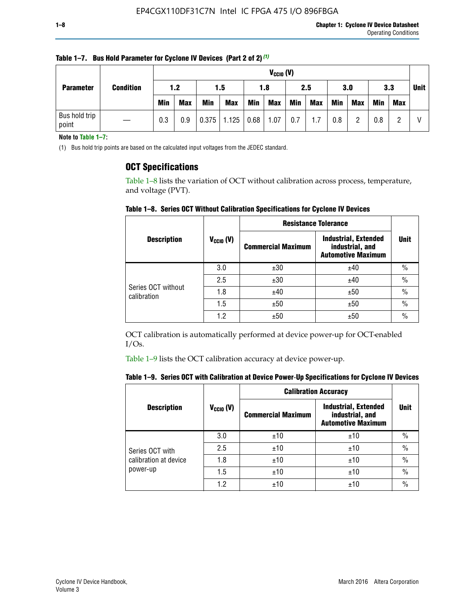| <b>Parameter</b>       |                  |            | $V_{CGI0} (V)$ |            |            |            |            |     |            |            |            |             |     |  |
|------------------------|------------------|------------|----------------|------------|------------|------------|------------|-----|------------|------------|------------|-------------|-----|--|
|                        | <b>Condition</b> | 1.2<br>1.5 |                |            | 2.5<br>1.8 |            |            | 3.0 |            | 3.3        |            | <b>Unit</b> |     |  |
|                        |                  | <b>Min</b> | <b>Max</b>     | <b>Min</b> | <b>Max</b> | <b>Min</b> | <b>Max</b> | Min | <b>Max</b> | <b>Min</b> | <b>Max</b> | Min         | Max |  |
| Bus hold trip<br>point |                  | 0.3        | 0.9            | 0.375      | 1.125      | 0.68       | 1.07       | 0.7 | 1.7        | 0.8        |            | 0.8         |     |  |

**Table 1–7. Bus Hold Parameter for Cyclone IV Devices (Part 2 of 2)** *(1)*

**Note to Table 1–7:**

(1) Bus hold trip points are based on the calculated input voltages from the JEDEC standard.

### **OCT Specifications**

Table 1–8 lists the variation of OCT without calibration across process, temperature, and voltage (PVT).

**Table 1–8. Series OCT Without Calibration Specifications for Cyclone IV Devices**

| <b>Description</b>                |                      | <b>Resistance Tolerance</b> |                                                                             |               |
|-----------------------------------|----------------------|-----------------------------|-----------------------------------------------------------------------------|---------------|
|                                   | $V_{\text{CCIO}}(V)$ | <b>Commercial Maximum</b>   | <b>Industrial, Extended</b><br>industrial, and<br><b>Automotive Maximum</b> | <b>Unit</b>   |
|                                   | 3.0                  | ±30                         | ±40                                                                         | $\frac{0}{0}$ |
|                                   | 2.5                  | ±30                         | ±40                                                                         | $\frac{0}{0}$ |
| Series OCT without<br>calibration | 1.8                  | ±40                         | ±50                                                                         | $\frac{0}{0}$ |
|                                   | 1.5                  | ±50                         | ±50                                                                         | $\frac{0}{0}$ |
|                                   | 1.2                  | ±50                         | ±50                                                                         | $\frac{0}{0}$ |

OCT calibration is automatically performed at device power-up for OCT-enabled I/Os.

Table 1–9 lists the OCT calibration accuracy at device power-up.

|  |  | Table 1–9.  Series OCT with Calibration at Device Power-Up Specifications for Cyclone IV Devices |  |  |  |  |  |  |
|--|--|--------------------------------------------------------------------------------------------------|--|--|--|--|--|--|
|--|--|--------------------------------------------------------------------------------------------------|--|--|--|--|--|--|

|                                   |                      | <b>Calibration Accuracy</b> |                                                                             |               |
|-----------------------------------|----------------------|-----------------------------|-----------------------------------------------------------------------------|---------------|
| <b>Description</b>                | $V_{\text{CCIO}}(V)$ | <b>Commercial Maximum</b>   | <b>Industrial, Extended</b><br>industrial, and<br><b>Automotive Maximum</b> | <b>Unit</b>   |
|                                   | 3.0                  | ±10                         | ±10                                                                         | $\%$          |
| Series OCT with                   | 2.5                  | ±10                         | ±10                                                                         | $\frac{0}{0}$ |
| calibration at device<br>power-up | 1.8                  | ±10                         | ±10                                                                         | $\%$          |
|                                   | 1.5                  | ±10                         | ±10                                                                         | $\%$          |
|                                   | 1.2                  | ±10                         | ±10                                                                         | $\frac{0}{0}$ |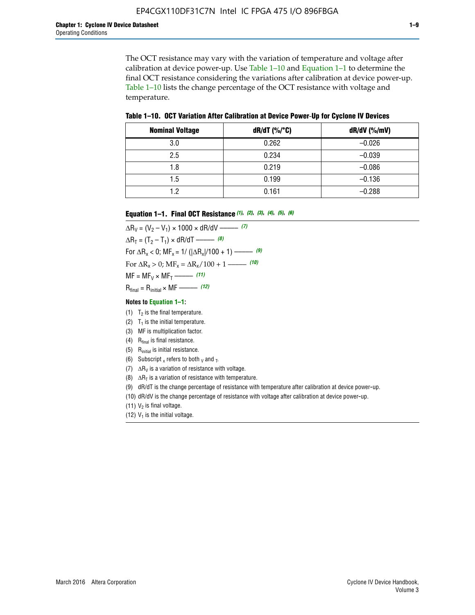The OCT resistance may vary with the variation of temperature and voltage after calibration at device power-up. Use Table 1–10 and Equation 1–1 to determine the final OCT resistance considering the variations after calibration at device power-up. Table 1–10 lists the change percentage of the OCT resistance with voltage and temperature.

**Table 1–10. OCT Variation After Calibration at Device Power**-**Up for Cyclone IV Devices**

| <b>Nominal Voltage</b> | dR/dT (%/°C) | $dR/dV$ (%/mV) |
|------------------------|--------------|----------------|
| 3.0                    | 0.262        | $-0.026$       |
| 2.5                    | 0.234        | $-0.039$       |
| 1.8                    | 0.219        | $-0.086$       |
| 1.5                    | 0.199        | $-0.136$       |
| 1.2                    | 0.161        | $-0.288$       |

#### **Equation 1–1. Final OCT Resistance** *(1)***,** *(2)***,** *(3)***,** *(4)***,** *(5)***,** *(6)*

 $\Delta R_V = (V_2 - V_1) \times 1000 \times dR/dV$  ––––––––––––(7)  $\Delta R_T = (T_2 - T_1) \times dR/dT$  ––––––– (8) For  $\Delta R_x < 0$ ; MF<sub>x</sub> = 1/ ( $|\Delta R_x|/100 + 1$ ) –––––– (9) For  $\Delta R_x > 0$ ;  $\text{MF}_x = \Delta R_x / 100 + 1$  ——– (10)  $MF = MF_V \times MF_T$  –––––––––––(11) Rfinal = Rinitial × MF ––––– *(12)*

#### **Notes to Equation 1–1:**

- (1)  $T_2$  is the final temperature.
- (2)  $T_1$  is the initial temperature.
- (3) MF is multiplication factor.
- (4)  $R<sub>final</sub>$  is final resistance.
- (5) Rinitial is initial resistance.
- (6) Subscript x refers to both  $\sqrt{v}$  and  $\sqrt{v}$ .
- (7)  $\Delta R_V$  is a variation of resistance with voltage.
- (8)  $\Delta R_T$  is a variation of resistance with temperature.
- (9) dR/dT is the change percentage of resistance with temperature after calibration at device power-up.
- (10) dR/dV is the change percentage of resistance with voltage after calibration at device power-up.
- (11)  $V_2$  is final voltage.
- (12)  $V_1$  is the initial voltage.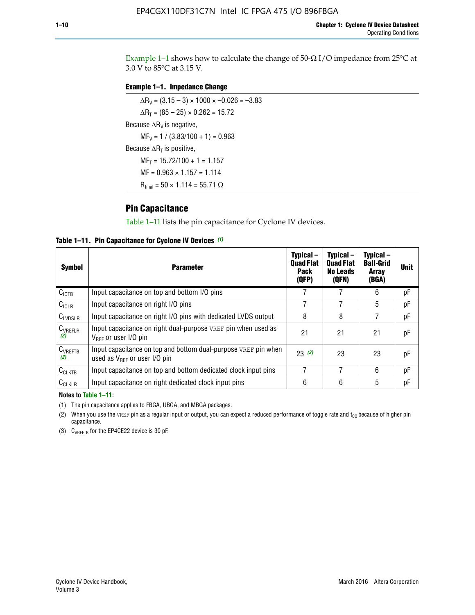Example 1-1 shows how to calculate the change of  $50$ - $\Omega$  I/O impedance from 25°C at 3.0 V to 85°C at 3.15 V.

#### **Example 1–1. Impedance Change**

 $\Delta R_V = (3.15 - 3) \times 1000 \times -0.026 = -3.83$  $\Delta R_T = (85 - 25) \times 0.262 = 15.72$ Because  $\Delta R_V$  is negative,  $MF_V = 1 / (3.83/100 + 1) = 0.963$ Because  $\Delta R_T$  is positive,  $MF_T = 15.72/100 + 1 = 1.157$  $MF = 0.963 \times 1.157 = 1.114$  $R_{final} = 50 \times 1.114 = 55.71 \Omega$ 

### **Pin Capacitance**

Table 1–11 lists the pin capacitance for Cyclone IV devices.

**Table 1–11. Pin Capacitance for Cyclone IV Devices** *(1)*

| Symbol              | <b>Parameter</b>                                                                                           | Typical-<br><b>Quad Flat</b><br><b>Pack</b><br>(QFP) | Typical-<br><b>Quad Flat</b><br><b>No Leads</b><br>(QFN) | Typical-<br><b>Ball-Grid</b><br><b>Array</b><br>(BGA) | <b>Unit</b> |
|---------------------|------------------------------------------------------------------------------------------------------------|------------------------------------------------------|----------------------------------------------------------|-------------------------------------------------------|-------------|
| C <sub>IOTB</sub>   | Input capacitance on top and bottom I/O pins                                                               |                                                      |                                                          | 6                                                     | рF          |
| C <sub>IOLR</sub>   | Input capacitance on right I/O pins                                                                        |                                                      |                                                          | 5                                                     | рF          |
| $C_{LVDSLR}$        | Input capacitance on right I/O pins with dedicated LVDS output                                             | 8                                                    | 8                                                        | 7                                                     | рF          |
| $C_{VREFLR}$<br>(2) | Input capacitance on right dual-purpose VREF pin when used as<br>$V_{BFE}$ or user I/O pin                 | 21                                                   | 21                                                       | 21                                                    | pF          |
| $C_{VREFTB}$<br>(2) | Input capacitance on top and bottom dual-purpose VREF pin when<br>used as $V_{\text{RFF}}$ or user I/O pin | 23(3)                                                | 23                                                       | 23                                                    | pF          |
| $C_{CLKTB}$         | Input capacitance on top and bottom dedicated clock input pins                                             | 7                                                    | 7                                                        | 6                                                     | pF          |
| $C_{CLKLR}$         | Input capacitance on right dedicated clock input pins                                                      | 6                                                    | 6                                                        | 5                                                     | рF          |

#### **Notes to Table 1–11:**

(1) The pin capacitance applies to FBGA, UBGA, and MBGA packages.

(2) When you use the VREF pin as a regular input or output, you can expect a reduced performance of toggle rate and  $t_{\rm CO}$  because of higher pin capacitance.

(3) CVREFTB for the EP4CE22 device is 30 pF.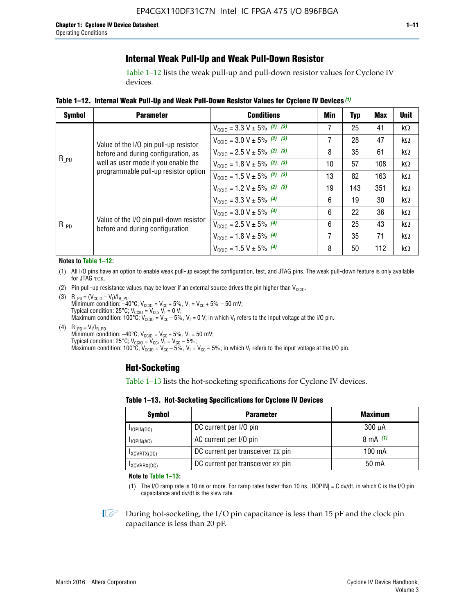### **Internal Weak Pull-Up and Weak Pull-Down Resistor**

Table 1–12 lists the weak pull-up and pull-down resistor values for Cyclone IV devices.

**Table 1–12. Internal Weak Pull**-**Up and Weak Pull**-**Down Resistor Values for Cyclone IV Devices** *(1)*

| <b>Symbol</b>                                                                            | <b>Parameter</b>                                                           | <b>Conditions</b>                                  | Min | <b>Typ</b> | <b>Max</b> | <b>Unit</b> |
|------------------------------------------------------------------------------------------|----------------------------------------------------------------------------|----------------------------------------------------|-----|------------|------------|-------------|
|                                                                                          |                                                                            | $V_{\text{CC10}} = 3.3 \text{ V} \pm 5\%$ (2), (3) | 7   | 25         | 41         | $k\Omega$   |
| Value of the I/O pin pull-up resistor<br>before and during configuration, as<br>$R_{PU}$ |                                                                            | $V_{\text{CC10}} = 3.0 \text{ V} \pm 5\%$ (2), (3) | 7   | 28         | 47         | kΩ          |
|                                                                                          | $V_{\text{CC10}} = 2.5 V \pm 5\%$ (2), (3)                                 | 8                                                  | 35  | 61         | kΩ         |             |
|                                                                                          | well as user mode if you enable the                                        | $V_{\text{CGI0}} = 1.8 V \pm 5\%$ (2), (3)         | 10  | 57         | 108        | $k\Omega$   |
|                                                                                          | programmable pull-up resistor option                                       | $V_{\text{CC10}} = 1.5 V \pm 5\%$ (2), (3)         | 13  | 82         | 163        | $k\Omega$   |
|                                                                                          |                                                                            | $V_{\text{CC10}} = 1.2 V \pm 5\%$ (2), (3)         | 19  | 143        | 351        | kΩ          |
|                                                                                          |                                                                            | $V_{\text{CC10}} = 3.3 V \pm 5\%$ (4)              | 6   | 19         | 30         | kΩ          |
|                                                                                          |                                                                            | $V_{\text{CC10}} = 3.0 V \pm 5\%$ (4)              | 6   | 22         | 36         | $k\Omega$   |
| $R_{PD}$                                                                                 | Value of the I/O pin pull-down resistor<br>before and during configuration | $V_{\text{CC10}} = 2.5 V \pm 5\%$ (4)              | 6   | 25         | 43         | kΩ          |
|                                                                                          |                                                                            | $V_{\text{CC10}} = 1.8 V \pm 5\%$ (4)              | 7   | 35         | 71         | $k\Omega$   |
|                                                                                          |                                                                            | $V_{\text{CC10}} = 1.5 V \pm 5\%$ (4)              | 8   | 50         | 112        | kΩ          |

#### **Notes to Table 1–12:**

- (1) All I/O pins have an option to enable weak pull-up except the configuration, test, and JTAG pins. The weak pull-down feature is only available for JTAG TCK.
- (2) Pin pull-up resistance values may be lower if an external source drives the pin higher than  $V_{\text{CCIO}}$ .
- (3)  $R_{PU} = (V_{CC10} V_1)/I_{R_PU}$ Minimum condition: –40°C; V<sub>CCIO</sub> = V<sub>CC</sub> + 5%, V<sub>I</sub> = V<sub>CC</sub> + 5% – 50 mV; Typical condition: 25°C; V<sub>CCIO</sub> = V<sub>CC</sub>, V<sub>I</sub> = 0 V; Maximum condition: 100°C;  $V_{\text{CCIO}} = V_{\text{CC}} - 5\%$ ,  $V_1 = 0$  V; in which V<sub>I</sub> refers to the input voltage at the I/O pin.
- (4)  $R_{PD} = V_I/I_{R_PD}$ Minimum condition:  $-40^{\circ}$ C; V<sub>CCIO</sub> = V<sub>CC</sub> + 5%, V<sub>I</sub> = 50 mV; Typical condition: 25°C;  $V_{\text{CCIO}} = V_{\text{CC}}$ ,  $V_{\text{I}} = V_{\text{CC}} - 5\%$ ; Maximum condition: 100°C; V<sub>CClO</sub> = V<sub>CC</sub> – 5%, V<sub>I</sub> = V<sub>CC</sub> – 5%; in which V<sub>I</sub> refers to the input voltage at the I/O pin.

### **Hot-Socketing**

Table 1–13 lists the hot-socketing specifications for Cyclone IV devices.

**Table 1–13. Hot**-**Socketing Specifications for Cyclone IV Devices**

| Symbol          | <b>Parameter</b>                  | <b>Maximum</b> |
|-----------------|-----------------------------------|----------------|
| $I$ IOPIN(DC)   | DC current per I/O pin            | $300 \mu A$    |
| $I_{IOPIN(AC)}$ | AC current per I/O pin            | 8 mA $(1)$     |
| IXCVRTX(DC)     | DC current per transceiver TX pin | 100 mA         |
| IXCVRRX(DC)     | DC current per transceiver RX pin | 50 mA          |

**Note to Table 1–13:**

(1) The I/O ramp rate is 10 ns or more. For ramp rates faster than 10 ns, |IIOPIN| = C dv/dt, in which C is the I/O pin capacitance and dv/dt is the slew rate.

 $\mathbb{I} \rightarrow \mathbb{I}$  During hot-socketing, the I/O pin capacitance is less than 15 pF and the clock pin capacitance is less than 20 pF.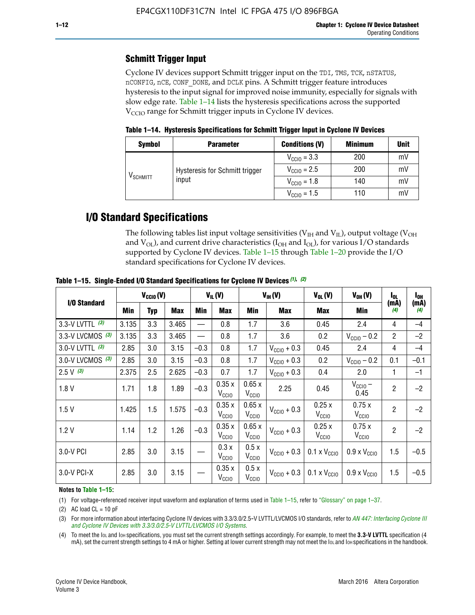## **Schmitt Trigger Input**

Cyclone IV devices support Schmitt trigger input on the TDI, TMS, TCK, nSTATUS, nCONFIG, nCE, CONF\_DONE, and DCLK pins. A Schmitt trigger feature introduces hysteresis to the input signal for improved noise immunity, especially for signals with slow edge rate. Table 1–14 lists the hysteresis specifications across the supported  $V<sub>CCIO</sub>$  range for Schmitt trigger inputs in Cyclone IV devices.

**Table 1–14. Hysteresis Specifications for Schmitt Trigger Input in Cyclone IV Devices**

| <b>Symbol</b>                  | <b>Parameter</b>               | <b>Conditions (V)</b>   | <b>Minimum</b> | <b>Unit</b> |
|--------------------------------|--------------------------------|-------------------------|----------------|-------------|
|                                |                                | $V_{\text{CGI0}} = 3.3$ | 200            | mV          |
|                                | Hysteresis for Schmitt trigger | $V_{\text{CCIO}} = 2.5$ | 200            | mV          |
| $\mathsf{V}_{\mathsf{SCHMIT}}$ | input                          | $V_{\text{CCIO}} = 1.8$ | 140            | mV          |
|                                |                                | $V_{\text{CCIO}} = 1.5$ | 110            | mV          |

## **I/O Standard Specifications**

The following tables list input voltage sensitivities ( $V<sub>IH</sub>$  and  $V<sub>II</sub>$ ), output voltage ( $V<sub>OH</sub>$ and  $V_{OL}$ ), and current drive characteristics ( $I_{OH}$  and  $I_{OL}$ ), for various I/O standards supported by Cyclone IV devices. Table 1–15 through Table 1–20 provide the I/O standard specifications for Cyclone IV devices.

|                    | $V_{CClO}(V)$ |     |            | $V_{IL}(V)$<br>$V_{IH} (V)$ |                            | $V_{OL}(V)$                | $V_{OH} (V)$            | I <sub>OL</sub>                                 | l <sub>oh</sub>              |                |             |
|--------------------|---------------|-----|------------|-----------------------------|----------------------------|----------------------------|-------------------------|-------------------------------------------------|------------------------------|----------------|-------------|
| I/O Standard       | <b>Min</b>    | Typ | <b>Max</b> | Min                         | <b>Max</b>                 | Min                        | <b>Max</b>              | Max                                             | Min                          | (mA)<br>(4)    | (mA)<br>(4) |
| 3.3-V LVTTL (3)    | 3.135         | 3.3 | 3.465      |                             | 0.8                        | 1.7                        | 3.6                     | 0.45                                            | 2.4                          | 4              | $-4$        |
| 3.3-V LVCMOS $(3)$ | 3.135         | 3.3 | 3.465      |                             | 0.8                        | 1.7                        | 3.6                     | 0.2                                             | $V_{\text{CC10}} - 0.2$      | $\overline{2}$ | $-2$        |
| 3.0-V LVTTL (3)    | 2.85          | 3.0 | 3.15       | $-0.3$                      | 0.8                        | 1.7                        | $V_{\text{CC10}} + 0.3$ | 0.45                                            | 2.4                          | 4              | $-4$        |
| 3.0-V LVCMOS (3)   | 2.85          | 3.0 | 3.15       | $-0.3$                      | 0.8                        | 1.7                        | $V_{\text{CC10}} + 0.3$ | 0.2                                             | $V_{\text{CC10}} - 0.2$      | 0.1            | $-0.1$      |
| $2.5 V$ (3)        | 2.375         | 2.5 | 2.625      | $-0.3$                      | 0.7                        | 1.7                        | $V_{\text{CC10}} + 0.3$ | 0.4                                             | 2.0                          | 1              | $-1$        |
| 1.8V               | 1.71          | 1.8 | 1.89       | $-0.3$                      | 0.35x<br>V <sub>CCIO</sub> | 0.65x<br>V <sub>CCIO</sub> | 2.25                    | 0.45                                            | $V_{\text{CCIO}} -$<br>0.45  | $\overline{2}$ | $-2$        |
| 1.5V               | 1.425         | 1.5 | 1.575      | $-0.3$                      | 0.35x<br>V <sub>CCIO</sub> | 0.65x<br>V <sub>CCIO</sub> | $V_{\text{CC10}} + 0.3$ | 0.25x<br>V <sub>CCIO</sub>                      | 0.75x<br>V <sub>CCIO</sub>   | $\overline{2}$ | $-2$        |
| 1.2V               | 1.14          | 1.2 | 1.26       | $-0.3$                      | 0.35x<br>V <sub>CCIO</sub> | 0.65x<br>V <sub>CCIO</sub> | $V_{\text{CC10}} + 0.3$ | 0.25x<br>V <sub>CCIO</sub>                      | 0.75x<br>V <sub>CCIO</sub>   | $\overline{2}$ | $-2$        |
| 3.0-V PCI          | 2.85          | 3.0 | 3.15       |                             | 0.3x<br>V <sub>CCIO</sub>  | 0.5x<br>V <sub>CCIO</sub>  | $V_{\text{CCI0}} + 0.3$ | $0.1 \times V_{CC10}$                           | $0.9 \times V_{\text{CC10}}$ | 1.5            | $-0.5$      |
| $3.0 - V$ PCI-X    | 2.85          | 3.0 | 3.15       |                             | 0.35x<br>V <sub>CCIO</sub> | 0.5x<br>V <sub>CCIO</sub>  |                         | $V_{\text{CC10}} + 0.3$ 0.1 x $V_{\text{CC10}}$ | $0.9 \times V_{\text{CC10}}$ | 1.5            | $-0.5$      |

**Table 1–15. Single**-**Ended I/O Standard Specifications for Cyclone IV Devices** *(1)***,** *(2)*

#### **Notes to Table 1–15:**

(1) For voltage-referenced receiver input waveform and explanation of terms used in Table 1–15, refer to "Glossary" on page 1–37.

(2) AC load  $CL = 10$  pF

(3) For more information about interfacing Cyclone IV devices with 3.3/3.0/2.5-V LVTTL/LVCMOS I/O standards, refer to *[AN 447: Interfacing Cyclone III](http://www.altera.com/literature/an/an447.pdf)  [and Cyclone IV Devices with 3.3/3.0/2.5-V LVTTL/LVCMOS I/O Systems](http://www.altera.com/literature/an/an447.pdf)*.

(4) To meet the IOL and IOH specifications, you must set the current strength settings accordingly. For example, to meet the **3.3-V LVTTL** specification (4 mA), set the current strength settings to 4 mA or higher. Setting at lower current strength may not meet the lou and lon specifications in the handbook.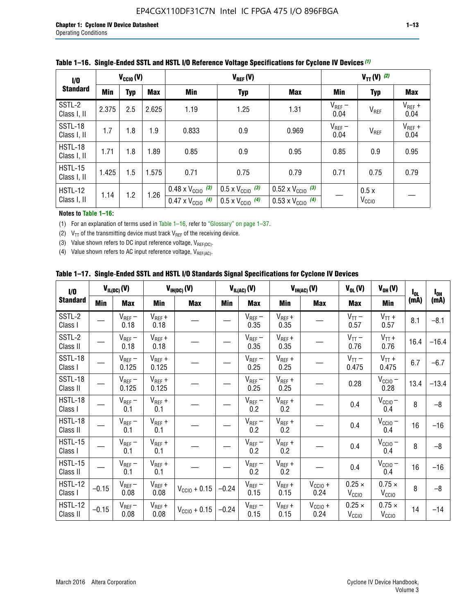| 1/0                           |       | $V_{\text{CC10}}(V)$ |       |                                                                        | $V_{REF}(V)$                                                         |                                                                        |                     | $V_{TT} (V)$ (2)          |                     |
|-------------------------------|-------|----------------------|-------|------------------------------------------------------------------------|----------------------------------------------------------------------|------------------------------------------------------------------------|---------------------|---------------------------|---------------------|
| <b>Standard</b>               | Min   | <b>Typ</b>           | Max   | Min                                                                    | <b>Typ</b>                                                           | Max                                                                    | Min                 | <b>Typ</b>                | <b>Max</b>          |
| SSTL-2<br>Class I, II         | 2.375 | 2.5                  | 2.625 | 1.19                                                                   | 1.25                                                                 | 1.31                                                                   | $V_{REF}$ –<br>0.04 | $V_{REF}$                 | $V_{REF}$ +<br>0.04 |
| SSTL-18<br>Class I, II        | 1.7   | 1.8                  | 1.9   | 0.833                                                                  | 0.9                                                                  | 0.969                                                                  | $V_{REF}$ –<br>0.04 | V <sub>REF</sub>          | $V_{REF}$ +<br>0.04 |
| HSTL-18<br>Class I, II        | 1.71  | 1.8                  | 1.89  | 0.85                                                                   | 0.9                                                                  | 0.95                                                                   | 0.85                | 0.9                       | 0.95                |
| <b>HSTL-15</b><br>Class I, II | 1.425 | 1.5                  | 1.575 | 0.71                                                                   | 0.75                                                                 | 0.79                                                                   | 0.71                | 0.75                      | 0.79                |
| HSTL-12<br>Class I, II        | 1.14  | 1.2                  | 1.26  | $0.48 \times V_{\text{CC10}}$ (3)<br>$0.47 \times V_{\text{CC10}}$ (4) | $0.5 \times V_{\text{CC10}}$ (3)<br>$0.5 \times V_{\text{CC10}}$ (4) | $0.52 \times V_{\text{CC10}}$ (3)<br>$0.53 \times V_{\text{CC10}}$ (4) |                     | 0.5x<br>V <sub>CCIO</sub> |                     |

|  |  |  |  | Table 1–16. Single-Ended SSTL and HSTL I/O Reference Voltage Specifications for Cyclone IV Devices (1) |
|--|--|--|--|--------------------------------------------------------------------------------------------------------|
|--|--|--|--|--------------------------------------------------------------------------------------------------------|

**Notes to Table 1–16:**

(1) For an explanation of terms used in Table 1–16, refer to "Glossary" on page 1–37.

(2)  $V_{TT}$  of the transmitting device must track  $V_{REF}$  of the receiving device.

(3) Value shown refers to DC input reference voltage,  $V_{REF(DC)}$ .

(4) Value shown refers to AC input reference voltage,  $V_{REF(AC)}$ .

|  | Table 1–17.  Single-Ended SSTL and HSTL I/O Standards Signal Specifications for Cyclone IV Devices |  |  |  |  |  |
|--|----------------------------------------------------------------------------------------------------|--|--|--|--|--|
|--|----------------------------------------------------------------------------------------------------|--|--|--|--|--|

| $\mathbf{I}/\mathbf{0}$    |            | $V_{IL(DC)}(V)$      |                      | $V_{IH(DC)}(V)$   |         | $V_{IL(AC)}(V)$     |                     | $V_{IH(AC)}(V)$      | $V_{OL}(V)$                        | $V_{OH} (V)$                       | $I_{0L}$ | $I_{0H}$ |
|----------------------------|------------|----------------------|----------------------|-------------------|---------|---------------------|---------------------|----------------------|------------------------------------|------------------------------------|----------|----------|
| <b>Standard</b>            | <b>Min</b> | <b>Max</b>           | <b>Min</b>           | <b>Max</b>        | Min     | <b>Max</b>          | <b>Min</b>          | <b>Max</b>           | <b>Max</b>                         | Min                                | (mA)     | (mA)     |
| SSTL-2<br>Class I          |            | $V_{REF}$ –<br>0.18  | $V_{REF} +$<br>0.18  |                   |         | $V_{REF}$ –<br>0.35 | $V_{REF} +$<br>0.35 |                      | $V_{TT}$ –<br>0.57                 | $V_{TT}$ +<br>0.57                 | 8.1      | $-8.1$   |
| SSTL-2<br>Class II         |            | $V_{REF}$ –<br>0.18  | $V_{REF} +$<br>0.18  |                   |         | $V_{REF}$ –<br>0.35 | $V_{REF} +$<br>0.35 |                      | $V_{TT}$ –<br>0.76                 | $V_{TT}$ +<br>0.76                 | 16.4     | $-16.4$  |
| SSTL-18<br>Class I         |            | $V_{REF}$ –<br>0.125 | $V_{REF} +$<br>0.125 |                   |         | $V_{REF}$ –<br>0.25 | $V_{REF}$ +<br>0.25 |                      | $V_{TT}$ –<br>0.475                | $V_{TT}$ +<br>0.475                | 6.7      | $-6.7$   |
| SSTL-18<br>Class II        |            | $V_{REF}$ –<br>0.125 | $V_{REF}$ +<br>0.125 |                   |         | $V_{REF}$ –<br>0.25 | $V_{REF}$ +<br>0.25 |                      | 0.28                               | $V_{CC10} -$<br>0.28               | 13.4     | $-13.4$  |
| HSTL-18<br>Class I         |            | $V_{REF}$ –<br>0.1   | $V_{REF}$ +<br>0.1   |                   |         | $V_{REF}$ –<br>0.2  | $V_{REF}$ +<br>0.2  |                      | 0.4                                | $V_{CCIO}$ –<br>0.4                | 8        | $-8$     |
| HSTL-18<br>Class II        |            | $V_{REF}$ –<br>0.1   | $V_{REF}$ +<br>0.1   |                   |         | $V_{REF}$ –<br>0.2  | $V_{REF}$ +<br>0.2  |                      | 0.4                                | $V_{CCIO}$ –<br>0.4                | 16       | $-16$    |
| HSTL-15<br>Class I         |            | $V_{REF}$ –<br>0.1   | $V_{REF} +$<br>0.1   |                   |         | $V_{REF}$ –<br>0.2  | $V_{REF}$ +<br>0.2  |                      | 0.4                                | $V_{\text{CC10}} -$<br>0.4         | 8        | $-8$     |
| HSTL-15<br>Class II        |            | $V_{REF}$ –<br>0.1   | $V_{REF} +$<br>0.1   |                   |         | $V_{REF}$ –<br>0.2  | $V_{REF}$ +<br>0.2  |                      | 0.4                                | $V_{CC10}$ –<br>0.4                | 16       | $-16$    |
| <b>HSTL-12</b><br>Class I  | $-0.15$    | $V_{REF}$ –<br>0.08  | $V_{REF} +$<br>0.08  | $V_{CGI0} + 0.15$ | $-0.24$ | $V_{REF}$ –<br>0.15 | $V_{REF} +$<br>0.15 | $V_{CCIO} +$<br>0.24 | $0.25 \times$<br>V <sub>CCIO</sub> | $0.75 \times$<br>V <sub>CCIO</sub> | 8        | $-8$     |
| <b>HSTL-12</b><br>Class II | $-0.15$    | $V_{REF}-$<br>0.08   | $V_{REF} +$<br>0.08  | $V_{CGI0} + 0.15$ | $-0.24$ | $V_{REF}$ –<br>0.15 | $V_{REF} +$<br>0.15 | $V_{CCIO}$ +<br>0.24 | $0.25 \times$<br>V <sub>CCIO</sub> | $0.75 \times$<br>V <sub>CCIO</sub> | 14       | $-14$    |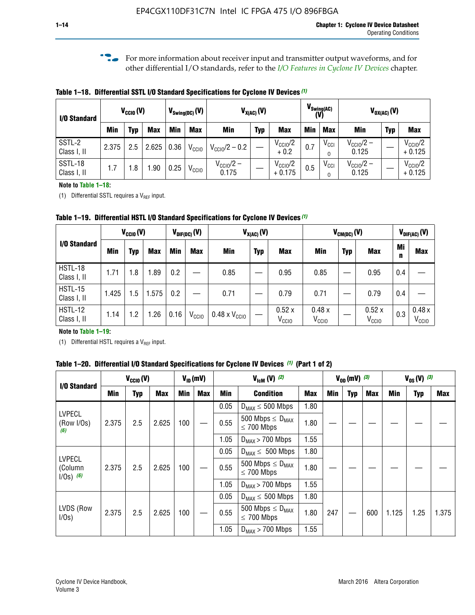**f For more information about receiver input and transmitter output waveforms, and for** other differential I/O standards, refer to the *[I/O Features in Cyclone IV Devices](http://www.altera.com/literature/hb/cyclone-iv/cyiv-51006.pdf)* chapter*.*

**Table 1–18. Differential SSTL I/O Standard Specifications for Cyclone IV Devices** *(1)*

| I/O Standard           |       | $V_{CCl0}(V)$ |            | $V_{\text{Swing(DC)}}(V)$ |                   | $V_{X(AC)}(V)$                 |            | $V_{\text{Swing(AC)}}$<br>(V)   |            | $V_{OX(AC)}(V)$ |                                |            |                                 |
|------------------------|-------|---------------|------------|---------------------------|-------------------|--------------------------------|------------|---------------------------------|------------|-----------------|--------------------------------|------------|---------------------------------|
|                        | Min   | Typ           | <b>Max</b> | Min                       | <b>Max</b>        | <b>Min</b>                     | <b>Typ</b> | <b>Max</b>                      | <b>Min</b> | <b>Max</b>      | Min                            | <b>Typ</b> | <b>Max</b>                      |
| SSTL-2<br>Class I, II  | 2.375 | 2.5           | 2.625      | 0.36                      | V <sub>CCIO</sub> | $V_{\text{CC10}}/2 - 0.2$      |            | $V_{\text{CC1O}}/2$<br>$+0.2$   | 0.7        | $V_{\rm CCI}$   | $V_{\text{CC10}}/2 -$<br>0.125 |            | $V_{\text{CC10}}/2$<br>$+0.125$ |
| SSTL-18<br>Class I, II | 1.7   | .8            | .90        | 0.25                      | V <sub>CCIO</sub> | $V_{\text{CC10}}/2 -$<br>0.175 |            | $V_{\text{CC10}}/2$<br>$+0.175$ | 0.5        | $V_{\rm CCI}$   | $V_{\text{CC10}}/2 -$<br>0.125 |            | $V_{\text{CC10}}/2$<br>$+0.125$ |

#### **Note to Table 1–18:**

(1) Differential SSTL requires a  $V_{REF}$  input.

**Table 1–19. Differential HSTL I/O Standard Specifications for Cyclone IV Devices** *(1)*

|                               | $V_{CClO}(V)$ |     |            | $V_{\text{DIF(DC)}}(V)$ |                   | $V_{X(AC)}(V)$                |            |                            | $V_{CM(DC)}(V)$            |            |                            |         | $V_{\text{DIF(AC)}}(V)$    |  |
|-------------------------------|---------------|-----|------------|-------------------------|-------------------|-------------------------------|------------|----------------------------|----------------------------|------------|----------------------------|---------|----------------------------|--|
| I/O Standard                  | Min           | Typ | <b>Max</b> | Min                     | <b>Max</b>        | Min                           | <b>Typ</b> | <b>Max</b>                 | Min                        | <b>Typ</b> | <b>Max</b>                 | Mi<br>n | <b>Max</b>                 |  |
| HSTL-18<br>Class I, II        | 1.71          | 1.8 | .89        | 0.2                     |                   | 0.85                          |            | 0.95                       | 0.85                       |            | 0.95                       | 0.4     |                            |  |
| <b>HSTL-15</b><br>Class I, II | 1.425         | 1.5 | .575       | $0.2\,$                 |                   | 0.71                          |            | 0.79                       | 0.71                       |            | 0.79                       | 0.4     |                            |  |
| <b>HSTL-12</b><br>Class I, II | 1.14          | 1.2 | 1.26       | 0.16                    | V <sub>CCIO</sub> | $0.48 \times V_{\text{CC10}}$ |            | 0.52x<br>V <sub>CCIO</sub> | 0.48x<br>V <sub>CCIO</sub> |            | 0.52x<br>V <sub>CCIO</sub> | 0.3     | 0.48x<br>V <sub>CCIO</sub> |  |

#### **Note to Table 1–19:**

(1) Differential HSTL requires a  $V_{REF}$  input.

**Table 1–20. Differential I/O Standard Specifications for Cyclone IV Devices** *(1)* **(Part 1 of 2)**

| I/O Standard                            |       | $V_{CCl0} (V)$ |            |            | $V_{ID}$ (mV) | $V_{\text{lcm}}(V)^{(2)}$ |                                                     |            | $V_{0D}$ (mV) $(3)$ |     |     | $V_{0S} (V)^{(3)}$ |            |       |
|-----------------------------------------|-------|----------------|------------|------------|---------------|---------------------------|-----------------------------------------------------|------------|---------------------|-----|-----|--------------------|------------|-------|
|                                         | Min   | Typ            | <b>Max</b> | <b>Min</b> | <b>Max</b>    | Min                       | <b>Condition</b>                                    | <b>Max</b> | Min                 | Typ | Max | Min                | <b>Typ</b> | Max   |
|                                         |       |                |            |            |               | 0.05                      | $D_{MAX} \leq 500$ Mbps                             | 1.80       |                     |     |     |                    |            |       |
| <b>LVPECL</b><br>(Row I/Os)<br>(6)      | 2.375 | 2.5            | 2.625      | 100        |               | 0.55                      | 500 Mbps $\leq$ D <sub>MAX</sub><br>$\leq$ 700 Mbps | 1.80       |                     |     |     |                    |            |       |
|                                         |       |                |            |            |               | 1.05                      | $D_{MAX}$ > 700 Mbps                                | 1.55       |                     |     |     |                    |            |       |
|                                         |       |                |            |            |               | 0.05                      | $D_{MAX} \leq 500$ Mbps                             | 1.80       |                     |     |     |                    |            |       |
| <b>LVPECL</b><br>(Column<br>$1/Os)$ (6) | 2.375 | 2.5            | 2.625      | 100        |               | 0.55                      | 500 Mbps $\leq D_{MAX}$<br>$\leq$ 700 Mbps          | 1.80       |                     |     |     |                    |            |       |
|                                         |       |                |            |            |               | 1.05                      | $D_{MAX}$ > 700 Mbps                                | 1.55       |                     |     |     |                    |            |       |
|                                         |       |                |            |            |               | 0.05                      | $D_{MAX} \leq 500$ Mbps                             | 1.80       |                     |     |     |                    |            |       |
| LVDS (Row<br>I/Os)                      | 2.375 | 2.5            | 2.625      | 100        |               | 0.55                      | 500 Mbps $\leq D_{MAX}$<br>$\leq 700$ Mbps          | 1.80       | 247                 |     | 600 | 1.125              | 1.25       | 1.375 |
|                                         |       |                |            |            |               | 1.05                      | $D_{MAX}$ > 700 Mbps                                | 1.55       |                     |     |     |                    |            |       |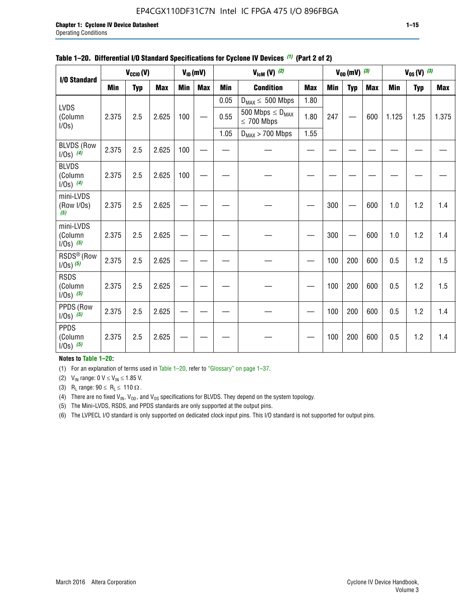#### EP4CGX110DF31C7N Intel IC FPGA 475 I/O 896FBGA

|                                         | $V_{ID}(mV)$<br>$V_{\text{lcm}}(V)$ (2)<br>$V_{\text{CCIO}}(V)$ |            |            |            |            |            |                                            |            |     | $V_{OD}$ (mV) $(3)$ |            | $V_{0S} (V)$ (3) |            |       |
|-----------------------------------------|-----------------------------------------------------------------|------------|------------|------------|------------|------------|--------------------------------------------|------------|-----|---------------------|------------|------------------|------------|-------|
| I/O Standard                            |                                                                 |            |            |            |            |            |                                            |            |     |                     |            |                  |            |       |
|                                         | <b>Min</b>                                                      | <b>Typ</b> | <b>Max</b> | <b>Min</b> | <b>Max</b> | <b>Min</b> | <b>Condition</b>                           | <b>Max</b> | Min | <b>Typ</b>          | <b>Max</b> | Min              | <b>Typ</b> | Max   |
|                                         |                                                                 |            |            |            |            | 0.05       | $D_{MAX} \leq 500$ Mbps                    | 1.80       |     |                     |            |                  |            |       |
| LVDS<br>(Column<br>$I/Os$ )             | 2.375                                                           | 2.5        | 2.625      | 100        |            | 0.55       | 500 Mbps $\leq D_{MAX}$<br>$\leq 700$ Mbps | 1.80       | 247 |                     | 600        | 1.125            | 1.25       | 1.375 |
|                                         |                                                                 |            |            |            |            | 1.05       | $D_{MAX}$ > 700 Mbps                       | 1.55       |     |                     |            |                  |            |       |
| <b>BLVDS (Row</b><br>$1/0s)$ (4)        | 2.375                                                           | 2.5        | 2.625      | 100        |            |            |                                            |            |     |                     |            |                  |            |       |
| <b>BLVDS</b><br>(Column<br>$1/0s)$ (4)  | 2.375                                                           | 2.5        | 2.625      | 100        |            |            |                                            |            |     |                     |            |                  |            |       |
| mini-LVDS<br>(Row I/Os)<br>(5)          | 2.375                                                           | 2.5        | 2.625      |            |            |            |                                            |            | 300 |                     | 600        | 1.0              | 1.2        | 1.4   |
| mini-LVDS<br>(Column<br>$1/0s)$ (5)     | 2.375                                                           | 2.5        | 2.625      |            |            |            |                                            |            | 300 |                     | 600        | 1.0              | 1.2        | 1.4   |
| RSDS <sup>®</sup> (Row<br>$1/0s)$ $(5)$ | 2.375                                                           | 2.5        | 2.625      |            |            |            |                                            |            | 100 | 200                 | 600        | 0.5              | 1.2        | 1.5   |
| <b>RSDS</b><br>(Column<br>$1/Os)$ (5)   | 2.375                                                           | 2.5        | 2.625      |            |            |            |                                            |            | 100 | 200                 | 600        | 0.5              | 1.2        | 1.5   |
| PPDS (Row<br>$1/Os)$ (5)                | 2.375                                                           | 2.5        | 2.625      |            |            |            |                                            |            | 100 | 200                 | 600        | 0.5              | 1.2        | 1.4   |
| <b>PPDS</b><br>(Column<br>$1/Os)$ (5)   | 2.375                                                           | 2.5        | 2.625      |            |            |            |                                            |            | 100 | 200                 | 600        | 0.5              | 1.2        | 1.4   |

#### **Table 1–20. Differential I/O Standard Specifications for Cyclone IV Devices** *(1)* **(Part 2 of 2)**

#### **Notes to Table 1–20:**

(1) For an explanation of terms used in Table 1–20, refer to "Glossary" on page 1–37.

(2)  $V_{IN}$  range: 0  $V \le V_{IN} \le 1.85$  V.

(3) R<sub>L</sub> range:  $90 \le R_L \le 110 \Omega$ .

(4) There are no fixed  $V_{IN}$ ,  $V_{OD}$ , and  $V_{OS}$  specifications for BLVDS. They depend on the system topology.

(5) The Mini-LVDS, RSDS, and PPDS standards are only supported at the output pins.

(6) The LVPECL I/O standard is only supported on dedicated clock input pins. This I/O standard is not supported for output pins.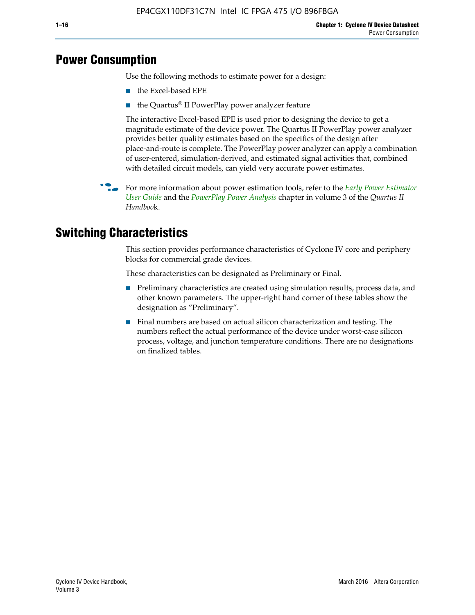## **Power Consumption**

Use the following methods to estimate power for a design:

- the Excel-based EPE
- the Quartus® II PowerPlay power analyzer feature

The interactive Excel-based EPE is used prior to designing the device to get a magnitude estimate of the device power. The Quartus II PowerPlay power analyzer provides better quality estimates based on the specifics of the design after place-and-route is complete. The PowerPlay power analyzer can apply a combination of user-entered, simulation-derived, and estimated signal activities that, combined with detailed circuit models, can yield very accurate power estimates.

f For more information about power estimation tools, refer to the *[Early Power Estimator](http://www.altera.com/literature/ug/ug_epe.pdf
)  [User Guide](http://www.altera.com/literature/ug/ug_epe.pdf
)* and the *[PowerPlay Power Analysis](http://www.altera.com/literature/hb/qts/qts_qii53013.pdf)* chapter in volume 3 of the *Quartus II Handboo*k.

## **Switching Characteristics**

This section provides performance characteristics of Cyclone IV core and periphery blocks for commercial grade devices.

These characteristics can be designated as Preliminary or Final.

- Preliminary characteristics are created using simulation results, process data, and other known parameters. The upper-right hand corner of these tables show the designation as "Preliminary".
- Final numbers are based on actual silicon characterization and testing. The numbers reflect the actual performance of the device under worst-case silicon process, voltage, and junction temperature conditions. There are no designations on finalized tables.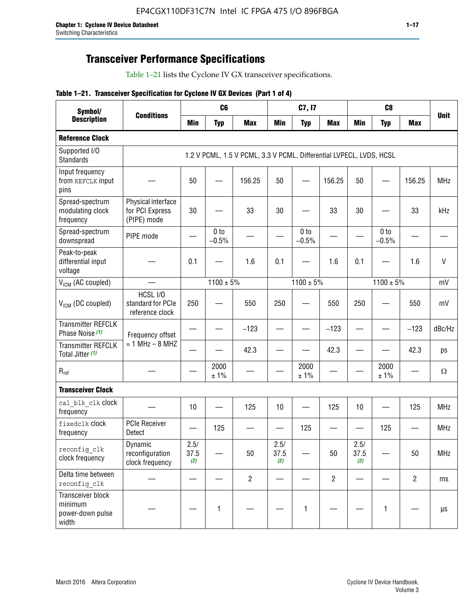## **Transceiver Performance Specifications**

Table 1–21 lists the Cyclone IV GX transceiver specifications.

|  |  |  |  | Table 1-21. Transceiver Specification for Cyclone IV GX Devices (Part 1 of 4) |  |
|--|--|--|--|-------------------------------------------------------------------------------|--|
|--|--|--|--|-------------------------------------------------------------------------------|--|

| Symbol/                                                   | <b>Conditions</b>                                    |                     | C <sub>6</sub>  |                                                                     |                     | C7, I7          |                          | C <sub>8</sub>      |                 |                |              |
|-----------------------------------------------------------|------------------------------------------------------|---------------------|-----------------|---------------------------------------------------------------------|---------------------|-----------------|--------------------------|---------------------|-----------------|----------------|--------------|
| <b>Description</b>                                        |                                                      | Min                 | <b>Typ</b>      | <b>Max</b>                                                          | <b>Min</b>          | <b>Typ</b>      | <b>Max</b>               | <b>Min</b>          | <b>Typ</b>      | <b>Max</b>     | <b>Unit</b>  |
| <b>Reference Clock</b>                                    |                                                      |                     |                 |                                                                     |                     |                 |                          |                     |                 |                |              |
| Supported I/O<br><b>Standards</b>                         |                                                      |                     |                 | 1.2 V PCML, 1.5 V PCML, 3.3 V PCML, Differential LVPECL, LVDS, HCSL |                     |                 |                          |                     |                 |                |              |
| Input frequency<br>from REFCLK input<br>pins              |                                                      | 50                  |                 | 156.25                                                              | 50                  |                 | 156.25                   | 50                  |                 | 156.25         | <b>MHz</b>   |
| Spread-spectrum<br>modulating clock<br>frequency          | Physical interface<br>for PCI Express<br>(PIPE) mode | 30                  |                 | 33                                                                  | 30                  |                 | 33                       | 30                  |                 | 33             | kHz          |
| Spread-spectrum<br>downspread                             | PIPE mode                                            |                     | 0 to<br>$-0.5%$ |                                                                     |                     | 0 to<br>$-0.5%$ | $\overline{\phantom{0}}$ |                     | 0 to<br>$-0.5%$ |                |              |
| Peak-to-peak<br>differential input<br>voltage             |                                                      | 0.1                 |                 | 1.6                                                                 | 0.1                 |                 | 1.6                      | 0.1                 |                 | 1.6            | $\mathsf{V}$ |
| V <sub>ICM</sub> (AC coupled)                             |                                                      |                     | $1100 \pm 5\%$  |                                                                     |                     | $1100 \pm 5\%$  |                          |                     | $1100 \pm 5\%$  |                | mV           |
| $V_{ICM}$ (DC coupled)                                    | HCSL I/O<br>standard for PCIe<br>reference clock     | 250                 |                 | 550                                                                 | 250                 |                 | 550                      | 250                 |                 | 550            | mV           |
| <b>Transmitter REFCLK</b><br>Phase Noise (1)              | Frequency offset                                     |                     |                 | $-123$                                                              |                     |                 | $-123$                   |                     |                 | $-123$         | dBc/Hz       |
| <b>Transmitter REFCLK</b><br>Total Jitter (1)             | $= 1$ MHz $- 8$ MHZ                                  |                     |                 | 42.3                                                                |                     |                 | 42.3                     |                     |                 | 42.3           | ps           |
| $R_{ref}$                                                 |                                                      |                     | 2000<br>±1%     |                                                                     |                     | 2000<br>± 1%    |                          |                     | 2000<br>± 1%    |                | $\Omega$     |
| <b>Transceiver Clock</b>                                  |                                                      |                     |                 |                                                                     |                     |                 |                          |                     |                 |                |              |
| cal blk clk clock<br>frequency                            |                                                      | 10                  |                 | 125                                                                 | 10                  |                 | 125                      | 10                  |                 | 125            | <b>MHz</b>   |
| fixedclk Clock<br>frequency                               | <b>PCIe Receiver</b><br>Detect                       |                     | 125             |                                                                     |                     | 125             |                          |                     | 125             |                | <b>MHz</b>   |
| reconfig_clk<br>clock frequency                           | Dynamic<br>reconfiguration<br>clock frequency        | 2.5/<br>37.5<br>(2) |                 | 50                                                                  | 2.5/<br>37.5<br>(2) |                 | 50                       | 2.5/<br>37.5<br>(2) |                 | 50             | MHz          |
| Delta time between<br>reconfig clk                        |                                                      |                     |                 | $\overline{2}$                                                      |                     |                 | $\overline{2}$           |                     |                 | $\overline{2}$ | ms           |
| Transceiver block<br>minimum<br>power-down pulse<br>width |                                                      |                     | 1               |                                                                     |                     | 1               |                          |                     | $\mathbf{1}$    |                | $\mu s$      |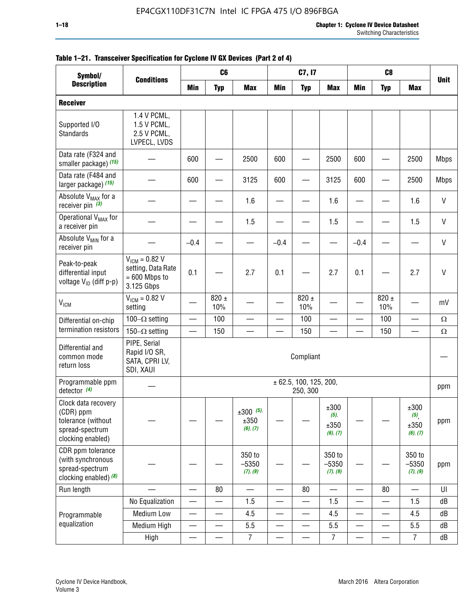| Symbol/                                                                                        |                                                                           | C <sub>8</sub><br>C <sub>6</sub><br>C7, I7<br><b>Conditions</b> |                          |                                    |                          |                                    |                                     |                          |                          |                                 |              |
|------------------------------------------------------------------------------------------------|---------------------------------------------------------------------------|-----------------------------------------------------------------|--------------------------|------------------------------------|--------------------------|------------------------------------|-------------------------------------|--------------------------|--------------------------|---------------------------------|--------------|
| <b>Description</b>                                                                             |                                                                           | <b>Min</b>                                                      | <b>Typ</b>               | <b>Max</b>                         | <b>Min</b>               | <b>Typ</b>                         | <b>Max</b>                          | <b>Min</b>               | <b>Typ</b>               | <b>Max</b>                      | <b>Unit</b>  |
| <b>Receiver</b>                                                                                |                                                                           |                                                                 |                          |                                    |                          |                                    |                                     |                          |                          |                                 |              |
| Supported I/O<br>Standards                                                                     | 1.4 V PCML,<br>1.5 V PCML,<br>2.5 V PCML,<br>LVPECL, LVDS                 |                                                                 |                          |                                    |                          |                                    |                                     |                          |                          |                                 |              |
| Data rate (F324 and<br>smaller package) (15)                                                   |                                                                           | 600                                                             |                          | 2500                               | 600                      |                                    | 2500                                | 600                      |                          | 2500                            | <b>Mbps</b>  |
| Data rate (F484 and<br>larger package) (15)                                                    |                                                                           | 600                                                             |                          | 3125                               | 600                      |                                    | 3125                                | 600                      |                          | 2500                            | <b>Mbps</b>  |
| Absolute V <sub>MAX</sub> for a<br>receiver pin $(3)$                                          |                                                                           |                                                                 |                          | 1.6                                |                          |                                    | 1.6                                 |                          |                          | 1.6                             | $\mathsf{V}$ |
| Operational V <sub>MAX</sub> for<br>a receiver pin                                             |                                                                           |                                                                 |                          | 1.5                                |                          |                                    | 1.5                                 |                          |                          | 1.5                             | $\mathsf{V}$ |
| Absolute V <sub>MIN</sub> for a<br>receiver pin                                                |                                                                           | $-0.4$                                                          |                          |                                    | $-0.4$                   |                                    |                                     | $-0.4$                   |                          |                                 | $\mathsf{V}$ |
| Peak-to-peak<br>differential input<br>voltage V <sub>ID</sub> (diff p-p)                       | $V_{ICM} = 0.82 V$<br>setting, Data Rate<br>$= 600$ Mbps to<br>3.125 Gbps | 0.1                                                             |                          | 2.7                                | 0.1                      |                                    | 2.7                                 | 0.1                      |                          | 2.7                             | $\mathsf{V}$ |
| <b>V<sub>ICM</sub></b>                                                                         | $V_{IGM} = 0.82 V$<br>setting                                             |                                                                 | $820 \pm$<br>10%         |                                    |                          | 820 $\pm$<br>10%                   |                                     |                          | $820 \pm$<br>10%         |                                 | mV           |
| Differential on-chip                                                                           | 100 $-\Omega$ setting                                                     |                                                                 | 100                      |                                    |                          | 100                                |                                     | —<br>—                   | 100                      | $\overline{\phantom{0}}$        | $\Omega$     |
| termination resistors                                                                          | 150 $-\Omega$ setting                                                     |                                                                 | 150                      |                                    |                          | 150                                |                                     |                          | 150                      |                                 | $\Omega$     |
| Differential and<br>common mode<br>return loss                                                 | PIPE, Serial<br>Rapid I/O SR,<br>SATA, CPRI LV,<br>SDI, XAUI              |                                                                 |                          |                                    |                          | Compliant                          |                                     |                          |                          |                                 |              |
| Programmable ppm<br>detector $(4)$                                                             |                                                                           |                                                                 |                          |                                    |                          | ± 62.5, 100, 125, 200,<br>250, 300 |                                     |                          |                          |                                 | ppm          |
| Clock data recovery<br>(CDR) ppm<br>tolerance (without<br>spread-spectrum<br>clocking enabled) |                                                                           |                                                                 |                          | $\pm 300$ (5),<br>±350<br>(6), (7) |                          |                                    | ±300<br>$(5)$ ,<br>±350<br>(6), (7) |                          |                          | ±300<br>(5)<br>±350<br>(6), (7) | ppm          |
| CDR ppm tolerance<br>(with synchronous<br>spread-spectrum<br>clocking enabled) (8)             |                                                                           |                                                                 |                          | 350 to<br>$-5350$<br>(7), (9)      |                          |                                    | 350 to<br>$-5350$<br>(7), (9)       |                          |                          | 350 to<br>$-5350$<br>(7), (9)   | ppm          |
| Run length                                                                                     |                                                                           |                                                                 | 80                       |                                    |                          | 80                                 |                                     |                          | 80                       |                                 | UI           |
|                                                                                                | No Equalization                                                           | —                                                               |                          | 1.5                                | —                        |                                    | 1.5                                 | $\qquad \qquad$          |                          | 1.5                             | dB           |
| Programmable                                                                                   | <b>Medium Low</b>                                                         | —                                                               | $\overline{\phantom{0}}$ | 4.5                                | $\overline{\phantom{0}}$ | $\qquad \qquad$                    | 4.5                                 | —                        | $\overline{\phantom{0}}$ | 4.5                             | dB           |
| equalization                                                                                   | Medium High                                                               | $\overline{\phantom{0}}$                                        | —                        | 5.5                                | —                        | $\qquad \qquad$                    | 5.5                                 | $\overline{\phantom{0}}$ |                          | 5.5                             | dB           |
|                                                                                                | High                                                                      | $\overline{\phantom{0}}$                                        | $\qquad \qquad$          | $\overline{7}$                     | $\overline{\phantom{0}}$ |                                    | 7                                   |                          |                          | $\overline{7}$                  | dB           |

#### **Table 1–21. Transceiver Specification for Cyclone IV GX Devices (Part 2 of 4)**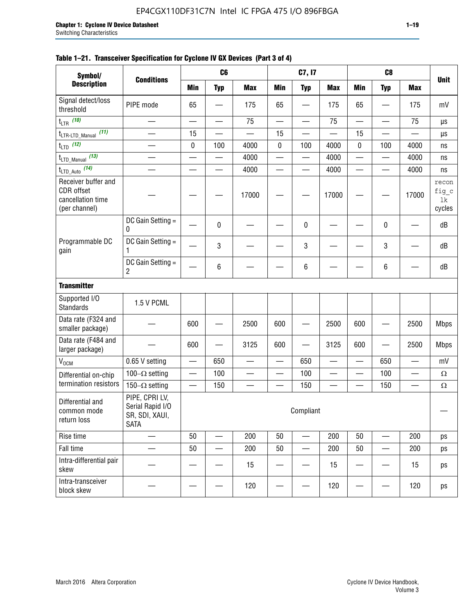|                                                                                | C <sub>6</sub><br>C7, I7<br>C <sub>8</sub><br>Symbol/               |           |            |                          |                          |                          |            |                          |            |                          |                                |
|--------------------------------------------------------------------------------|---------------------------------------------------------------------|-----------|------------|--------------------------|--------------------------|--------------------------|------------|--------------------------|------------|--------------------------|--------------------------------|
| <b>Description</b>                                                             | <b>Conditions</b>                                                   | Min       | <b>Typ</b> | <b>Max</b>               | <b>Min</b>               | <b>Typ</b>               | <b>Max</b> | <b>Min</b>               | <b>Typ</b> | <b>Max</b>               | <b>Unit</b>                    |
| Signal detect/loss<br>threshold                                                | PIPE mode                                                           | 65        |            | 175                      | 65                       |                          | 175        | 65                       |            | 175                      | mV                             |
| t <sub>LTR</sub> (10)                                                          |                                                                     |           |            | 75                       |                          | —                        | 75         |                          |            | 75                       | μs                             |
| (11)<br>t <sub>LTR-LTD_Manual</sub>                                            |                                                                     | 15        |            |                          | 15                       |                          |            | 15                       |            |                          | μs                             |
| $t_{\text{LTD}}$ (12)                                                          |                                                                     | $\pmb{0}$ | 100        | 4000                     | $\pmb{0}$                | 100                      | 4000       | 0                        | 100        | 4000                     | ns                             |
| t <sub>LTD_Manual</sub> (13)                                                   |                                                                     |           |            | 4000                     | $\overline{\phantom{0}}$ |                          | 4000       | —<br>—                   | —          | 4000                     | ns                             |
| t <sub>LTD_Auto</sub> (14)                                                     |                                                                     |           |            | 4000                     |                          |                          | 4000       |                          |            | 4000                     | ns                             |
| Receiver buffer and<br><b>CDR</b> offset<br>cancellation time<br>(per channel) |                                                                     |           |            | 17000                    |                          |                          | 17000      |                          |            | 17000                    | recon<br>fig_c<br>1k<br>cycles |
|                                                                                | DC Gain Setting =<br>0                                              |           | 0          |                          |                          | 0                        |            |                          | 0          |                          | dB                             |
| Programmable DC<br>gain                                                        | DC Gain Setting =<br>1                                              |           | 3          |                          |                          | 3                        |            |                          | 3          |                          | dB                             |
|                                                                                | DC Gain Setting =<br>2                                              |           | 6          |                          |                          | 6                        |            |                          | 6          |                          | dB                             |
| <b>Transmitter</b>                                                             |                                                                     |           |            |                          |                          |                          |            |                          |            |                          |                                |
| Supported I/O<br><b>Standards</b>                                              | 1.5 V PCML                                                          |           |            |                          |                          |                          |            |                          |            |                          |                                |
| Data rate (F324 and<br>smaller package)                                        |                                                                     | 600       |            | 2500                     | 600                      |                          | 2500       | 600                      |            | 2500                     | <b>Mbps</b>                    |
| Data rate (F484 and<br>larger package)                                         |                                                                     | 600       |            | 3125                     | 600                      |                          | 3125       | 600                      |            | 2500                     | <b>Mbps</b>                    |
| $\rm V_{\rm OCM}$                                                              | 0.65 V setting                                                      |           | 650        |                          |                          | 650                      |            |                          | 650        |                          | mV                             |
| Differential on-chip                                                           | 100 $-\Omega$ setting                                               |           | 100        | $\overline{\phantom{0}}$ | $\overline{\phantom{0}}$ | 100                      |            | $\overline{\phantom{0}}$ | 100        | $\overline{\phantom{0}}$ | $\Omega$                       |
| termination resistors                                                          | 150 $-\Omega$ setting                                               |           | 150        |                          |                          | 150                      |            |                          | 150        |                          | $\Omega$                       |
| Differential and<br>common mode<br>return loss                                 | PIPE, CPRI LV,<br>Serial Rapid I/O<br>SR, SDI, XAUI,<br><b>SATA</b> |           |            |                          |                          | Compliant                |            |                          |            |                          |                                |
| Rise time                                                                      |                                                                     | 50        |            | 200                      | 50                       |                          | 200        | 50                       |            | 200                      | ps                             |
| Fall time                                                                      |                                                                     | 50        |            | 200                      | 50                       | $\overline{\phantom{0}}$ | 200        | 50                       |            | 200                      | ps                             |
| Intra-differential pair<br>skew                                                |                                                                     |           |            | 15                       |                          |                          | 15         |                          |            | 15                       | ps                             |
| Intra-transceiver<br>block skew                                                |                                                                     |           |            | 120                      |                          |                          | 120        |                          |            | 120                      | ps                             |

#### **Table 1–21. Transceiver Specification for Cyclone IV GX Devices (Part 3 of 4)**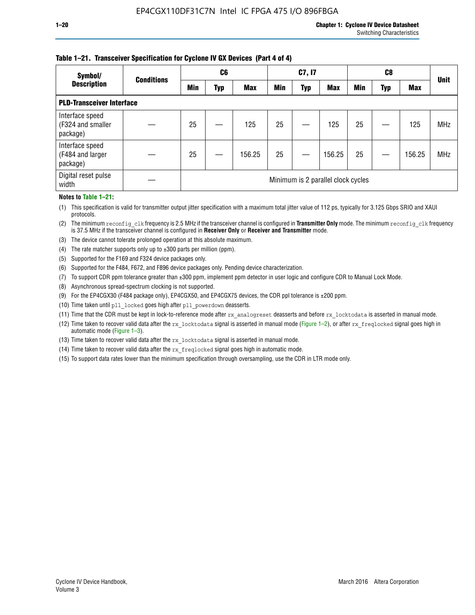#### **Table 1–21. Transceiver Specification for Cyclone IV GX Devices (Part 4 of 4)**

| Symbol/                                          | <b>Conditions</b> | C <sub>6</sub>                     |     |            | C7, I7     |            |            | C8         |     |            | <b>Unit</b> |
|--------------------------------------------------|-------------------|------------------------------------|-----|------------|------------|------------|------------|------------|-----|------------|-------------|
| <b>Description</b>                               |                   | Min                                | Typ | <b>Max</b> | <b>Min</b> | <b>Typ</b> | <b>Max</b> | <b>Min</b> | Typ | <b>Max</b> |             |
| <b>PLD-Transceiver Interface</b>                 |                   |                                    |     |            |            |            |            |            |     |            |             |
| Interface speed<br>(F324 and smaller<br>package) |                   | 25                                 |     | 125        | 25         |            | 125        | 25         |     | 125        | <b>MHz</b>  |
| Interface speed<br>(F484 and larger<br>package)  |                   | 25                                 |     | 156.25     | 25         |            | 156.25     | 25         |     | 156.25     | <b>MHz</b>  |
| Digital reset pulse<br>width                     |                   | Minimum is 2 parallel clock cycles |     |            |            |            |            |            |     |            |             |

#### **Notes to Table 1–21:**

(1) This specification is valid for transmitter output jitter specification with a maximum total jitter value of 112 ps, typically for 3.125 Gbps SRIO and XAUI protocols.

(2) The minimum reconfig\_clk frequency is 2.5 MHz if the transceiver channel is configured in **Transmitter Only** mode. The minimum reconfig\_clk frequency is 37.5 MHz if the transceiver channel is configured in **Receiver Only** or **Receiver and Transmitter** mode.

(3) The device cannot tolerate prolonged operation at this absolute maximum.

- (4) The rate matcher supports only up to  $\pm 300$  parts per million (ppm).
- (5) Supported for the F169 and F324 device packages only.
- (6) Supported for the F484, F672, and F896 device packages only. Pending device characterization.
- (7) To support CDR ppm tolerance greater than ±300 ppm, implement ppm detector in user logic and configure CDR to Manual Lock Mode.
- (8) Asynchronous spread-spectrum clocking is not supported.
- (9) For the EP4CGX30 (F484 package only), EP4CGX50, and EP4CGX75 devices, the CDR ppl tolerance is ±200 ppm.
- (10) Time taken until pll\_locked goes high after pll\_powerdown deasserts.
- (11) Time that the CDR must be kept in lock-to-reference mode after rx analogreset deasserts and before rx locktodata is asserted in manual mode.

(12) Time taken to recover valid data after the rx locktodata signal is asserted in manual mode (Figure 1–2), or after rx freqlocked signal goes high in automatic mode (Figure 1–3).

(13) Time taken to recover valid data after the rx locktodata signal is asserted in manual mode.

- (14) Time taken to recover valid data after the rx freqlocked signal goes high in automatic mode.
- (15) To support data rates lower than the minimum specification through oversampling, use the CDR in LTR mode only.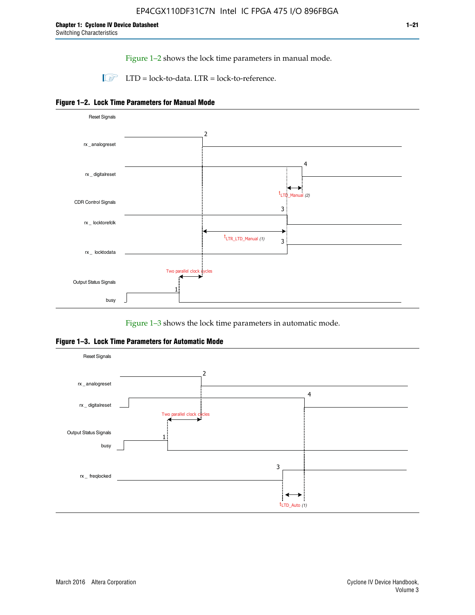Figure 1–2 shows the lock time parameters in manual mode.

 $\Box$  LTD = lock-to-data. LTR = lock-to-reference.





Figure 1–3 shows the lock time parameters in automatic mode.

**Figure 1–3. Lock Time Parameters for Automatic Mode**

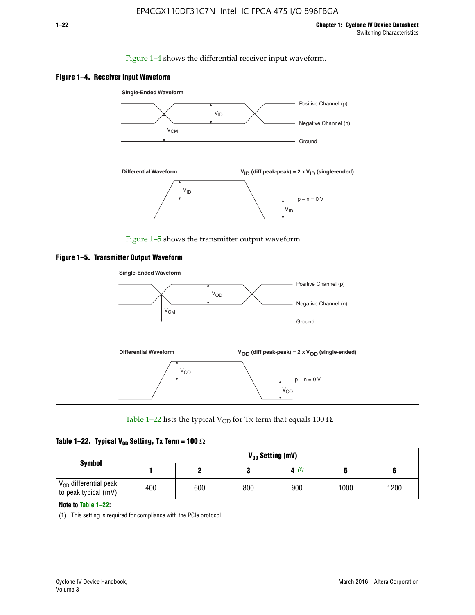#### Figure 1–4 shows the differential receiver input waveform.





Figure 1–5 shows the transmitter output waveform.





Table 1–22 lists the typical V<sub>OD</sub> for Tx term that equals 100  $\Omega$ .

| Table 1–22. Typical V <sub>0D</sub> Setting, Tx Term = 100 $\Omega$ |  |  |  |  |  |  |  |
|---------------------------------------------------------------------|--|--|--|--|--|--|--|
|---------------------------------------------------------------------|--|--|--|--|--|--|--|

|                                                        |     |     |     | V <sub>on</sub> Setting (mV) |      |      |
|--------------------------------------------------------|-----|-----|-----|------------------------------|------|------|
| <b>Symbol</b>                                          |     |     |     | 4(1)                         |      |      |
| $\rm V_{OD}$ differential peak<br>to peak typical (mV) | 400 | 600 | 800 | 900                          | 1000 | 1200 |

**Note to Table 1–22:**

(1) This setting is required for compliance with the PCIe protocol.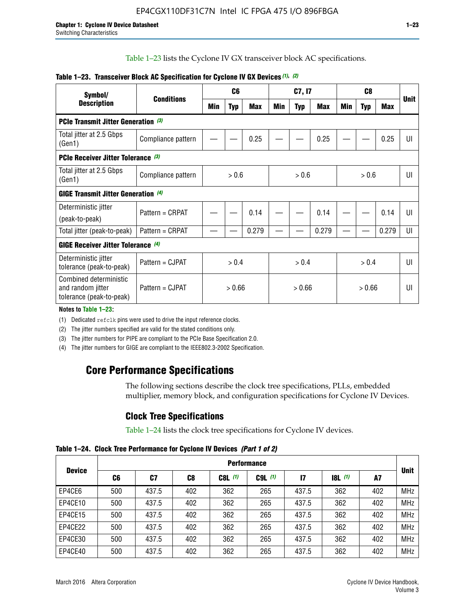Table 1–23 lists the Cyclone IV GX transceiver block AC specifications.

| Symbol/                                                                 | <b>Conditions</b>  |        | C <sub>6</sub> |            | C7, I7 |            | C <sub>8</sub> |     |            | <b>Unit</b>    |    |
|-------------------------------------------------------------------------|--------------------|--------|----------------|------------|--------|------------|----------------|-----|------------|----------------|----|
| <b>Description</b>                                                      |                    | Min    | <b>Typ</b>     | <b>Max</b> | Min    | <b>Typ</b> | Max            | Min | <b>Typ</b> | <b>Max</b>     |    |
| <b>PCIe Transmit Jitter Generation (3)</b>                              |                    |        |                |            |        |            |                |     |            |                |    |
| Total jitter at 2.5 Gbps<br>(Gen1)                                      | Compliance pattern |        |                | 0.25       |        |            | 0.25           |     |            | 0.25           | UI |
| <b>PCIe Receiver Jitter Tolerance (3)</b>                               |                    |        |                |            |        |            |                |     |            |                |    |
| Total jitter at 2.5 Gbps<br>(Gen1)                                      | Compliance pattern |        | > 0.6<br>> 0.6 |            |        | > 0.6      |                | UI  |            |                |    |
| <b>GIGE Transmit Jitter Generation (4)</b>                              |                    |        |                |            |        |            |                |     |            |                |    |
| Deterministic jitter                                                    | Pattern = CRPAT    |        |                | 0.14       |        |            | 0.14           |     |            | 0.14           | UI |
| (peak-to-peak)                                                          |                    |        |                |            |        |            |                |     |            |                |    |
| Total jitter (peak-to-peak)                                             | Pattern = CRPAT    |        |                | 0.279      |        |            | 0.279          |     |            | 0.279          | UI |
| <b>GIGE Receiver Jitter Tolerance</b> (4)                               |                    |        |                |            |        |            |                |     |            |                |    |
| Deterministic jitter<br>tolerance (peak-to-peak)                        | Pattern = CJPAT    | > 0.4  |                |            | > 0.4  |            | > 0.4          |     |            | $\mathsf{III}$ |    |
| Combined deterministic<br>and random jitter<br>tolerance (peak-to-peak) | Pattern = CJPAT    | > 0.66 |                | > 0.66     |        | > 0.66     |                | UI  |            |                |    |

#### **Table 1–23. Transceiver Block AC Specification for Cyclone IV GX Devices** *(1)***,** *(2)*

**Notes to Table 1–23:**

(1) Dedicated refclk pins were used to drive the input reference clocks.

(2) The jitter numbers specified are valid for the stated conditions only.

(3) The jitter numbers for PIPE are compliant to the PCIe Base Specification 2.0.

(4) The jitter numbers for GIGE are compliant to the IEEE802.3-2002 Specification.

## **Core Performance Specifications**

The following sections describe the clock tree specifications, PLLs, embedded multiplier, memory block, and configuration specifications for Cyclone IV Devices.

## **Clock Tree Specifications**

Table 1–24 lists the clock tree specifications for Cyclone IV devices.

**Table 1–24. Clock Tree Performance for Cyclone IV Devices** *(Part 1 of 2)*

|               |     |       | <b>Performance</b> |           |             |               |                  |     |             |
|---------------|-----|-------|--------------------|-----------|-------------|---------------|------------------|-----|-------------|
| <b>Device</b> | C6  | C7    | C8                 | $C8L$ (1) | $C9L$ $(1)$ | $\mathsf{I}7$ | <b>18L</b> $(1)$ | A7  | <b>Unit</b> |
| EP4CE6        | 500 | 437.5 | 402                | 362       | 265         | 437.5         | 362              | 402 | <b>MHz</b>  |
| EP4CE10       | 500 | 437.5 | 402                | 362       | 265         | 437.5         | 362              | 402 | <b>MHz</b>  |
| EP4CE15       | 500 | 437.5 | 402                | 362       | 265         | 437.5         | 362              | 402 | <b>MHz</b>  |
| EP4CE22       | 500 | 437.5 | 402                | 362       | 265         | 437.5         | 362              | 402 | <b>MHz</b>  |
| EP4CE30       | 500 | 437.5 | 402                | 362       | 265         | 437.5         | 362              | 402 | <b>MHz</b>  |
| EP4CE40       | 500 | 437.5 | 402                | 362       | 265         | 437.5         | 362              | 402 | <b>MHz</b>  |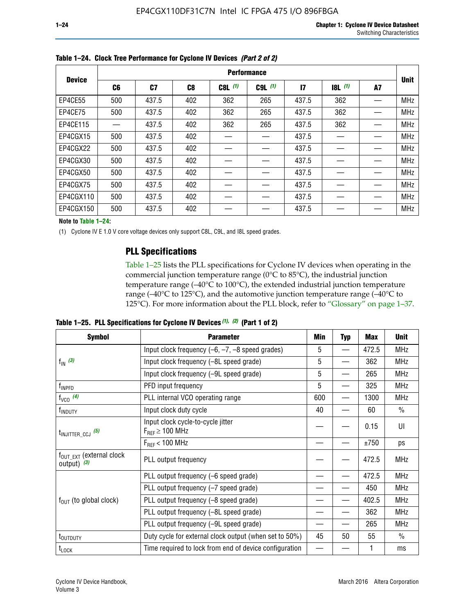|               | <b>Performance</b> |                |     |           |             |              |           |    |             |  |
|---------------|--------------------|----------------|-----|-----------|-------------|--------------|-----------|----|-------------|--|
| <b>Device</b> | C6                 | C <sub>7</sub> | C8  | $C8L$ (1) | $C9L$ $(1)$ | $\mathbf{I}$ | $18L$ (1) | A7 | <b>Unit</b> |  |
| EP4CE55       | 500                | 437.5          | 402 | 362       | 265         | 437.5        | 362       |    | <b>MHz</b>  |  |
| EP4CE75       | 500                | 437.5          | 402 | 362       | 265         | 437.5        | 362       |    | <b>MHz</b>  |  |
| EP4CE115      |                    | 437.5          | 402 | 362       | 265         | 437.5        | 362       |    | <b>MHz</b>  |  |
| EP4CGX15      | 500                | 437.5          | 402 |           |             | 437.5        |           |    | <b>MHz</b>  |  |
| EP4CGX22      | 500                | 437.5          | 402 |           |             | 437.5        |           |    | <b>MHz</b>  |  |
| EP4CGX30      | 500                | 437.5          | 402 |           |             | 437.5        |           |    | <b>MHz</b>  |  |
| EP4CGX50      | 500                | 437.5          | 402 |           |             | 437.5        |           |    | <b>MHz</b>  |  |
| EP4CGX75      | 500                | 437.5          | 402 |           |             | 437.5        |           |    | <b>MHz</b>  |  |
| EP4CGX110     | 500                | 437.5          | 402 |           |             | 437.5        |           |    | <b>MHz</b>  |  |
| EP4CGX150     | 500                | 437.5          | 402 |           |             | 437.5        |           |    | <b>MHz</b>  |  |

**Table 1–24. Clock Tree Performance for Cyclone IV Devices** *(Part 2 of 2)*

**Note to Table 1–24:**

(1) Cyclone IV E 1.0 V core voltage devices only support C8L, C9L, and I8L speed grades.

### **PLL Specifications**

Table 1–25 lists the PLL specifications for Cyclone IV devices when operating in the commercial junction temperature range (0°C to 85°C), the industrial junction temperature range (–40°C to 100°C), the extended industrial junction temperature range (–40°C to 125°C), and the automotive junction temperature range (–40°C to 125°C). For more information about the PLL block, refer to "Glossary" on page 1–37.

|  |  | Table 1–25. PLL Specifications for Cyclone IV Devices $(1)$ , $(2)$ (Part 1 of 2) |  |
|--|--|-----------------------------------------------------------------------------------|--|
|--|--|-----------------------------------------------------------------------------------|--|

| <b>Symbol</b>                                          | <b>Parameter</b>                                            | Min | <b>Typ</b>               | Max   | <b>Unit</b>   |
|--------------------------------------------------------|-------------------------------------------------------------|-----|--------------------------|-------|---------------|
|                                                        | Input clock frequency $(-6, -7, -8)$ speed grades)          | 5   | —                        | 472.5 | <b>MHz</b>    |
| $f_{\text{IN}}$ (3)                                    | Input clock frequency (-8L speed grade)                     | 5   |                          | 362   | <b>MHz</b>    |
|                                                        | Input clock frequency (-9L speed grade)                     | 5   |                          | 265   | <b>MHz</b>    |
| f <sub>INPFD</sub>                                     | PFD input frequency                                         | 5   |                          | 325   | <b>MHz</b>    |
| $f_{VCO}$ (4)                                          | PLL internal VCO operating range                            | 600 | $\overline{\phantom{0}}$ | 1300  | <b>MHz</b>    |
| f <sub>INDUTY</sub>                                    | Input clock duty cycle                                      | 40  |                          | 60    | $\frac{0}{0}$ |
| $t_{\text{INJITTER\_CCJ}}$ (5)                         | Input clock cycle-to-cycle jitter<br>$F_{REF} \geq 100$ MHz |     |                          | 0.15  | UI            |
|                                                        | $F_{RFF}$ < 100 MHz                                         |     |                          | ±750  | ps            |
| $f_{\text{OUT\_EXT}}$ (external clock<br>output) $(3)$ | PLL output frequency                                        |     |                          | 472.5 | <b>MHz</b>    |
|                                                        | PLL output frequency (-6 speed grade)                       |     |                          | 472.5 | <b>MHz</b>    |
|                                                        | PLL output frequency (-7 speed grade)                       |     |                          | 450   | <b>MHz</b>    |
| $f_{OUT}$ (to global clock)                            | PLL output frequency (-8 speed grade)                       |     |                          | 402.5 | <b>MHz</b>    |
|                                                        | PLL output frequency (-8L speed grade)                      |     |                          | 362   | <b>MHz</b>    |
|                                                        | PLL output frequency (-9L speed grade)                      |     |                          | 265   | <b>MHz</b>    |
| t <sub>outputy</sub>                                   | Duty cycle for external clock output (when set to 50%)      | 45  | 50                       | 55    | $\frac{0}{0}$ |
| $t_{\text{LOCK}}$                                      | Time required to lock from end of device configuration      |     |                          |       | ms            |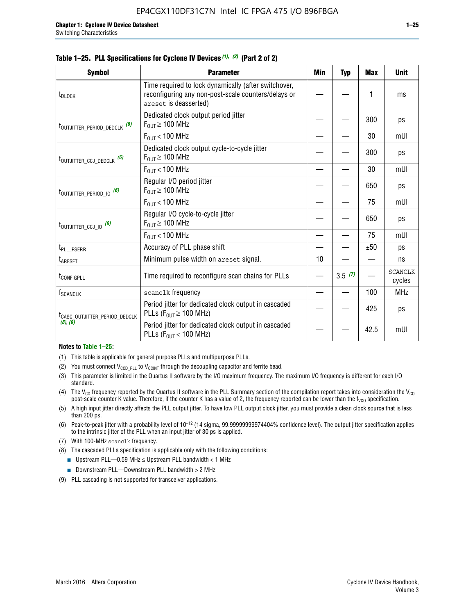|  |  | Table 1–25. PLL Specifications for Cyclone IV Devices (1), (2) (Part 2 of 2) |  |
|--|--|------------------------------------------------------------------------------|--|
|--|--|------------------------------------------------------------------------------|--|

| <b>Symbol</b>                             | <b>Parameter</b>                                                                                                                     | Min | <b>Typ</b> | <b>Max</b> | <b>Unit</b>              |
|-------------------------------------------|--------------------------------------------------------------------------------------------------------------------------------------|-----|------------|------------|--------------------------|
| t <sub>DLOCK</sub>                        | Time required to lock dynamically (after switchover,<br>reconfiguring any non-post-scale counters/delays or<br>areset is deasserted) |     |            | 1          | ms                       |
| t <sub>outjitter_period_dedclk</sub> (6)  | Dedicated clock output period jitter<br>$F_{OIII} \geq 100$ MHz                                                                      |     |            | 300        | ps                       |
|                                           | $F_{OUT}$ < 100 MHz                                                                                                                  |     |            | 30         | mUI                      |
| t <sub>outjitter_ccj_dedclk</sub> (6)     | Dedicated clock output cycle-to-cycle jitter<br>$F_{\text{OUT}} \geq 100 \text{ MHz}$                                                |     |            | 300        | ps                       |
|                                           | $F_{\text{OUT}}$ < 100 MHz                                                                                                           |     |            | 30         | mUI                      |
| t <sub>outjitter_period_io</sub> (6)      | Regular I/O period jitter<br>$F_{OIII} \geq 100$ MHz                                                                                 |     |            | 650        | ps                       |
|                                           | $F_{\text{OUT}}$ < 100 MHz                                                                                                           |     |            | 75         | mUI                      |
| t <sub>outjitter_ccj_io</sub> (6)         | Regular I/O cycle-to-cycle jitter<br>$F_{OUT} \geq 100$ MHz                                                                          |     |            | 650        | ps                       |
|                                           | $F_{\text{OUT}}$ < 100 MHz                                                                                                           |     |            | 75         | mUI                      |
| t <sub>PLL_PSERR</sub>                    | Accuracy of PLL phase shift                                                                                                          |     |            | ±50        | ps                       |
| t <sub>ARESET</sub>                       | Minimum pulse width on areset signal.                                                                                                | 10  |            |            | ns                       |
| t <sub>configpll</sub>                    | Time required to reconfigure scan chains for PLLs                                                                                    |     | 3.5(7)     |            | <b>SCANCLK</b><br>cycles |
| f <sub>SCANCLK</sub>                      | scanclk frequency                                                                                                                    |     |            | 100        | <b>MHz</b>               |
| t <sub>CASC_OUTJITTER_PERIOD_DEDCLK</sub> | Period jitter for dedicated clock output in cascaded<br>PLLs ( $F_{OUT} \ge 100$ MHz)                                                |     |            | 425        | ps                       |
| (8), (9)                                  | Period jitter for dedicated clock output in cascaded<br>PLLs ( $F_{OUT}$ < 100 MHz)                                                  |     |            | 42.5       | mUI                      |

#### **Notes to Table 1–25:**

- (1) This table is applicable for general purpose PLLs and multipurpose PLLs.
- (2) You must connect  $V_{CCD-PLL}$  to  $V_{CCINT}$  through the decoupling capacitor and ferrite bead.
- (3) This parameter is limited in the Quartus II software by the I/O maximum frequency. The maximum I/O frequency is different for each I/O standard.
- (4) The  $V_{CO}$  frequency reported by the Quartus II software in the PLL Summary section of the compilation report takes into consideration the  $V_{CO}$ post-scale counter K value. Therefore, if the counter K has a value of 2, the frequency reported can be lower than the f<sub>VCO</sub> specification.
- (5) A high input jitter directly affects the PLL output jitter. To have low PLL output clock jitter, you must provide a clean clock source that is less than 200 ps.
- (6) Peak-to-peak jitter with a probability level of 10–12 (14 sigma, 99.99999999974404% confidence level). The output jitter specification applies to the intrinsic jitter of the PLL when an input jitter of 30 ps is applied.
- (7) With 100-MHz scanclk frequency.
- (8) The cascaded PLLs specification is applicable only with the following conditions:
	- **■** Upstream PLL—0.59 MHz  $\leq$  Upstream PLL bandwidth  $<$  1 MHz
	- Downstream PLL—Downstream PLL bandwidth > 2 MHz
- (9) PLL cascading is not supported for transceiver applications.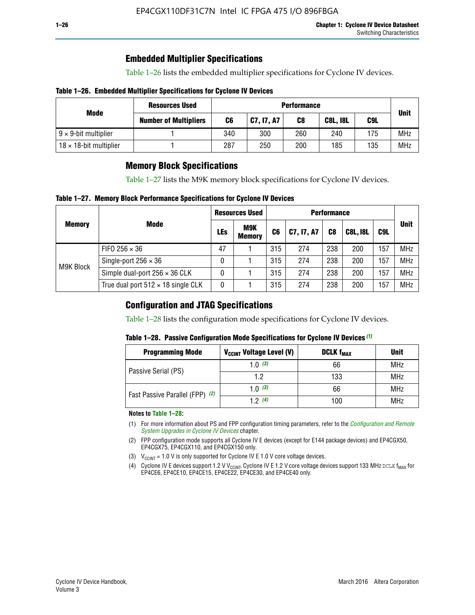### **Embedded Multiplier Specifications**

Table 1–26 lists the embedded multiplier specifications for Cyclone IV devices.

#### **Table 1–26. Embedded Multiplier Specifications for Cyclone IV Devices**

|                                | <b>Resources Used</b>        | <b>Performance</b> |            |     |                 |     |             |
|--------------------------------|------------------------------|--------------------|------------|-----|-----------------|-----|-------------|
| Mode                           | <b>Number of Multipliers</b> | C6                 | C7, I7, A7 | C8  | <b>C8L, I8L</b> | C9L | <b>Unit</b> |
| $9 \times 9$ -bit multiplier   |                              | 340                | 300        | 260 | 240             | 175 | <b>MHz</b>  |
| $18 \times 18$ -bit multiplier |                              | 287                | 250        | 200 | 185             | 135 | <b>MHz</b>  |

### **Memory Block Specifications**

Table 1–27 lists the M9K memory block specifications for Cyclone IV devices.

#### **Table 1–27. Memory Block Performance Specifications for Cyclone IV Devices**

|               |                                           | <b>Resources Used</b> |                      | <b>Performance</b> |            |                |                 |     |             |
|---------------|-------------------------------------------|-----------------------|----------------------|--------------------|------------|----------------|-----------------|-----|-------------|
| <b>Memory</b> | <b>Mode</b>                               | <b>LEs</b>            | M9K<br><b>Memory</b> | C <sub>6</sub>     | C7, I7, A7 | C <sub>8</sub> | <b>C8L, I8L</b> | C9L | <b>Unit</b> |
|               | FIFO 256 $\times$ 36                      | 47                    |                      | 315                | 274        | 238            | 200             | 157 | <b>MHz</b>  |
| M9K Block     | Single-port $256 \times 36$               | 0                     |                      | 315                | 274        | 238            | 200             | 157 | <b>MHz</b>  |
|               | Simple dual-port $256 \times 36$ CLK      | 0                     |                      | 315                | 274        | 238            | 200             | 157 | <b>MHz</b>  |
|               | True dual port $512 \times 18$ single CLK | 0                     |                      | 315                | 274        | 238            | 200             | 157 | <b>MHz</b>  |

### **Configuration and JTAG Specifications**

Table 1–28 lists the configuration mode specifications for Cyclone IV devices.

#### **Table 1–28. Passive Configuration Mode Specifications for Cyclone IV Devices** *(1)*

| <b>Programming Mode</b>         | V <sub>CCINT</sub> Voltage Level (V) | <b>DCLK f<sub>MAX</sub></b> | <b>Unit</b> |
|---------------------------------|--------------------------------------|-----------------------------|-------------|
| Passive Serial (PS)             | 1.0 $(3)$                            | 66                          | <b>MHz</b>  |
|                                 | 1.2                                  | 133                         | MHz         |
| Fast Passive Parallel (FPP) (2) | 1.0 $(3)$                            | 66                          | <b>MHz</b>  |
|                                 | 12(4)                                | 100                         | <b>MHz</b>  |

#### **Notes to Table 1–28:**

- (1) For more information about PS and FPP configuration timing parameters, refer to the *[Configuration and Remote](http://www.altera.com/literature/hb/cyclone-iv/cyiv-51008.pdf)  [System Upgrades in Cyclone IV Devices](http://www.altera.com/literature/hb/cyclone-iv/cyiv-51008.pdf)* chapter.
- (2) FPP configuration mode supports all Cyclone IV E devices (except for E144 package devices) and EP4CGX50, EP4CGX75, EP4CGX110, and EP4CGX150 only.
- (3)  $V_{CCMT}$  = 1.0 V is only supported for Cyclone IV E 1.0 V core voltage devices.
- (4) Cyclone IV E devices support 1.2 V V<sub>CCINT</sub>. Cyclone IV E 1.2 V core voltage devices support 133 MHz DCLK f<sub>MAX</sub> for EP4CE6, EP4CE10, EP4CE15, EP4CE22, EP4CE30, and EP4CE40 only.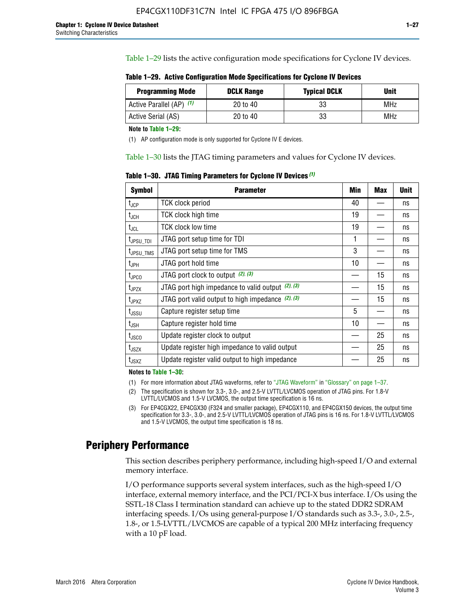Table 1–29 lists the active configuration mode specifications for Cyclone IV devices.

| Table 1–29. Active Configuration Mode Specifications for Cyclone IV Devices |  |  |  |
|-----------------------------------------------------------------------------|--|--|--|
|-----------------------------------------------------------------------------|--|--|--|

| <b>Programming Mode</b>  | <b>DCLK Range</b> | <b>Typical DCLK</b> | Unit |
|--------------------------|-------------------|---------------------|------|
| Active Parallel (AP) (1) | 20 to 40          | 33                  | MHz  |
| Active Serial (AS)       | 20 to 40          | 33                  | MHz  |

**Note to Table 1–29:**

(1) AP configuration mode is only supported for Cyclone IV E devices.

Table 1–30 lists the JTAG timing parameters and values for Cyclone IV devices.

**Table 1–30. JTAG Timing Parameters for Cyclone IV Devices** *(1)*

| <b>Symbol</b>         | <b>Parameter</b>                                       | Min | <b>Max</b> | <b>Unit</b> |
|-----------------------|--------------------------------------------------------|-----|------------|-------------|
| $t_{\text{JCP}}$      | <b>TCK clock period</b>                                | 40  |            | ns          |
| $t_{\sf JCH}$         | TCK clock high time                                    | 19  |            | ns          |
| $t_{JCL}$             | <b>TCK clock low time</b>                              | 19  |            | ns          |
| t <sub>JPSU_TDI</sub> | JTAG port setup time for TDI                           | 1   |            | ns          |
| t <sub>JPSU_TMS</sub> | JTAG port setup time for TMS                           | 3   |            | ns          |
| $t_{\mathsf{JPH}}$    | JTAG port hold time                                    | 10  |            | ns          |
| t <sub>JPCO</sub>     | JTAG port clock to output (2), (3)                     |     | 15         | ns          |
| $t_{JPZX}$            | JTAG port high impedance to valid output $(2)$ , $(3)$ |     | 15         | ns          |
| t <sub>JPXZ</sub>     | JTAG port valid output to high impedance $(2)$ , $(3)$ |     | 15         | ns          |
| $t_{\rm JSSU}$        | Capture register setup time                            | 5   |            | ns          |
| $t_{\mathsf{JSH}}$    | Capture register hold time                             | 10  |            | ns          |
| $t_{\rm JSCO}$        | Update register clock to output                        |     | 25         | ns          |
| $t_{\text{JSZX}}$     | Update register high impedance to valid output         |     | 25         | ns          |
| t <sub>JSXZ</sub>     | Update register valid output to high impedance         |     | 25         | ns          |

**Notes to Table 1–30:**

(1) For more information about JTAG waveforms, refer to "JTAG Waveform" in "Glossary" on page 1–37.

(2) The specification is shown for 3.3-, 3.0-, and 2.5-V LVTTL/LVCMOS operation of JTAG pins. For 1.8-V LVTTL/LVCMOS and 1.5-V LVCMOS, the output time specification is 16 ns.

(3) For EP4CGX22, EP4CGX30 (F324 and smaller package), EP4CGX110, and EP4CGX150 devices, the output time specification for 3.3-, 3.0-, and 2.5-V LVTTL/LVCMOS operation of JTAG pins is 16 ns. For 1.8-V LVTTL/LVCMOS and 1.5-V LVCMOS, the output time specification is 18 ns.

## **Periphery Performance**

This section describes periphery performance, including high-speed I/O and external memory interface.

I/O performance supports several system interfaces, such as the high-speed I/O interface, external memory interface, and the PCI/PCI-X bus interface. I/Os using the SSTL-18 Class I termination standard can achieve up to the stated DDR2 SDRAM interfacing speeds. I/Os using general-purpose I/O standards such as 3.3-, 3.0-, 2.5-, 1.8-, or 1.5-LVTTL/LVCMOS are capable of a typical 200 MHz interfacing frequency with a 10 pF load.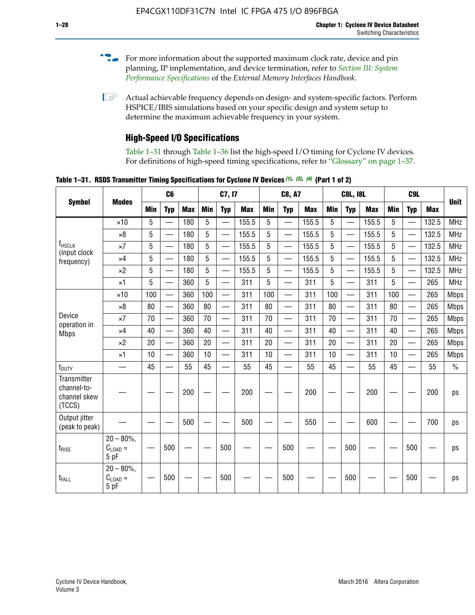- For more information about the supported maximum clock rate, device and pin planning, IP implementation, and device termination, refer to *[Section III: System](http://www.altera.com/literature/hb/external-memory/emi_intro_specs.pdf)  [Performance Specifications](http://www.altera.com/literature/hb/external-memory/emi_intro_specs.pdf)* of the *External Memory Interfaces Handbook*.
- **1 Actual achievable frequency depends on design- and system-specific factors. Perform** HSPICE/IBIS simulations based on your specific design and system setup to determine the maximum achievable frequency in your system.

## **High-Speed I/O Specifications**

Table 1–31 through Table 1–36 list the high-speed I/O timing for Cyclone IV devices. For definitions of high-speed timing specifications, refer to "Glossary" on page 1–37.

**Table 1–31. RSDS Transmitter Timing Specifications for Cyclone IV Devices** *(1)***,** *(2)***,** *(4)* **(Part 1 of 2)**

|                                                      |                                     |     | C6                       |            |            | C7, I7                   |            |                 | <b>C8, A7</b>            |            |            | <b>C8L, I8L</b>          |            |     | C <sub>9</sub> L         |            |             |
|------------------------------------------------------|-------------------------------------|-----|--------------------------|------------|------------|--------------------------|------------|-----------------|--------------------------|------------|------------|--------------------------|------------|-----|--------------------------|------------|-------------|
| <b>Symbol</b>                                        | <b>Modes</b>                        | Min | <b>Typ</b>               | <b>Max</b> | <b>Min</b> | <b>Typ</b>               | <b>Max</b> | <b>Min</b>      | <b>Typ</b>               | <b>Max</b> | <b>Min</b> | <b>Typ</b>               | <b>Max</b> | Min | <b>Typ</b>               | <b>Max</b> | <b>Unit</b> |
|                                                      | $\times$ 10                         | 5   | $\overline{\phantom{0}}$ | 180        | 5          | —                        | 155.5      | 5               | $\overline{\phantom{0}}$ | 155.5      | 5          |                          | 155.5      | 5   |                          | 132.5      | <b>MHz</b>  |
|                                                      | $\times 8$                          | 5   |                          | 180        | 5          |                          | 155.5      | $5\phantom{.0}$ | $\overline{\phantom{0}}$ | 155.5      | 5          |                          | 155.5      | 5   |                          | 132.5      | <b>MHz</b>  |
| f <sub>HSCLK</sub><br>(input clock                   | $\times 7$                          | 5   | $\overline{\phantom{0}}$ | 180        | 5          |                          | 155.5      | 5               | $\overline{\phantom{0}}$ | 155.5      | 5          |                          | 155.5      | 5   |                          | 132.5      | <b>MHz</b>  |
| frequency)                                           | $\times$ 4                          | 5   | $\overline{\phantom{0}}$ | 180        | 5          | $\overline{\phantom{0}}$ | 155.5      | 5               | $\equiv$                 | 155.5      | 5          | $\overline{\phantom{0}}$ | 155.5      | 5   | $\overline{\phantom{0}}$ | 132.5      | <b>MHz</b>  |
|                                                      | $\times 2$                          | 5   | $\equiv$                 | 180        | 5          |                          | 155.5      | 5               | $\equiv$                 | 155.5      | 5          | $\equiv$                 | 155.5      | 5   | $\overline{\phantom{0}}$ | 132.5      | <b>MHz</b>  |
|                                                      | $\times$ 1                          | 5   |                          | 360        | 5          |                          | 311        | 5               | $\overline{\phantom{0}}$ | 311        | 5          | $\overline{\phantom{0}}$ | 311        | 5   |                          | 265        | <b>MHz</b>  |
|                                                      | $\times$ 10                         | 100 | $\overline{\phantom{0}}$ | 360        | 100        |                          | 311        | 100             | $\overline{\phantom{0}}$ | 311        | 100        | $\overline{\phantom{0}}$ | 311        | 100 |                          | 265        | <b>Mbps</b> |
|                                                      | $\times 8$                          | 80  |                          | 360        | 80         |                          | 311        | 80              | $\overline{\phantom{0}}$ | 311        | 80         | $\overline{\phantom{0}}$ | 311        | 80  | $\overline{\phantom{0}}$ | 265        | <b>Mbps</b> |
| Device<br>operation in                               | $\times 7$                          | 70  | $\overline{\phantom{0}}$ | 360        | 70         |                          | 311        | 70              | $\overline{\phantom{0}}$ | 311        | 70         | $\overline{\phantom{0}}$ | 311        | 70  | $\overline{\phantom{0}}$ | 265        | <b>Mbps</b> |
| <b>Mbps</b>                                          | $\times$ 4                          | 40  |                          | 360        | 40         |                          | 311        | 40              |                          | 311        | 40         | $\overline{\phantom{0}}$ | 311        | 40  | $\overline{\phantom{0}}$ | 265        | <b>Mbps</b> |
|                                                      | $\times 2$                          | 20  |                          | 360        | 20         | $\equiv$                 | 311        | 20              | $\overline{\phantom{0}}$ | 311        | 20         |                          | 311        | 20  | $\equiv$                 | 265        | <b>Mbps</b> |
|                                                      | $\times$ 1                          | 10  |                          | 360        | 10         |                          | 311        | 10              |                          | 311        | 10         | $\overline{\phantom{0}}$ | 311        | 10  | $\overline{\phantom{0}}$ | 265        | <b>Mbps</b> |
| t <sub>DUTY</sub>                                    | —                                   | 45  | $\overline{\phantom{0}}$ | 55         | 45         |                          | 55         | 45              | $\overline{\phantom{0}}$ | 55         | 45         |                          | 55         | 45  |                          | 55         | $\%$        |
| Transmitter<br>channel-to-<br>channel skew<br>(TCCS) |                                     |     |                          | 200        |            |                          | 200        |                 |                          | 200        |            |                          | 200        |     |                          | 200        | ps          |
| Output jitter<br>(peak to peak)                      |                                     |     |                          | 500        |            |                          | 500        |                 |                          | 550        |            |                          | 600        |     |                          | 700        | ps          |
| $t_{\text{RISE}}$                                    | $20 - 80\%$<br>$C_{LOAD} =$<br>5 pF |     | 500                      |            |            | 500                      |            |                 | 500                      |            |            | 500                      |            |     | 500                      |            | ps          |
| t <sub>FALL</sub>                                    | $20 - 80\%$<br>$C_{LOAD} =$<br>5 pF |     | 500                      |            |            | 500                      |            |                 | 500                      |            |            | 500                      |            |     | 500                      |            | ps          |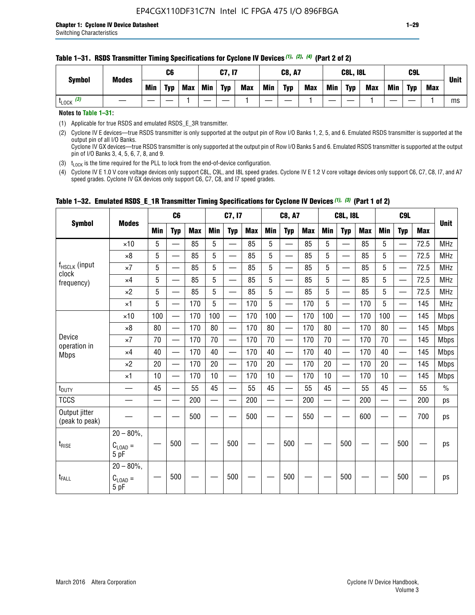| <b>Symbol</b>         | <b>Modes</b> |     | C <sub>6</sub> |            |            | <b>C7, I7</b> |            |     | <b>C8, A7</b> |            |     | <b>C8L, I8L</b> |            |            | C9L        |            | <b>Unit</b> |
|-----------------------|--------------|-----|----------------|------------|------------|---------------|------------|-----|---------------|------------|-----|-----------------|------------|------------|------------|------------|-------------|
|                       |              | Min | <b>Typ</b>     | <b>Max</b> | <b>Min</b> | <b>Typ</b>    | <b>Max</b> | Min | <b>Typ</b>    | <b>Max</b> | Min | <b>Typ</b>      | <b>Max</b> | <b>Min</b> | <b>Typ</b> | <b>Max</b> |             |
| $t_{\text{LOCK}}$ (3) |              |     |                |            |            |               |            |     |               |            |     |                 |            |            |            |            | ms          |

#### **Table 1–31. RSDS Transmitter Timing Specifications for Cyclone IV Devices** *(1)***,** *(2)***,** *(4)* **(Part 2 of 2)**

**Notes to Table 1–31:**

(1) Applicable for true RSDS and emulated RSDS\_E\_3R transmitter.

(2) Cyclone IV E devices—true RSDS transmitter is only supported at the output pin of Row I/O Banks 1, 2, 5, and 6. Emulated RSDS transmitter is supported at the output pin of all I/O Banks. Cyclone IV GX devices—true RSDS transmitter is only supported at the output pin of Row I/O Banks 5 and 6. Emulated RSDS transmitter is supported at the output

pin of I/O Banks 3, 4, 5, 6, 7, 8, and 9.

(3)  $t_{\text{LOCK}}$  is the time required for the PLL to lock from the end-of-device configuration.

(4) Cyclone IV E 1.0 V core voltage devices only support C8L, C9L, and I8L speed grades. Cyclone IV E 1.2 V core voltage devices only support C6, C7, C8, I7, and A7 speed grades. Cyclone IV GX devices only support C6, C7, C8, and I7 speed grades.

| <b>Symbol</b>                   |                                              |            | C <sub>6</sub>              |            |                          | C7, I7                      |            |                          | <b>C8, A7</b>            |            |            | <b>C8L, I8L</b>          |            |            | C <sub>9</sub> L                              |            |               |
|---------------------------------|----------------------------------------------|------------|-----------------------------|------------|--------------------------|-----------------------------|------------|--------------------------|--------------------------|------------|------------|--------------------------|------------|------------|-----------------------------------------------|------------|---------------|
|                                 | <b>Modes</b>                                 | <b>Min</b> | <b>Typ</b>                  | <b>Max</b> | <b>Min</b>               | <b>Typ</b>                  | <b>Max</b> | <b>Min</b>               | <b>Typ</b>               | <b>Max</b> | <b>Min</b> | <b>Typ</b>               | <b>Max</b> | <b>Min</b> | <b>Typ</b>                                    | <b>Max</b> | <b>Unit</b>   |
|                                 | $\times$ 10                                  | 5          | $\overline{\phantom{0}}$    | 85         | 5                        | $\overline{\phantom{0}}$    | 85         | 5                        | $\overline{\phantom{0}}$ | 85         | 5          | $\overline{\phantom{0}}$ | 85         | 5          | $\qquad \qquad$                               | 72.5       | <b>MHz</b>    |
|                                 | $\times 8$                                   | 5          | —                           | 85         | 5                        |                             | 85         | 5                        | $\overline{\phantom{a}}$ | 85         | 5          | $\overline{\phantom{0}}$ | 85         | 5          |                                               | 72.5       | <b>MHz</b>    |
| $f_{HSCLK}$ (input              | $\times 7$                                   | 5          |                             | 85         | 5                        |                             | 85         | 5                        |                          | 85         | 5          | —                        | 85         | 5          |                                               | 72.5       | <b>MHz</b>    |
| clock<br>frequency)             | $\times$ 4                                   | 5          | $\overline{\phantom{0}}$    | 85         | 5                        | $\overline{\phantom{0}}$    | 85         | 5                        | $\overline{\phantom{0}}$ | 85         | 5          | —                        | 85         | 5          |                                               | 72.5       | <b>MHz</b>    |
|                                 | $\times 2$                                   | 5          | —                           | 85         | 5                        |                             | 85         | 5                        | —                        | 85         | 5          | $\overline{\phantom{0}}$ | 85         | 5          |                                               | 72.5       | <b>MHz</b>    |
|                                 | $\times$ 1                                   | 5          |                             | 170        | 5                        | $\overline{\phantom{0}}$    | 170        | 5                        |                          | 170        | 5          |                          | 170        | 5          |                                               | 145        | <b>MHz</b>    |
|                                 | $\times$ 10                                  | 100        |                             | 170        | 100                      |                             | 170        | 100                      | $\overline{\phantom{0}}$ | 170        | 100        | $\overline{\phantom{0}}$ | 170        | 100        |                                               | 145        | <b>Mbps</b>   |
|                                 | $\times 8$                                   | 80         |                             | 170        | 80                       | $\overline{\phantom{0}}$    | 170        | 80                       | $\overline{\phantom{0}}$ | 170        | 80         | $\qquad \qquad$          | 170        | 80         |                                               | 145        | <b>Mbps</b>   |
| Device                          | $\times 7$                                   | 70         | $\overline{\phantom{0}}$    | 170        | 70                       | e e                         | 170        | 70                       | $\overline{\phantom{0}}$ | 170        | 70         | $\overline{\phantom{0}}$ | 170        | 70         |                                               | 145        | <b>Mbps</b>   |
| operation in<br><b>Mbps</b>     | $\times$ 4                                   | 40         | $\qquad \qquad \qquad$      | 170        | 40                       |                             | 170        | 40                       | $\overline{\phantom{0}}$ | 170        | 40         | $\overline{\phantom{0}}$ | 170        | 40         |                                               | 145        | <b>Mbps</b>   |
|                                 | $\times 2$                                   | 20         |                             | 170        | 20                       | —                           | 170        | 20                       | $\overline{\phantom{0}}$ | 170        | 20         | $\overline{\phantom{0}}$ | 170        | 20         |                                               | 145        | <b>Mbps</b>   |
|                                 | $\times$ 1                                   | 10         | $\overline{\phantom{m}}$    | 170        | 10                       | —                           | 170        | 10                       | —                        | 170        | 10         | $\overline{\phantom{m}}$ | 170        | 10         | $\qquad \qquad \overbrace{\qquad \qquad }^{}$ | 145        | <b>Mbps</b>   |
| $t_{\text{DUTY}}$               |                                              | 45         |                             | 55         | 45                       |                             | 55         | 45                       | $\overline{\phantom{0}}$ | 55         | 45         | $\overline{\phantom{0}}$ | 55         | 45         |                                               | 55         | $\frac{0}{0}$ |
| <b>TCCS</b>                     |                                              |            | $\mathcal{L}_{\mathcal{A}}$ | 200        | $\overline{\phantom{0}}$ | $\mathcal{L}_{\mathcal{A}}$ | 200        | $\overline{\phantom{0}}$ | $\overline{\phantom{0}}$ | 200        |            | $\overline{\phantom{0}}$ | 200        |            |                                               | 200        | ps            |
| Output jitter<br>(peak to peak) |                                              |            |                             | 500        |                          |                             | 500        |                          |                          | 550        |            |                          | 600        |            |                                               | 700        | ps            |
| $t_{\text{RISE}}$               | $20 - 80\%$ ,<br>$C_{LOAD}$ =<br>5 pF        |            | 500                         |            |                          | 500                         |            |                          | 500                      |            |            | 500                      |            |            | 500                                           |            | ps            |
| t <sub>FALL</sub>               | $20 - 80\%$ ,<br>$C_{\text{LOAD}} =$<br>5 pF |            | 500                         |            |                          | 500                         |            |                          | 500                      |            |            | 500                      |            |            | 500                                           |            | ps            |

#### **Table 1–32. Emulated RSDS\_E\_1R Transmitter Timing Specifications for Cyclone IV Devices** *(1), (3)* **(Part 1 of 2)**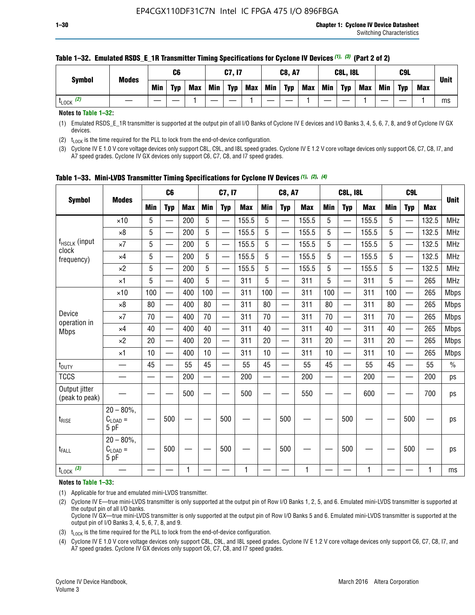| <b>Symbol</b>        | <b>Modes</b> |            | C6         |            |            | C7, I7     |            |     | <b>C8, A7</b> |            |            | <b>C8L, I8L</b> |            |     | C9L        |            | <b>Unit</b> |
|----------------------|--------------|------------|------------|------------|------------|------------|------------|-----|---------------|------------|------------|-----------------|------------|-----|------------|------------|-------------|
|                      |              | <b>Min</b> | <b>Typ</b> | <b>Max</b> | <b>Min</b> | <b>Typ</b> | <b>Max</b> | Min | <b>Typ</b>    | <b>Max</b> | <b>Min</b> | <b>Typ</b>      | <b>Max</b> | Min | <b>Typ</b> | <b>Max</b> |             |
| (2)<br><b>L</b> LOCK |              |            |            |            |            |            |            |     |               |            |            |                 |            |     |            |            | ms          |

#### **Table 1–32. Emulated RSDS\_E\_1R Transmitter Timing Specifications for Cyclone IV Devices** *(1), (3)* **(Part 2 of 2)**

**Notes to Table 1–32:**

(1) Emulated RSDS\_E\_1R transmitter is supported at the output pin of all I/O Banks of Cyclone IV E devices and I/O Banks 3, 4, 5, 6, 7, 8, and 9 of Cyclone IV GX devices.

(2)  $t_{\text{LOCK}}$  is the time required for the PLL to lock from the end-of-device configuration.

(3) Cyclone IV E 1.0 V core voltage devices only support C8L, C9L, and I8L speed grades. Cyclone IV E 1.2 V core voltage devices only support C6, C7, C8, I7, and A7 speed grades. Cyclone IV GX devices only support C6, C7, C8, and I7 speed grades.

| <b>Symbol</b>                   |                                           |            | C <sub>6</sub>           |            |                          | C7, I7                   |            |            | <b>C8, A7</b>            |              |            | <b>C8L, I8L</b>          |            |            | C <sub>9</sub> L         |            | <b>Unit</b>   |
|---------------------------------|-------------------------------------------|------------|--------------------------|------------|--------------------------|--------------------------|------------|------------|--------------------------|--------------|------------|--------------------------|------------|------------|--------------------------|------------|---------------|
|                                 | <b>Modes</b>                              | <b>Min</b> | <b>Typ</b>               | <b>Max</b> | <b>Min</b>               | <b>Typ</b>               | <b>Max</b> | <b>Min</b> | <b>Typ</b>               | <b>Max</b>   | <b>Min</b> | <b>Typ</b>               | <b>Max</b> | <b>Min</b> | <b>Typ</b>               | <b>Max</b> |               |
|                                 | $\times$ 10                               | 5          |                          | 200        | 5                        | —                        | 155.5      | 5          | $\overline{\phantom{0}}$ | 155.5        | 5          | $\overline{\phantom{0}}$ | 155.5      | 5          | $\overline{\phantom{0}}$ | 132.5      | <b>MHz</b>    |
|                                 | $\times 8$                                | 5          |                          | 200        | 5                        | $\overline{\phantom{0}}$ | 155.5      | 5          | —                        | 155.5        | 5          |                          | 155.5      | 5          |                          | 132.5      | <b>MHz</b>    |
| f <sub>HSCLK</sub> (input       | $\times 7$                                | 5          |                          | 200        | 5                        | ÷,                       | 155.5      | 5          | —                        | 155.5        | 5          |                          | 155.5      | 5          |                          | 132.5      | <b>MHz</b>    |
| clock<br>frequency)             | $\times$ 4                                | 5          | $\overline{\phantom{0}}$ | 200        | 5                        | —                        | 155.5      | 5          | $\overline{\phantom{0}}$ | 155.5        | 5          |                          | 155.5      | 5          | $\overline{\phantom{0}}$ | 132.5      | <b>MHz</b>    |
|                                 | $\times 2$                                | 5          | $\overline{\phantom{0}}$ | 200        | 5                        | $\overline{\phantom{0}}$ | 155.5      | 5          | $\overline{\phantom{0}}$ | 155.5        | 5          | $\overline{\phantom{0}}$ | 155.5      | 5          |                          | 132.5      | <b>MHz</b>    |
|                                 | $\times$ 1                                | 5          | $\overline{\phantom{0}}$ | 400        | 5                        |                          | 311        | 5          | —                        | 311          | 5          | $\overline{\phantom{0}}$ | 311        | 5          |                          | 265        | <b>MHz</b>    |
|                                 | $\times$ 10                               | 100        |                          | 400        | 100                      | $\overline{\phantom{0}}$ | 311        | 100        | $\overline{\phantom{0}}$ | 311          | 100        | $\overline{\phantom{0}}$ | 311        | 100        |                          | 265        | <b>Mbps</b>   |
|                                 | $\times 8$                                | 80         | $\overline{\phantom{0}}$ | 400        | 80                       | $\overline{\phantom{0}}$ | 311        | 80         | $\overline{\phantom{0}}$ | 311          | 80         | $\overline{\phantom{0}}$ | 311        | 80         |                          | 265        | <b>Mbps</b>   |
| Device                          | $\times 7$                                | 70         |                          | 400        | 70                       |                          | 311        | 70         | $\overline{\phantom{0}}$ | 311          | 70         |                          | 311        | 70         |                          | 265        | <b>Mbps</b>   |
| operation in<br><b>Mbps</b>     | $\times 4$                                | 40         | $\overline{\phantom{0}}$ | 400        | 40                       |                          | 311        | 40         | $\overline{\phantom{0}}$ | 311          | 40         | —                        | 311        | 40         |                          | 265        | <b>Mbps</b>   |
|                                 | $\times 2$                                | 20         |                          | 400        | 20                       | —                        | 311        | 20         | $\overline{\phantom{0}}$ | 311          | 20         | $\overline{\phantom{0}}$ | 311        | 20         |                          | 265        | <b>Mbps</b>   |
|                                 | ×1                                        | 10         | $\overline{\phantom{0}}$ | 400        | 10                       | $\overline{\phantom{0}}$ | 311        | 10         | $\overline{\phantom{0}}$ | 311          | 10         | —                        | 311        | 10         |                          | 265        | <b>Mbps</b>   |
| t <sub>DUTY</sub>               |                                           | 45         |                          | 55         | 45                       | $\overline{\phantom{0}}$ | 55         | 45         | $\overline{\phantom{0}}$ | 55           | 45         | $\overline{\phantom{0}}$ | 55         | 45         |                          | 55         | $\frac{0}{0}$ |
| <b>TCCS</b>                     |                                           |            |                          | 200        | $\overline{\phantom{0}}$ |                          | 200        |            |                          | 200          | —          |                          | 200        |            |                          | 200        | ps            |
| Output jitter<br>(peak to peak) |                                           |            |                          | 500        |                          |                          | 500        |            |                          | 550          |            |                          | 600        |            |                          | 700        | ps            |
| $t_{\sf RISE}$                  | $20 - 80\%$ ,<br>$C_{LOAD} =$<br>5 pF     |            | 500                      |            |                          | 500                      |            |            | 500                      |              |            | 500                      |            |            | 500                      |            | ps            |
| t <sub>FALL</sub>               | $20 - 80\%$<br>$\rm C_{LOAD}$ $=$<br>5 pF |            | 500                      |            |                          | 500                      |            |            | 500                      |              |            | 500                      |            |            | 500                      |            | ps            |
| $t_{\text{LOCK}}$ (3)           |                                           |            |                          | 1          |                          |                          | 1          |            |                          | $\mathbf{1}$ |            |                          | 1          |            |                          | 1          | ms            |

**Table 1–33. Mini-LVDS Transmitter Timing Specifications for Cyclone IV Devices** *(1)***,** *(2)***,** *(4)*

**Notes to Table 1–33:**

(1) Applicable for true and emulated mini-LVDS transmitter.

(2) Cyclone IV E—true mini-LVDS transmitter is only supported at the output pin of Row I/O Banks 1, 2, 5, and 6. Emulated mini-LVDS transmitter is supported at the output pin of all I/O banks.

Cyclone IV GX—true mini-LVDS transmitter is only supported at the output pin of Row I/O Banks 5 and 6. Emulated mini-LVDS transmitter is supported at the output pin of I/O Banks 3, 4, 5, 6, 7, 8, and 9.

(3)  $t_{\text{LOCK}}$  is the time required for the PLL to lock from the end-of-device configuration.

(4) Cyclone IV E 1.0 V core voltage devices only support C8L, C9L, and I8L speed grades. Cyclone IV E 1.2 V core voltage devices only support C6, C7, C8, I7, and A7 speed grades. Cyclone IV GX devices only support C6, C7, C8, and I7 speed grades.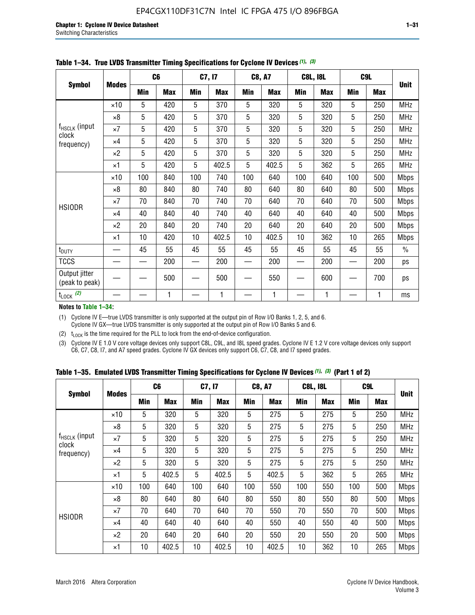|                                 |              |     | C <sub>6</sub> |     | C7, I7     |            | <b>C8, A7</b> |     | <b>C8L, I8L</b> |            | C9L        |               |
|---------------------------------|--------------|-----|----------------|-----|------------|------------|---------------|-----|-----------------|------------|------------|---------------|
| <b>Symbol</b>                   | <b>Modes</b> | Min | <b>Max</b>     | Min | <b>Max</b> | <b>Min</b> | <b>Max</b>    | Min | <b>Max</b>      | <b>Min</b> | <b>Max</b> | <b>Unit</b>   |
|                                 | $\times$ 10  | 5   | 420            | 5   | 370        | 5          | 320           | 5   | 320             | 5          | 250        | <b>MHz</b>    |
|                                 | $\times 8$   | 5   | 420            | 5   | 370        | 5          | 320           | 5   | 320             | 5          | 250        | <b>MHz</b>    |
| f <sub>HSCLK</sub> (input       | $\times 7$   | 5   | 420            | 5   | 370        | 5          | 320           | 5   | 320             | 5          | 250        | <b>MHz</b>    |
| clock<br>frequency)             | $\times$ 4   | 5   | 420            | 5   | 370        | 5          | 320           | 5   | 320             | 5          | 250        | <b>MHz</b>    |
|                                 | $\times 2$   | 5   | 420            | 5   | 370        | 5          | 320           | 5   | 320             | 5          | 250        | <b>MHz</b>    |
|                                 | $\times$ 1   | 5   | 420            | 5   | 402.5      | 5          | 402.5         | 5   | 362             | 5          | 265        | <b>MHz</b>    |
|                                 | $\times$ 10  | 100 | 840            | 100 | 740        | 100        | 640           | 100 | 640             | 100        | 500        | <b>Mbps</b>   |
|                                 | $\times 8$   | 80  | 840            | 80  | 740        | 80         | 640           | 80  | 640             | 80         | 500        | <b>Mbps</b>   |
| <b>HSIODR</b>                   | $\times 7$   | 70  | 840            | 70  | 740        | 70         | 640           | 70  | 640             | 70         | 500        | <b>Mbps</b>   |
|                                 | $\times$ 4   | 40  | 840            | 40  | 740        | 40         | 640           | 40  | 640             | 40         | 500        | <b>Mbps</b>   |
|                                 | $\times 2$   | 20  | 840            | 20  | 740        | 20         | 640           | 20  | 640             | 20         | 500        | <b>Mbps</b>   |
|                                 | $\times$ 1   | 10  | 420            | 10  | 402.5      | 10         | 402.5         | 10  | 362             | 10         | 265        | <b>Mbps</b>   |
| t <sub>DUTY</sub>               |              | 45  | 55             | 45  | 55         | 45         | 55            | 45  | 55              | 45         | 55         | $\frac{0}{0}$ |
| <b>TCCS</b>                     |              |     | 200            |     | 200        |            | 200           |     | 200             |            | 200        | ps            |
| Output jitter<br>(peak to peak) |              |     | 500            |     | 500        |            | 550           |     | 600             |            | 700        | ps            |
| $t_{\text{LOCK}}$ (2)           |              |     | 1              |     | 1          |            | 1             |     | 1               |            | 1          | ms            |

**Table 1–34. True LVDS Transmitter Timing Specifications for Cyclone IV Devices** *(1)***,** *(3)*

**Notes to Table 1–34:**

(1) Cyclone IV E—true LVDS transmitter is only supported at the output pin of Row I/O Banks 1, 2, 5, and 6. Cyclone IV GX—true LVDS transmitter is only supported at the output pin of Row I/O Banks 5 and 6.

(2)  $t_{\text{LOCK}}$  is the time required for the PLL to lock from the end-of-device configuration.

(3) Cyclone IV E 1.0 V core voltage devices only support C8L, C9L, and I8L speed grades. Cyclone IV E 1.2 V core voltage devices only support C6, C7, C8, I7, and A7 speed grades. Cyclone IV GX devices only support C6, C7, C8, and I7 speed grades.

|  |  |  |  | Table 1–35. Emulated LVDS Transmitter Timing Specifications for Cyclone IV Devices <sup>(1), (3)</sup> (Part 1 of 2) |  |  |
|--|--|--|--|----------------------------------------------------------------------------------------------------------------------|--|--|
|--|--|--|--|----------------------------------------------------------------------------------------------------------------------|--|--|

|                             |              | C <sub>6</sub> |            | C7, I7     |            | <b>C8, A7</b> |            | <b>C8L, I8L</b> |            |            | C <sub>9</sub> L |             |
|-----------------------------|--------------|----------------|------------|------------|------------|---------------|------------|-----------------|------------|------------|------------------|-------------|
| <b>Symbol</b>               | <b>Modes</b> | Min            | <b>Max</b> | <b>Min</b> | <b>Max</b> | <b>Min</b>    | <b>Max</b> | <b>Min</b>      | <b>Max</b> | <b>Min</b> | <b>Max</b>       | <b>Unit</b> |
|                             | $\times$ 10  | 5              | 320        | 5          | 320        | 5             | 275        | 5               | 275        | 5          | 250              | <b>MHz</b>  |
|                             | $\times 8$   | 5              | 320        | 5          | 320        | 5             | 275        | 5               | 275        | 5          | 250              | <b>MHz</b>  |
| $f_{HSCLK}$ (input<br>clock | $\times 7$   | 5              | 320        | 5          | 320        | 5             | 275        | 5               | 275        | 5          | 250              | <b>MHz</b>  |
| frequency)                  | $\times$ 4   | 5              | 320        | 5          | 320        | 5             | 275        | 5               | 275        | 5          | 250              | <b>MHz</b>  |
|                             | $\times 2$   | 5              | 320        | 5          | 320        | 5             | 275        | 5               | 275        | 5          | 250              | <b>MHz</b>  |
|                             | $\times$ 1   | 5              | 402.5      | 5          | 402.5      | 5             | 402.5      | 5               | 362        | 5          | 265              | <b>MHz</b>  |
|                             | $\times$ 10  | 100            | 640        | 100        | 640        | 100           | 550        | 100             | 550        | 100        | 500              | <b>Mbps</b> |
|                             | $\times 8$   | 80             | 640        | 80         | 640        | 80            | 550        | 80              | 550        | 80         | 500              | <b>Mbps</b> |
| <b>HSIODR</b>               | $\times 7$   | 70             | 640        | 70         | 640        | 70            | 550        | 70              | 550        | 70         | 500              | <b>Mbps</b> |
|                             | $\times$ 4   | 40             | 640        | 40         | 640        | 40            | 550        | 40              | 550        | 40         | 500              | <b>Mbps</b> |
|                             | $\times 2$   | 20             | 640        | 20         | 640        | 20            | 550        | 20              | 550        | 20         | 500              | <b>Mbps</b> |
|                             | $\times$ 1   | 10             | 402.5      | 10         | 402.5      | 10            | 402.5      | 10              | 362        | 10         | 265              | <b>Mbps</b> |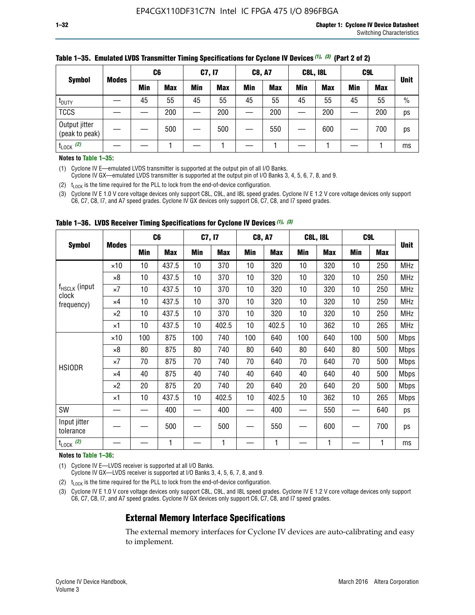|                                 |              | C <sub>6</sub> |            | C7, I7     |            | <b>C8, A7</b> |            | <b>C8L, I8L</b> |            |         | C <sub>9</sub> L |               |
|---------------------------------|--------------|----------------|------------|------------|------------|---------------|------------|-----------------|------------|---------|------------------|---------------|
| <b>Symbol</b>                   | <b>Modes</b> | Min            | <b>Max</b> | <b>Min</b> | <b>Max</b> | <b>Min</b>    | <b>Max</b> | Min             | <b>Max</b> | Min     | <b>Max</b>       | <b>Unit</b>   |
| t <sub>DUTY</sub>               |              | 45             | 55         | 45         | 55         | 45            | 55         | 45              | 55         | 45      | 55               | $\frac{0}{0}$ |
| <b>TCCS</b>                     |              |                | 200        |            | 200        |               | 200        |                 | 200        | —<br>—— | 200              | ps            |
| Output jitter<br>(peak to peak) |              |                | 500        |            | 500        |               | 550        |                 | 600        |         | 700              | ps            |
| $t_{\text{LOCK}}$ (2)           |              |                |            |            |            |               |            |                 |            |         |                  | ms            |

#### **Table 1–35. Emulated LVDS Transmitter Timing Specifications for Cyclone IV Devices** *(1)***,** *(3)* **(Part 2 of 2)**

#### **Notes to Table 1–35:**

(1) Cyclone IV E—emulated LVDS transmitter is supported at the output pin of all I/O Banks.

Cyclone IV GX—emulated LVDS transmitter is supported at the output pin of I/O Banks 3, 4, 5, 6, 7, 8, and 9.

(2)  $t_{\text{LOCK}}$  is the time required for the PLL to lock from the end-of-device configuration.

(3) Cyclone IV E 1.0 V core voltage devices only support C8L, C9L, and I8L speed grades. Cyclone IV E 1.2 V core voltage devices only support C6, C7, C8, I7, and A7 speed grades. Cyclone IV GX devices only support C6, C7, C8, and I7 speed grades.

|                                    |              | C <sub>6</sub> |            | C7, I7 |            | <b>C8, A7</b> |            |     | <b>C8L, I8L</b> | C <sub>9</sub> L         |     |             |
|------------------------------------|--------------|----------------|------------|--------|------------|---------------|------------|-----|-----------------|--------------------------|-----|-------------|
| <b>Symbol</b>                      | <b>Modes</b> | <b>Min</b>     | <b>Max</b> | Min    | <b>Max</b> | Min           | <b>Max</b> | Min | <b>Max</b>      | <b>Min</b>               | Max | <b>Unit</b> |
|                                    | $\times$ 10  | 10             | 437.5      | 10     | 370        | 10            | 320        | 10  | 320             | 10                       | 250 | <b>MHz</b>  |
|                                    | ×8           | 10             | 437.5      | 10     | 370        | 10            | 320        | 10  | 320             | 10                       | 250 | <b>MHz</b>  |
| f <sub>HSCLK</sub> (input<br>clock | ×7           | 10             | 437.5      | 10     | 370        | 10            | 320        | 10  | 320             | 10                       | 250 | <b>MHz</b>  |
| frequency)                         | $\times 4$   | 10             | 437.5      | 10     | 370        | 10            | 320        | 10  | 320             | 10                       | 250 | <b>MHz</b>  |
|                                    | $\times 2$   | 10             | 437.5      | 10     | 370        | 10            | 320        | 10  | 320             | 10                       | 250 | <b>MHz</b>  |
|                                    | ×1           | 10             | 437.5      | 10     | 402.5      | 10            | 402.5      | 10  | 362             | 10                       | 265 | <b>MHz</b>  |
|                                    | $\times$ 10  | 100            | 875        | 100    | 740        | 100           | 640        | 100 | 640             | 100                      | 500 | <b>Mbps</b> |
|                                    | $\times 8$   | 80             | 875        | 80     | 740        | 80            | 640        | 80  | 640             | 80                       | 500 | <b>Mbps</b> |
| <b>HSIODR</b>                      | ×7           | 70             | 875        | 70     | 740        | 70            | 640        | 70  | 640             | 70                       | 500 | <b>Mbps</b> |
|                                    | $\times 4$   | 40             | 875        | 40     | 740        | 40            | 640        | 40  | 640             | 40                       | 500 | <b>Mbps</b> |
|                                    | $\times 2$   | 20             | 875        | 20     | 740        | 20            | 640        | 20  | 640             | 20                       | 500 | <b>Mbps</b> |
|                                    | ×1           | 10             | 437.5      | 10     | 402.5      | 10            | 402.5      | 10  | 362             | 10                       | 265 | <b>Mbps</b> |
| SW                                 |              |                | 400        |        | 400        |               | 400        |     | 550             | —                        | 640 | ps          |
| Input jitter<br>tolerance          |              |                | 500        |        | 500        |               | 550        |     | 600             | $\overline{\phantom{0}}$ | 700 | ps          |
| $t_{\text{LOCK}}$ (2)              |              |                | 1          |        | 1          |               | 1          |     | 1               |                          |     | ms          |

**Table 1–36. LVDS Receiver Timing Specifications for Cyclone IV Devices** *(1)***,** *(3)*

#### **Notes to Table 1–36:**

(1) Cyclone IV E—LVDS receiver is supported at all I/O Banks.

Cyclone IV GX—LVDS receiver is supported at I/O Banks 3, 4, 5, 6, 7, 8, and 9.

(2)  $t_{\text{LOCK}}$  is the time required for the PLL to lock from the end-of-device configuration.

(3) Cyclone IV E 1.0 V core voltage devices only support C8L, C9L, and I8L speed grades. Cyclone IV E 1.2 V core voltage devices only support C6, C7, C8, I7, and A7 speed grades. Cyclone IV GX devices only support C6, C7, C8, and I7 speed grades.

#### **External Memory Interface Specifications**

The external memory interfaces for Cyclone IV devices are auto-calibrating and easy to implement.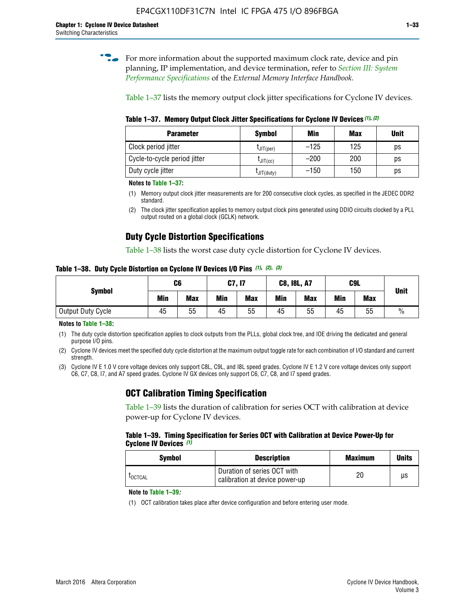**for more information about the supported maximum clock rate, device and pin** planning, IP implementation, and device termination, refer to *[Section III: System](http://www.altera.com/literature/hb/external-memory/emi_intro_specs.pdf)  [Performance Specifications](http://www.altera.com/literature/hb/external-memory/emi_intro_specs.pdf)* of the *External Memory Interface Handbook*.

Table 1–37 lists the memory output clock jitter specifications for Cyclone IV devices.

**Table 1–37. Memory Output Clock Jitter Specifications for Cyclone IV Devices** *(1)***,** *(2)*

| <b>Parameter</b>             | <b>Symbol</b>  | Min    | Max | <b>Unit</b> |
|------------------------------|----------------|--------|-----|-------------|
| Clock period jitter          | $L$ JIT(per)   | $-125$ | 125 | ps          |
| Cycle-to-cycle period jitter | $L$ JIT $(cc)$ | $-200$ | 200 | ps          |
| Duty cycle jitter            | LJIT(duty)     | $-150$ | 150 | ps          |

**Notes to Table 1–37:**

- (1) Memory output clock jitter measurements are for 200 consecutive clock cycles, as specified in the JEDEC DDR2 standard.
- (2) The clock jitter specification applies to memory output clock pins generated using DDIO circuits clocked by a PLL output routed on a global clock (GCLK) network.

## **Duty Cycle Distortion Specifications**

Table 1–38 lists the worst case duty cycle distortion for Cyclone IV devices.

**Table 1–38. Duty Cycle Distortion on Cyclone IV Devices I/O Pins** *(1)***,** *(2), (3)*

| <b>Symbol</b>     | C <sub>6</sub> |            | C7, I7     |            | <b>C8, I8L, A7</b> |            | C9L        |            | <b>Unit</b>   |
|-------------------|----------------|------------|------------|------------|--------------------|------------|------------|------------|---------------|
|                   | Min            | <b>Max</b> | <b>Min</b> | <b>Max</b> | Min                | <b>Max</b> | <b>Min</b> | <b>Max</b> |               |
| Output Duty Cycle | 45             | 55         | 45         | 55         | 45                 | 55         | 45         | 55         | $\frac{0}{0}$ |

**Notes to Table 1–38:**

(1) The duty cycle distortion specification applies to clock outputs from the PLLs, global clock tree, and IOE driving the dedicated and general purpose I/O pins.

(2) Cyclone IV devices meet the specified duty cycle distortion at the maximum output toggle rate for each combination of I/O standard and current strength.

(3) Cyclone IV E 1.0 V core voltage devices only support C8L, C9L, and I8L speed grades. Cyclone IV E 1.2 V core voltage devices only support C6, C7, C8, I7, and A7 speed grades. Cyclone IV GX devices only support C6, C7, C8, and I7 speed grades.

## **OCT Calibration Timing Specification**

Table 1–39 lists the duration of calibration for series OCT with calibration at device power-up for Cyclone IV devices.

#### **Table 1–39. Timing Specification for Series OCT with Calibration at Device Power-Up for Cyclone IV Devices** *(1)*

| Symbol  | <b>Description</b>                                            | <b>Maximum</b> | <b>Units</b> |
|---------|---------------------------------------------------------------|----------------|--------------|
| LOCTCAL | Duration of series OCT with<br>calibration at device power-up | 20             | μs           |

#### **Note to Table 1–39***:*

(1) OCT calibration takes place after device configuration and before entering user mode.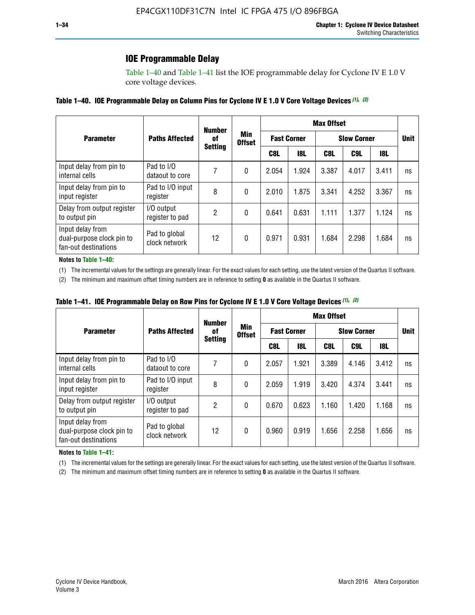### **IOE Programmable Delay**

Table 1–40 and Table 1–41 list the IOE programmable delay for Cyclone IV E 1.0 V core voltage devices.

#### **Table 1–40. IOE Programmable Delay on Column Pins for Cyclone IV E 1.0 V Core Voltage Devices** *(1)***,** *(2)*

|                                                                       |                                | <b>Number</b><br>0f | Min<br><b>Offset</b> | <b>Max Offset</b>  |            |                    |             |       |    |  |
|-----------------------------------------------------------------------|--------------------------------|---------------------|----------------------|--------------------|------------|--------------------|-------------|-------|----|--|
| <b>Parameter</b>                                                      | <b>Paths Affected</b>          |                     |                      | <b>Fast Corner</b> |            | <b>Slow Corner</b> | <b>Unit</b> |       |    |  |
|                                                                       |                                | <b>Setting</b>      |                      | C8L                | <b>18L</b> | C8L                | C9L         | 18L   |    |  |
| Input delay from pin to<br>internal cells                             | Pad to I/O<br>dataout to core  |                     | 0                    | 2.054              | 1.924      | 3.387              | 4.017       | 3.411 | ns |  |
| Input delay from pin to<br>input register                             | Pad to I/O input<br>register   | 8                   | 0                    | 2.010              | 1.875      | 3.341              | 4.252       | 3.367 | ns |  |
| Delay from output register<br>to output pin                           | I/O output<br>register to pad  | 2                   | 0                    | 0.641              | 0.631      | 1.111              | 1.377       | 1.124 | ns |  |
| Input delay from<br>dual-purpose clock pin to<br>fan-out destinations | Pad to global<br>clock network | 12                  | 0                    | 0.971              | 0.931      | 1.684              | 2.298       | 1.684 | ns |  |

#### **Notes to Table 1–40:**

(1) The incremental values for the settings are generally linear. For the exact values for each setting, use the latest version of the Quartus II software.

(2) The minimum and maximum offset timing numbers are in reference to setting **0** as available in the Quartus II software.

| Table 1–41. IOE Programmable Delay on Row Pins for Cyclone IV E 1.0 V Core Voltage Devices (1), (2) |  |  |
|-----------------------------------------------------------------------------------------------------|--|--|
|-----------------------------------------------------------------------------------------------------|--|--|

|                                                                       |                                | <b>Number</b>  |                      | <b>Max Offset</b>  |            |                    |             |       |    |  |
|-----------------------------------------------------------------------|--------------------------------|----------------|----------------------|--------------------|------------|--------------------|-------------|-------|----|--|
| <b>Parameter</b>                                                      | <b>Paths Affected</b>          | 0f             | Min<br><b>Offset</b> | <b>Fast Corner</b> |            | <b>Slow Corner</b> | <b>Unit</b> |       |    |  |
|                                                                       |                                | <b>Setting</b> |                      | C8L                | <b>18L</b> | C8L                | C9L         | 18L   |    |  |
| Input delay from pin to<br>internal cells                             | Pad to I/O<br>dataout to core  |                | 0                    | 2.057              | 1.921      | 3.389              | 4.146       | 3.412 | ns |  |
| Input delay from pin to<br>input register                             | Pad to I/O input<br>register   | 8              | 0                    | 2.059              | 1.919      | 3.420              | 4.374       | 3.441 | ns |  |
| Delay from output register<br>to output pin                           | I/O output<br>register to pad  | 2              | 0                    | 0.670              | 0.623      | 1.160              | 1.420       | 1.168 | ns |  |
| Input delay from<br>dual-purpose clock pin to<br>fan-out destinations | Pad to global<br>clock network | 12             | 0                    | 0.960              | 0.919      | 1.656              | 2.258       | 1.656 | ns |  |

#### **Notes to Table 1–41:**

(1) The incremental values for the settings are generally linear. For the exact values for each setting, use the latest version of the Quartus II software.

(2) The minimum and maximum offset timing numbers are in reference to setting **0** as available in the Quartus II software.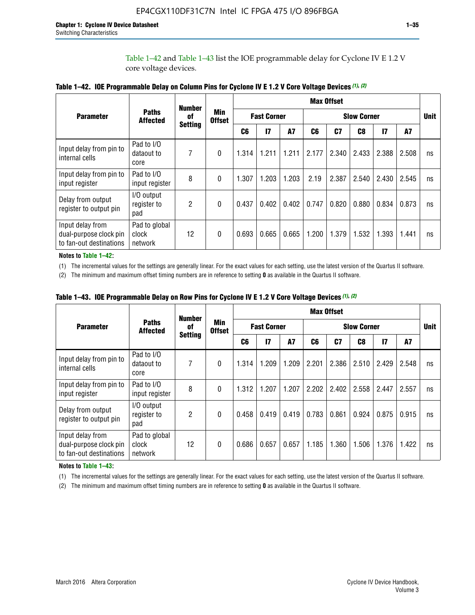Table 1–42 and Table 1–43 list the IOE programmable delay for Cyclone IV E 1.2 V core voltage devices.

|                                                                       |                                   | <b>Number</b>  | <b>Min</b><br><b>Offset</b> | <b>Max Offset</b> |                    |           |                    |       |                |              |       |             |
|-----------------------------------------------------------------------|-----------------------------------|----------------|-----------------------------|-------------------|--------------------|-----------|--------------------|-------|----------------|--------------|-------|-------------|
| <b>Parameter</b>                                                      | <b>Paths</b><br><b>Affected</b>   | of             |                             |                   | <b>Fast Corner</b> |           | <b>Slow Corner</b> |       |                |              |       | <b>Unit</b> |
|                                                                       |                                   | <b>Setting</b> |                             | C <sub>6</sub>    | $\mathbf{I}$       | <b>A7</b> | C6                 | C7    | C <sub>8</sub> | $\mathbf{I}$ | A7    |             |
| Input delay from pin to<br>internal cells                             | Pad to I/O<br>dataout to<br>core  | 7              | 0                           | 1.314             | 1.211              | 1.211     | 2.177              | 2.340 | 2.433          | 2.388        | 2.508 | ns          |
| Input delay from pin to<br>input register                             | Pad to I/O<br>input register      | 8              | $\theta$                    | 1.307             | 1.203              | 1.203     | 2.19               | 2.387 | 2.540          | 2.430        | 2.545 | ns          |
| Delay from output<br>register to output pin                           | I/O output<br>register to<br>pad  | 2              | 0                           | 0.437             | 0.402              | 0.402     | 0.747              | 0.820 | 0.880          | 0.834        | 0.873 | ns          |
| Input delay from<br>dual-purpose clock pin<br>to fan-out destinations | Pad to global<br>clock<br>network | 12             | 0                           | 0.693             | 0.665              | 0.665     | 1.200              | 1.379 | 1.532          | 1.393        | 1.441 | ns          |

**Table 1–42. IOE Programmable Delay on Column Pins for Cyclone IV E 1.2 V Core Voltage Devices** *(1)***,** *(2)*

**Notes to Table 1–42:**

(1) The incremental values for the settings are generally linear. For the exact values for each setting, use the latest version of the Quartus II software.

(2) The minimum and maximum offset timing numbers are in reference to setting **0** as available in the Quartus II software.

|                                                                       |                                   | <b>Number</b>        | Min<br><b>Offset</b> | <b>Max Offset</b> |                    |       |                    |       |       |               |       |    |
|-----------------------------------------------------------------------|-----------------------------------|----------------------|----------------------|-------------------|--------------------|-------|--------------------|-------|-------|---------------|-------|----|
| <b>Parameter</b>                                                      | <b>Paths</b><br><b>Affected</b>   | 0f<br><b>Setting</b> |                      |                   | <b>Fast Corner</b> |       | <b>Slow Corner</b> |       |       |               |       |    |
|                                                                       |                                   |                      |                      | C6                | 17                 | A7    | C6                 | C7    | C8    | $\mathsf{I}7$ | A7    |    |
| Input delay from pin to<br>internal cells                             | Pad to I/O<br>dataout to<br>core  | 7                    | 0                    | 1.314             | 1.209              | 1.209 | 2.201              | 2.386 | 2.510 | 2.429         | 2.548 | ns |
| Input delay from pin to<br>input register                             | Pad to I/O<br>input register      | 8                    | $\theta$             | 1.312             | 1.207              | 1.207 | 2.202              | 2.402 | 2.558 | 2.447         | 2.557 | ns |
| Delay from output<br>register to output pin                           | I/O output<br>register to<br>pad  | $\overline{c}$       | 0                    | 0.458             | 0.419              | 0.419 | 0.783              | 0.861 | 0.924 | 0.875         | 0.915 | ns |
| Input delay from<br>dual-purpose clock pin<br>to fan-out destinations | Pad to global<br>clock<br>network | 12                   | 0                    | 0.686             | 0.657              | 0.657 | 1.185              | 1.360 | 1.506 | 1.376         | 1.422 | ns |

**Table 1–43. IOE Programmable Delay on Row Pins for Cyclone IV E 1.2 V Core Voltage Devices** *(1)***,** *(2)*

#### **Notes to Table 1–43:**

(1) The incremental values for the settings are generally linear. For the exact values for each setting, use the latest version of the Quartus II software.

(2) The minimum and maximum offset timing numbers are in reference to setting **0** as available in the Quartus II software.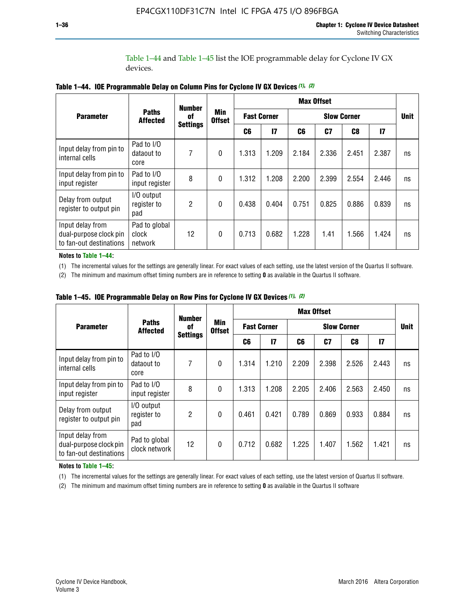Table 1–44 and Table 1–45 list the IOE programmable delay for Cyclone IV GX devices.

|                                                                       |                                   | <b>Number</b>   | <b>Min</b><br><b>Offset</b> | <b>Max Offset</b>  |              |                    |                |                |               |             |  |
|-----------------------------------------------------------------------|-----------------------------------|-----------------|-----------------------------|--------------------|--------------|--------------------|----------------|----------------|---------------|-------------|--|
| <b>Parameter</b>                                                      | <b>Paths</b><br><b>Affected</b>   | 0f              |                             | <b>Fast Corner</b> |              | <b>Slow Corner</b> |                |                |               | <b>Unit</b> |  |
|                                                                       |                                   | <b>Settings</b> |                             | C6                 | $\mathbf{I}$ | C6                 | C <sub>7</sub> | C <sub>8</sub> | $\mathsf{I}7$ |             |  |
| Input delay from pin to<br>internal cells                             | Pad to I/O<br>dataout to<br>core  | 7               | $\mathbf{0}$                | 1.313              | 1.209        | 2.184              | 2.336          | 2.451          | 2.387         | ns          |  |
| Input delay from pin to<br>input register                             | Pad to I/O<br>input register      | 8               | $\Omega$                    | 1.312              | 1.208        | 2.200              | 2.399          | 2.554          | 2.446         | ns          |  |
| Delay from output<br>register to output pin                           | I/O output<br>register to<br>pad  | 2               | $\mathbf{0}$                | 0.438              | 0.404        | 0.751              | 0.825          | 0.886          | 0.839         | ns          |  |
| Input delay from<br>dual-purpose clock pin<br>to fan-out destinations | Pad to global<br>clock<br>network | 12              | 0                           | 0.713              | 0.682        | 1.228              | 1.41           | 1.566          | 1.424         | ns          |  |

**Table 1–44. IOE Programmable Delay on Column Pins for Cyclone IV GX Devices** *(1)***,** *(2)*

**Notes to Table 1–44:**

(1) The incremental values for the settings are generally linear. For exact values of each setting, use the latest version of the Quartus II software.

(2) The minimum and maximum offset timing numbers are in reference to setting **0** as available in the Quartus II software.

|                                                                       |                                  | <b>Number</b>         | Min<br><b>Offset</b> | <b>Max Offset</b>  |       |                    |       |       |               |             |  |
|-----------------------------------------------------------------------|----------------------------------|-----------------------|----------------------|--------------------|-------|--------------------|-------|-------|---------------|-------------|--|
| <b>Parameter</b>                                                      | <b>Paths</b><br><b>Affected</b>  | 0f<br><b>Settings</b> |                      | <b>Fast Corner</b> |       | <b>Slow Corner</b> |       |       |               | <b>Unit</b> |  |
|                                                                       |                                  |                       |                      | C6                 | 17    | C6                 | C7    | C8    | $\mathsf{I}7$ |             |  |
| Input delay from pin to<br>internal cells                             | Pad to I/O<br>dataout to<br>core | 7                     | $\mathbf{0}$         | 1.314              | 1.210 | 2.209              | 2.398 | 2.526 | 2.443         | ns          |  |
| Input delay from pin to<br>input register                             | Pad to I/O<br>input register     | 8                     | $\mathbf{0}$         | 1.313              | 1.208 | 2.205              | 2.406 | 2.563 | 2.450         | ns          |  |
| Delay from output<br>register to output pin                           | I/O output<br>register to<br>pad | $\overline{2}$        | $\mathbf{0}$         | 0.461              | 0.421 | 0.789              | 0.869 | 0.933 | 0.884         | ns          |  |
| Input delay from<br>dual-purpose clock pin<br>to fan-out destinations | Pad to global<br>clock network   | 12                    | $\mathbf{0}$         | 0.712              | 0.682 | 1.225              | 1.407 | 1.562 | 1.421         | ns          |  |

**Table 1–45. IOE Programmable Delay on Row Pins for Cyclone IV GX Devices** *(1)***,** *(2)*

#### **Notes to Table 1–45:**

(1) The incremental values for the settings are generally linear. For exact values of each setting, use the latest version of Quartus II software.

(2) The minimum and maximum offset timing numbers are in reference to setting **0** as available in the Quartus II software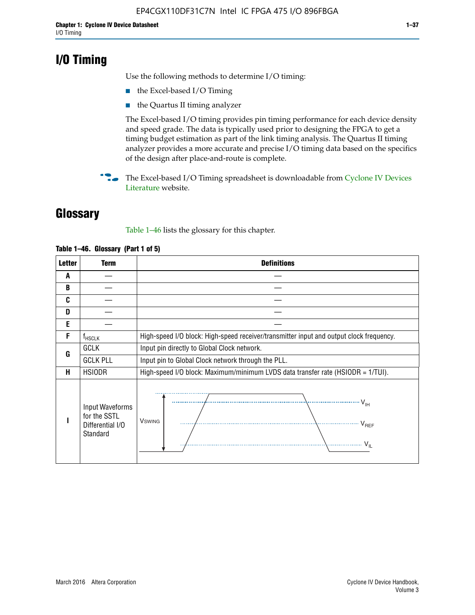## **I/O Timing**

Use the following methods to determine I/O timing:

- the Excel-based I/O Timing
- the Quartus II timing analyzer

The Excel-based I/O timing provides pin timing performance for each device density and speed grade. The data is typically used prior to designing the FPGA to get a timing budget estimation as part of the link timing analysis. The Quartus II timing analyzer provides a more accurate and precise I/O timing data based on the specifics of the design after place-and-route is complete.

**For The Excel-based I/O Timing spreadsheet is downloadable from Cyclone IV Devices** [Literature](http://www.altera.com/literature/lit-cyclone-iv.jsp) website.

## **Glossary**

Table 1–46 lists the glossary for this chapter.

| <b>Letter</b> | Term                                                            | <b>Definitions</b>                                                                                                                                                                                                                                                                                                                                                                                                                                                |
|---------------|-----------------------------------------------------------------|-------------------------------------------------------------------------------------------------------------------------------------------------------------------------------------------------------------------------------------------------------------------------------------------------------------------------------------------------------------------------------------------------------------------------------------------------------------------|
| A             |                                                                 |                                                                                                                                                                                                                                                                                                                                                                                                                                                                   |
| B             |                                                                 |                                                                                                                                                                                                                                                                                                                                                                                                                                                                   |
| C             |                                                                 |                                                                                                                                                                                                                                                                                                                                                                                                                                                                   |
| D             |                                                                 |                                                                                                                                                                                                                                                                                                                                                                                                                                                                   |
| E             |                                                                 |                                                                                                                                                                                                                                                                                                                                                                                                                                                                   |
| F             | $f_{HSCLK}$                                                     | High-speed I/O block: High-speed receiver/transmitter input and output clock frequency.                                                                                                                                                                                                                                                                                                                                                                           |
| G             | <b>GCLK</b>                                                     | Input pin directly to Global Clock network.                                                                                                                                                                                                                                                                                                                                                                                                                       |
|               | <b>GCLK PLL</b>                                                 | Input pin to Global Clock network through the PLL.                                                                                                                                                                                                                                                                                                                                                                                                                |
| н             | <b>HSIODR</b>                                                   | High-speed I/O block: Maximum/minimum LVDS data transfer rate (HSIODR = 1/TUI).                                                                                                                                                                                                                                                                                                                                                                                   |
|               | Input Waveforms<br>for the SSTL<br>Differential I/O<br>Standard | $\frac{1}{1 + \frac{1}{1 + \frac{1}{1 + \frac{1}{1 + \frac{1}{1 + \frac{1}{1 + \frac{1}{1 + \frac{1}{1 + \frac{1}{1 + \frac{1}{1 + \frac{1}{1 + \frac{1}{1 + \frac{1}{1 + \frac{1}{1 + \frac{1}{1 + \frac{1}{1 + \frac{1}{1 + \frac{1}{1 + \frac{1}{1 + \frac{1}{1 + \frac{1}{1 + \frac{1}{1 + \frac{1}{1 + \frac{1}{1 + \frac{1}{1 + \frac{1}{1 + \frac{1}{1 + \frac{1}{1 + \frac{1}{1 + \frac{1}{1 + \frac{1}{1 + \frac{$<br><b>V</b> swing<br>V <sub>REF</sub> |

#### **Table 1–46. Glossary (Part 1 of 5)**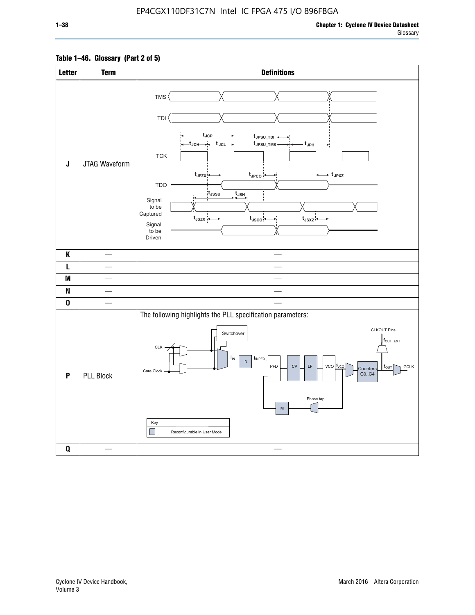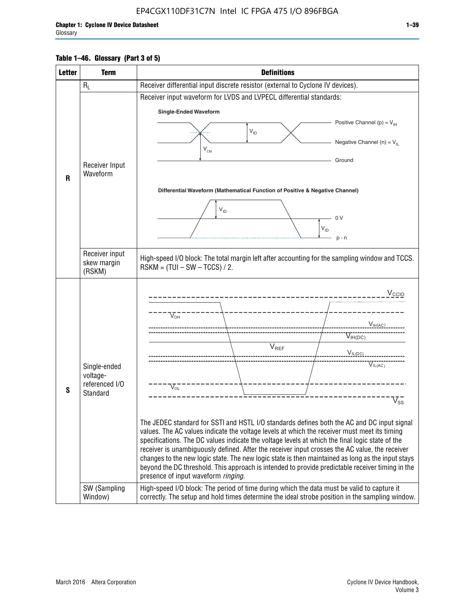#### **Table 1–46. Glossary (Part 3 of 5)**

| <b>Letter</b> | <b>Term</b>                   | <b>Definitions</b>                                                                                                                                                                                    |
|---------------|-------------------------------|-------------------------------------------------------------------------------------------------------------------------------------------------------------------------------------------------------|
|               | $R_L$                         | Receiver differential input discrete resistor (external to Cyclone IV devices).                                                                                                                       |
|               |                               | Receiver input waveform for LVDS and LVPECL differential standards:                                                                                                                                   |
|               |                               | <b>Single-Ended Waveform</b>                                                                                                                                                                          |
|               |                               | Positive Channel (p) = $V_{\text{H}}$                                                                                                                                                                 |
|               |                               | $V_{ID}$                                                                                                                                                                                              |
|               |                               | Negative Channel (n) = $V_{\parallel}$<br>$V_{CM}$                                                                                                                                                    |
|               |                               | Ground                                                                                                                                                                                                |
|               | Receiver Input<br>Waveform    |                                                                                                                                                                                                       |
| R             |                               |                                                                                                                                                                                                       |
|               |                               | Differential Waveform (Mathematical Function of Positive & Negative Channel)                                                                                                                          |
|               |                               | $V_{ID}$                                                                                                                                                                                              |
|               |                               | 0V                                                                                                                                                                                                    |
|               |                               | $\mathsf{V}_{\mathsf{ID}}$                                                                                                                                                                            |
|               |                               | $p - n$                                                                                                                                                                                               |
|               | Receiver input<br>skew margin | High-speed I/O block: The total margin left after accounting for the sampling window and TCCS.<br>$RSKM = (TUI - SW - TCCS) / 2.$                                                                     |
|               | (RSKM)                        |                                                                                                                                                                                                       |
|               |                               | $V_{CCIO}$                                                                                                                                                                                            |
|               |                               |                                                                                                                                                                                                       |
|               |                               | $V_{\text{OH}}$                                                                                                                                                                                       |
|               |                               | V <sub>IH(AC)</sub>                                                                                                                                                                                   |
|               |                               | $V_{IH(DC)}$                                                                                                                                                                                          |
|               |                               | $V_{REF}$<br>$V_{IL(DC)}$                                                                                                                                                                             |
|               | Single-ended                  | VIL(AC)                                                                                                                                                                                               |
|               | voltage-                      |                                                                                                                                                                                                       |
| S             | referenced I/O<br>Standard    | $V_{OL}$                                                                                                                                                                                              |
|               |                               | $\overline{\mathsf{V}}_\mathsf{SS}^-$                                                                                                                                                                 |
|               |                               |                                                                                                                                                                                                       |
|               |                               | The JEDEC standard for SSTI and HSTL I/O standards defines both the AC and DC input signal<br>values. The AC values indicate the voltage levels at which the receiver must meet its timing            |
|               |                               | specifications. The DC values indicate the voltage levels at which the final logic state of the                                                                                                       |
|               |                               | receiver is unambiguously defined. After the receiver input crosses the AC value, the receiver                                                                                                        |
|               |                               | changes to the new logic state. The new logic state is then maintained as long as the input stays<br>beyond the DC threshold. This approach is intended to provide predictable receiver timing in the |
|               |                               | presence of input waveform ringing.                                                                                                                                                                   |
|               | SW (Sampling<br>Window)       | High-speed I/O block: The period of time during which the data must be valid to capture it<br>correctly. The setup and hold times determine the ideal strobe position in the sampling window.         |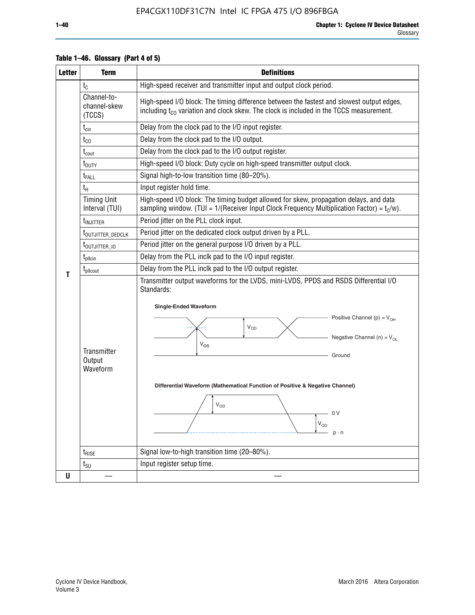| <b>Letter</b> | <b>Term</b>                           | <b>Definitions</b>                                                                                                                                                                                                                                                                                                                                                                           |
|---------------|---------------------------------------|----------------------------------------------------------------------------------------------------------------------------------------------------------------------------------------------------------------------------------------------------------------------------------------------------------------------------------------------------------------------------------------------|
|               | $t_{\rm C}$                           | High-speed receiver and transmitter input and output clock period.                                                                                                                                                                                                                                                                                                                           |
|               | Channel-to-<br>channel-skew<br>(TCCS) | High-speed I/O block: The timing difference between the fastest and slowest output edges,<br>including $t_{c0}$ variation and clock skew. The clock is included in the TCCS measurement.                                                                                                                                                                                                     |
|               | $t_{\text{cin}}$                      | Delay from the clock pad to the I/O input register.                                                                                                                                                                                                                                                                                                                                          |
|               | $t_{CO}$                              | Delay from the clock pad to the I/O output.                                                                                                                                                                                                                                                                                                                                                  |
|               | $t_{\text{cout}}$                     | Delay from the clock pad to the I/O output register.                                                                                                                                                                                                                                                                                                                                         |
|               | $t_{\text{DUTY}}$                     | High-speed I/O block: Duty cycle on high-speed transmitter output clock.                                                                                                                                                                                                                                                                                                                     |
|               | t <sub>FALL</sub>                     | Signal high-to-low transition time (80-20%).                                                                                                                                                                                                                                                                                                                                                 |
|               | $t_H$                                 | Input register hold time.                                                                                                                                                                                                                                                                                                                                                                    |
|               | <b>Timing Unit</b><br>Interval (TUI)  | High-speed I/O block: The timing budget allowed for skew, propagation delays, and data<br>sampling window. (TUI = $1/($ Receiver Input Clock Frequency Multiplication Factor) = $tC/w$ ).                                                                                                                                                                                                    |
|               | t <sub>INJITTER</sub>                 | Period jitter on the PLL clock input.                                                                                                                                                                                                                                                                                                                                                        |
|               | t <sub>outjitter_dedclk</sub>         | Period jitter on the dedicated clock output driven by a PLL.                                                                                                                                                                                                                                                                                                                                 |
|               | t <sub>outjitter_io</sub>             | Period jitter on the general purpose I/O driven by a PLL.                                                                                                                                                                                                                                                                                                                                    |
|               | $t_{\text{pllcin}}$                   | Delay from the PLL inclk pad to the I/O input register.                                                                                                                                                                                                                                                                                                                                      |
| T             | t <sub>plicout</sub>                  | Delay from the PLL inclk pad to the I/O output register.                                                                                                                                                                                                                                                                                                                                     |
|               | Transmitter<br>Output<br>Waveform     | Transmitter output waveforms for the LVDS, mini-LVDS, PPDS and RSDS Differential I/O<br>Standards:<br><b>Single-Ended Waveform</b><br>Positive Channel (p) = $V_{OH}$<br><b>V<sub>OD</sub></b><br>Negative Channel (n) = $V_{OL}$<br>$V_{OS}$<br>Ground<br>Differential Waveform (Mathematical Function of Positive & Negative Channel)<br>$V_{OD}$<br>0 <sup>1</sup><br>$V_{OD}$<br>$p - n$ |
|               | $t_{\text{RISE}}$                     | Signal low-to-high transition time (20-80%).                                                                                                                                                                                                                                                                                                                                                 |
|               | $t_{\scriptstyle\text{SU}}$           | Input register setup time.                                                                                                                                                                                                                                                                                                                                                                   |
| U             |                                       |                                                                                                                                                                                                                                                                                                                                                                                              |

#### **Table 1–46. Glossary (Part 4 of 5)**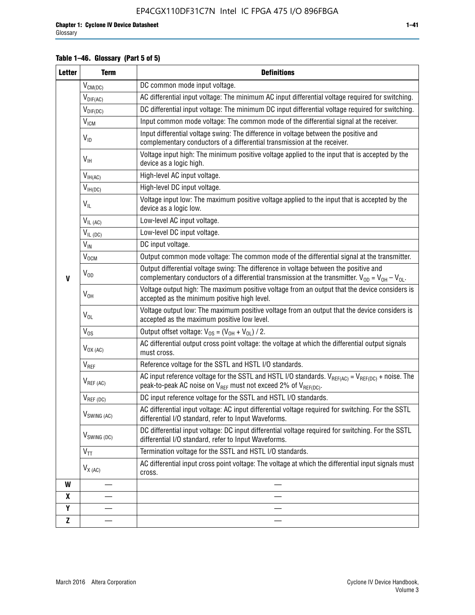### **Table 1–46. Glossary (Part 5 of 5)**

| <b>Letter</b>    | <b>Term</b>               | <b>Definitions</b>                                                                                                                                                                                |  |  |
|------------------|---------------------------|---------------------------------------------------------------------------------------------------------------------------------------------------------------------------------------------------|--|--|
|                  | $V_{CM(DC)}$              | DC common mode input voltage.                                                                                                                                                                     |  |  |
|                  | $V_{DIF(AC)}$             | AC differential input voltage: The minimum AC input differential voltage required for switching.                                                                                                  |  |  |
|                  | $V_{DIF(DC)}$             | DC differential input voltage: The minimum DC input differential voltage required for switching.                                                                                                  |  |  |
|                  | <b>V<sub>ICM</sub></b>    | Input common mode voltage: The common mode of the differential signal at the receiver.                                                                                                            |  |  |
|                  | $V_{ID}$                  | Input differential voltage swing: The difference in voltage between the positive and<br>complementary conductors of a differential transmission at the receiver.                                  |  |  |
|                  | $V_{\text{IH}}$           | Voltage input high: The minimum positive voltage applied to the input that is accepted by the<br>device as a logic high.                                                                          |  |  |
|                  | $V_{IH(AC)}$              | High-level AC input voltage.                                                                                                                                                                      |  |  |
|                  | $V_{IH(DC)}$              | High-level DC input voltage.                                                                                                                                                                      |  |  |
|                  | $V_{IL}$                  | Voltage input low: The maximum positive voltage applied to the input that is accepted by the<br>device as a logic low.                                                                            |  |  |
|                  | $V_{IL (AC)}$             | Low-level AC input voltage.                                                                                                                                                                       |  |  |
|                  | $V_{IL(DC)}$              | Low-level DC input voltage.                                                                                                                                                                       |  |  |
|                  | $V_{\text{IN}}$           | DC input voltage.                                                                                                                                                                                 |  |  |
|                  | $\rm V_{\rm OCM}$         | Output common mode voltage: The common mode of the differential signal at the transmitter.                                                                                                        |  |  |
| $\mathbf{V}$     | $V_{OD}$                  | Output differential voltage swing: The difference in voltage between the positive and<br>complementary conductors of a differential transmission at the transmitter. $V_{OD} = V_{OH} - V_{OL}$ . |  |  |
|                  | $V_{OH}$                  | Voltage output high: The maximum positive voltage from an output that the device considers is<br>accepted as the minimum positive high level.                                                     |  |  |
|                  | $V_{OL}$                  | Voltage output low: The maximum positive voltage from an output that the device considers is<br>accepted as the maximum positive low level.                                                       |  |  |
|                  | $V_{OS}$                  | Output offset voltage: $V_{OS} = (V_{OH} + V_{OL}) / 2$ .                                                                                                                                         |  |  |
|                  | $V_{OX (AC)}$             | AC differential output cross point voltage: the voltage at which the differential output signals<br>must cross.                                                                                   |  |  |
|                  | $V_{REF}$                 | Reference voltage for the SSTL and HSTL I/O standards.                                                                                                                                            |  |  |
|                  | $V_{REF\,(AC)}$           | AC input reference voltage for the SSTL and HSTL I/O standards. $V_{REF(AC)} = V_{REF(DC)} +$ noise. The<br>peak-to-peak AC noise on $V_{REF}$ must not exceed 2% of $V_{REF(DC)}$ .              |  |  |
|                  | $V_{REF(DC)}$             | DC input reference voltage for the SSTL and HSTL I/O standards.                                                                                                                                   |  |  |
|                  | $V_{\textrm{SWING (AC)}}$ | AC differential input voltage: AC input differential voltage required for switching. For the SSTL<br>differential I/O standard, refer to Input Waveforms.                                         |  |  |
|                  | V <sub>SWING (DC)</sub>   | DC differential input voltage: DC input differential voltage required for switching. For the SSTL<br>differential I/O standard, refer to Input Waveforms.                                         |  |  |
|                  | $V_{TT}$                  | Termination voltage for the SSTL and HSTL I/O standards.                                                                                                                                          |  |  |
|                  | $V_{X (AC)}$              | AC differential input cross point voltage: The voltage at which the differential input signals must<br>cross.                                                                                     |  |  |
| W                |                           |                                                                                                                                                                                                   |  |  |
| $\boldsymbol{x}$ |                           |                                                                                                                                                                                                   |  |  |
| Y                |                           |                                                                                                                                                                                                   |  |  |
| $\mathbf{Z}$     |                           |                                                                                                                                                                                                   |  |  |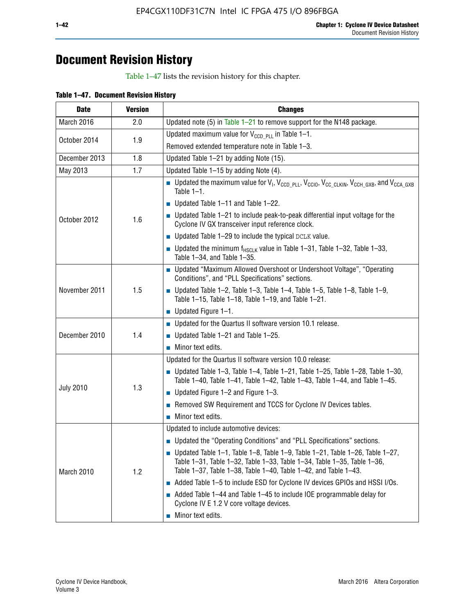## **Document Revision History**

Table 1–47 lists the revision history for this chapter.

| <b>Date</b>      | <b>Version</b> | <b>Changes</b>                                                                                                                                                                                                                            |
|------------------|----------------|-------------------------------------------------------------------------------------------------------------------------------------------------------------------------------------------------------------------------------------------|
| March 2016       | 2.0            | Updated note (5) in Table $1-21$ to remove support for the N148 package.                                                                                                                                                                  |
| October 2014     | 1.9            | Updated maximum value for $V_{CCD, PL}$ in Table 1-1.                                                                                                                                                                                     |
|                  |                | Removed extended temperature note in Table 1-3.                                                                                                                                                                                           |
| December 2013    | 1.8            | Updated Table 1-21 by adding Note (15).                                                                                                                                                                                                   |
| May 2013         | 1.7            | Updated Table 1-15 by adding Note (4).                                                                                                                                                                                                    |
|                  | 1.6            | <b>D</b> Updated the maximum value for $V_1$ , $V_{CCD}$ <sub>PLL</sub> , $V_{CC10}$ , $V_{CC_1CLKIN}$ , $V_{CCH_GXB}$ , and $V_{CCA_GXB}$<br>Table $1-1$ .                                                                               |
|                  |                | $\blacksquare$ Updated Table 1-11 and Table 1-22.                                                                                                                                                                                         |
| October 2012     |                | $\blacksquare$ Updated Table 1-21 to include peak-to-peak differential input voltage for the<br>Cyclone IV GX transceiver input reference clock.                                                                                          |
|                  |                | $\blacksquare$ Updated Table 1-29 to include the typical DCLK value.                                                                                                                                                                      |
|                  |                | <b>Updated the minimum f<sub>HSCLK</sub></b> value in Table 1-31, Table 1-32, Table 1-33,<br>Table 1-34, and Table 1-35.                                                                                                                  |
|                  | 1.5            | ■ Updated "Maximum Allowed Overshoot or Undershoot Voltage", "Operating<br>Conditions", and "PLL Specifications" sections.                                                                                                                |
| November 2011    |                | Updated Table 1-2, Table 1-3, Table 1-4, Table 1-5, Table 1-8, Table 1-9,<br>Table 1-15, Table 1-18, Table 1-19, and Table 1-21.                                                                                                          |
|                  |                | ■ Updated Figure $1-1$ .                                                                                                                                                                                                                  |
|                  | 1.4            | • Updated for the Quartus II software version 10.1 release.                                                                                                                                                                               |
| December 2010    |                | $\blacksquare$ Updated Table 1-21 and Table 1-25.                                                                                                                                                                                         |
|                  |                | $\blacksquare$ Minor text edits.                                                                                                                                                                                                          |
|                  | 1.3            | Updated for the Quartus II software version 10.0 release:                                                                                                                                                                                 |
|                  |                | Updated Table 1-3, Table 1-4, Table 1-21, Table 1-25, Table 1-28, Table 1-30,<br>Table 1-40, Table 1-41, Table 1-42, Table 1-43, Table 1-44, and Table 1-45.                                                                              |
| <b>July 2010</b> |                | ■ Updated Figure $1-2$ and Figure $1-3$ .                                                                                                                                                                                                 |
|                  |                | Removed SW Requirement and TCCS for Cyclone IV Devices tables.                                                                                                                                                                            |
|                  |                | $\blacksquare$ Minor text edits.                                                                                                                                                                                                          |
|                  |                | Updated to include automotive devices:                                                                                                                                                                                                    |
|                  | 1.2            | • Updated the "Operating Conditions" and "PLL Specifications" sections.                                                                                                                                                                   |
| March 2010       |                | $\blacksquare$ Updated Table 1-1, Table 1-8, Table 1-9, Table 1-21, Table 1-26, Table 1-27,<br>Table 1-31, Table 1-32, Table 1-33, Table 1-34, Table 1-35, Table 1-36,<br>Table 1-37, Table 1-38, Table 1-40, Table 1-42, and Table 1-43. |
|                  |                | Added Table 1-5 to include ESD for Cyclone IV devices GPIOs and HSSI I/Os.                                                                                                                                                                |
|                  |                | Added Table 1-44 and Table 1-45 to include IOE programmable delay for<br>Cyclone IV E 1.2 V core voltage devices.                                                                                                                         |
|                  |                | Minor text edits.                                                                                                                                                                                                                         |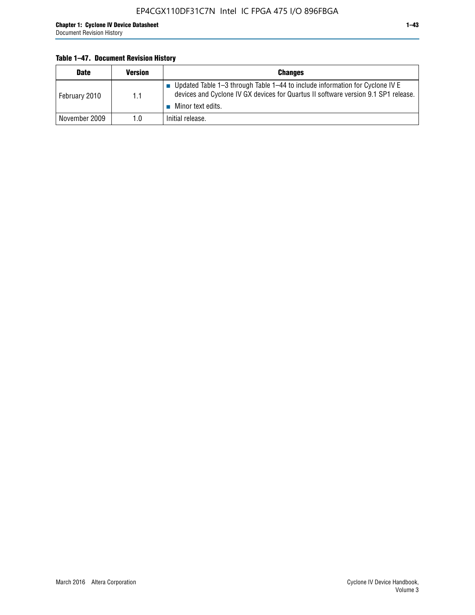#### **Table 1–47. Document Revision History**

| <b>Date</b>   | <b>Version</b> | <b>Changes</b>                                                                                                                                                                          |
|---------------|----------------|-----------------------------------------------------------------------------------------------------------------------------------------------------------------------------------------|
| February 2010 | 1.1            | Updated Table 1-3 through Table 1-44 to include information for Cyclone IV E<br>devices and Cyclone IV GX devices for Quartus II software version 9.1 SP1 release.<br>Minor text edits. |
| November 2009 | 1.0            | Initial release.                                                                                                                                                                        |